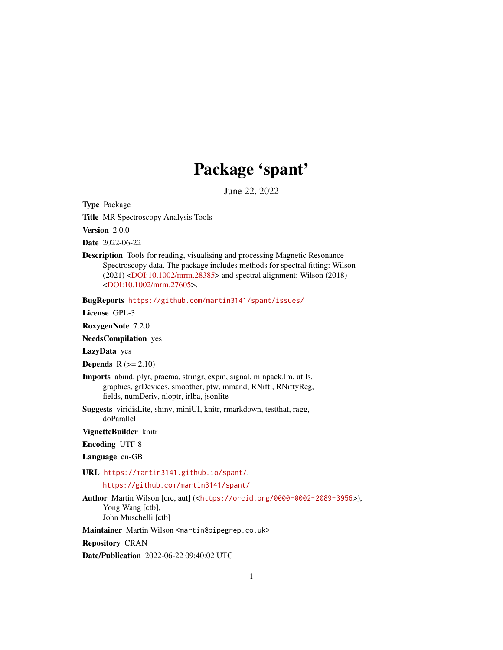# Package 'spant'

June 22, 2022

Type Package

Title MR Spectroscopy Analysis Tools

Version 2.0.0

Date 2022-06-22

Description Tools for reading, visualising and processing Magnetic Resonance Spectroscopy data. The package includes methods for spectral fitting: Wilson (2021) [<DOI:10.1002/mrm.28385>](https://doi.org/10.1002/mrm.28385) and spectral alignment: Wilson (2018) [<DOI:10.1002/mrm.27605>](https://doi.org/10.1002/mrm.27605).

BugReports <https://github.com/martin3141/spant/issues/>

License GPL-3

RoxygenNote 7.2.0

NeedsCompilation yes

LazyData yes

**Depends**  $R$  ( $>= 2.10$ )

- Imports abind, plyr, pracma, stringr, expm, signal, minpack.lm, utils, graphics, grDevices, smoother, ptw, mmand, RNifti, RNiftyReg, fields, numDeriv, nloptr, irlba, jsonlite
- Suggests viridisLite, shiny, miniUI, knitr, rmarkdown, testthat, ragg, doParallel

VignetteBuilder knitr

Encoding UTF-8

Language en-GB

URL <https://martin3141.github.io/spant/>,

<https://github.com/martin3141/spant/>

Author Martin Wilson [cre, aut] (<<https://orcid.org/0000-0002-2089-3956>>), Yong Wang [ctb], John Muschelli [ctb]

Maintainer Martin Wilson <martin@pipegrep.co.uk>

Repository CRAN

Date/Publication 2022-06-22 09:40:02 UTC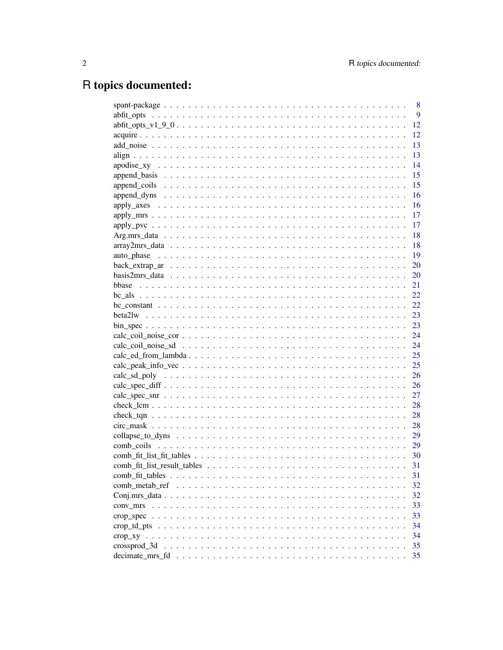# R topics documented:

|                                                                                                                                                                                                                                                                                                                     | 8 |
|---------------------------------------------------------------------------------------------------------------------------------------------------------------------------------------------------------------------------------------------------------------------------------------------------------------------|---|
|                                                                                                                                                                                                                                                                                                                     | 9 |
| 12                                                                                                                                                                                                                                                                                                                  |   |
| 12                                                                                                                                                                                                                                                                                                                  |   |
| 13                                                                                                                                                                                                                                                                                                                  |   |
| 13                                                                                                                                                                                                                                                                                                                  |   |
| 14                                                                                                                                                                                                                                                                                                                  |   |
| 15                                                                                                                                                                                                                                                                                                                  |   |
| 15                                                                                                                                                                                                                                                                                                                  |   |
| 16                                                                                                                                                                                                                                                                                                                  |   |
| 16                                                                                                                                                                                                                                                                                                                  |   |
| 17                                                                                                                                                                                                                                                                                                                  |   |
| 17                                                                                                                                                                                                                                                                                                                  |   |
| -18                                                                                                                                                                                                                                                                                                                 |   |
| -18                                                                                                                                                                                                                                                                                                                 |   |
| <sup>19</sup>                                                                                                                                                                                                                                                                                                       |   |
|                                                                                                                                                                                                                                                                                                                     |   |
|                                                                                                                                                                                                                                                                                                                     |   |
|                                                                                                                                                                                                                                                                                                                     |   |
|                                                                                                                                                                                                                                                                                                                     |   |
|                                                                                                                                                                                                                                                                                                                     |   |
|                                                                                                                                                                                                                                                                                                                     |   |
| $\frac{1}{2}$ $\frac{1}{2}$ $\frac{1}{2}$ $\frac{1}{2}$ $\frac{1}{2}$ $\frac{1}{2}$ $\frac{1}{2}$ $\frac{1}{2}$ $\frac{1}{2}$ $\frac{1}{2}$ $\frac{1}{2}$ $\frac{1}{2}$ $\frac{1}{2}$ $\frac{1}{2}$ $\frac{1}{2}$ $\frac{1}{2}$ $\frac{1}{2}$ $\frac{1}{2}$ $\frac{1}{2}$ $\frac{1}{2}$ $\frac{1}{2}$ $\frac{1}{2}$ |   |
|                                                                                                                                                                                                                                                                                                                     |   |
|                                                                                                                                                                                                                                                                                                                     |   |
|                                                                                                                                                                                                                                                                                                                     |   |
|                                                                                                                                                                                                                                                                                                                     |   |
|                                                                                                                                                                                                                                                                                                                     |   |
|                                                                                                                                                                                                                                                                                                                     |   |
| 27                                                                                                                                                                                                                                                                                                                  |   |
| 28                                                                                                                                                                                                                                                                                                                  |   |
|                                                                                                                                                                                                                                                                                                                     |   |
|                                                                                                                                                                                                                                                                                                                     |   |
|                                                                                                                                                                                                                                                                                                                     |   |
|                                                                                                                                                                                                                                                                                                                     |   |
|                                                                                                                                                                                                                                                                                                                     |   |
| 31                                                                                                                                                                                                                                                                                                                  |   |
| 31                                                                                                                                                                                                                                                                                                                  |   |
| 32                                                                                                                                                                                                                                                                                                                  |   |
| 32                                                                                                                                                                                                                                                                                                                  |   |
| 33                                                                                                                                                                                                                                                                                                                  |   |
| 33                                                                                                                                                                                                                                                                                                                  |   |
| 34                                                                                                                                                                                                                                                                                                                  |   |
| 34                                                                                                                                                                                                                                                                                                                  |   |
| 35<br>crossprod 3d                                                                                                                                                                                                                                                                                                  |   |
| 35                                                                                                                                                                                                                                                                                                                  |   |
|                                                                                                                                                                                                                                                                                                                     |   |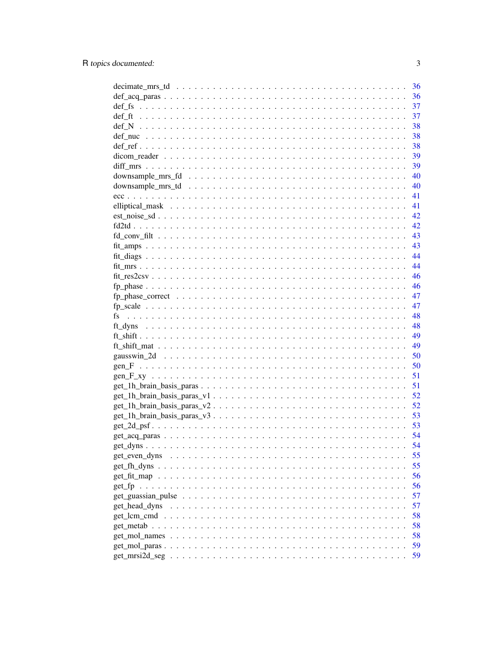|                                                                                                               | 36   |
|---------------------------------------------------------------------------------------------------------------|------|
|                                                                                                               | 36   |
|                                                                                                               | - 37 |
|                                                                                                               | 37   |
|                                                                                                               | 38   |
|                                                                                                               | 38   |
|                                                                                                               | 38   |
|                                                                                                               | - 39 |
|                                                                                                               | - 39 |
|                                                                                                               |      |
|                                                                                                               |      |
|                                                                                                               | -41  |
|                                                                                                               | -41  |
|                                                                                                               |      |
|                                                                                                               |      |
|                                                                                                               |      |
|                                                                                                               |      |
|                                                                                                               |      |
|                                                                                                               |      |
|                                                                                                               |      |
|                                                                                                               |      |
| fp phase correct $\ldots \ldots \ldots \ldots \ldots \ldots \ldots \ldots \ldots \ldots \ldots \ldots \ldots$ | 47   |
|                                                                                                               | 47   |
|                                                                                                               |      |
|                                                                                                               |      |
|                                                                                                               |      |
|                                                                                                               |      |
|                                                                                                               |      |
|                                                                                                               | 50   |
| $gen_F xy$                                                                                                    | 51   |
|                                                                                                               | 51   |
|                                                                                                               | 52   |
| $get_1h_brain_ basis_0aras_v2$                                                                                | 52   |
| $get_1h_brain_ basis_0aras_v3$                                                                                | 53   |
|                                                                                                               | 53   |
|                                                                                                               |      |
|                                                                                                               |      |
| get even dyns                                                                                                 | 55   |
|                                                                                                               | 55   |
|                                                                                                               | 56   |
|                                                                                                               | 56   |
|                                                                                                               | 57   |
| get head dyns                                                                                                 | 57   |
| $get_lcm\_cmd$                                                                                                | 58   |
| $get\_metab \dots$                                                                                            | 58   |
|                                                                                                               | 58   |
|                                                                                                               | 59   |
|                                                                                                               | 59   |
|                                                                                                               |      |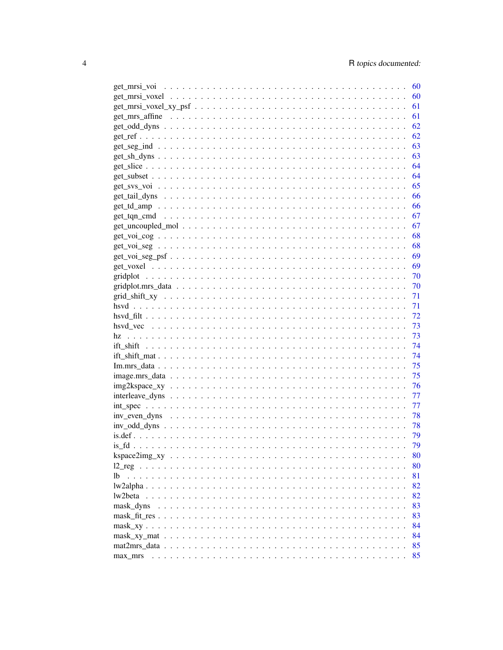|                                                                                                            | - 60 |
|------------------------------------------------------------------------------------------------------------|------|
|                                                                                                            | 60   |
|                                                                                                            | 61   |
|                                                                                                            | 61   |
|                                                                                                            | 62   |
|                                                                                                            | 62   |
|                                                                                                            | 63   |
|                                                                                                            | 63   |
|                                                                                                            | 64   |
|                                                                                                            | 64   |
|                                                                                                            | 65   |
|                                                                                                            | 66   |
|                                                                                                            | 66   |
|                                                                                                            | 67   |
|                                                                                                            | 67   |
|                                                                                                            | 68   |
| $get\_voi\_seg \ldots \ldots \ldots \ldots \ldots \ldots \ldots \ldots \ldots \ldots \ldots \ldots \ldots$ | - 68 |
|                                                                                                            | - 69 |
|                                                                                                            | 69   |
|                                                                                                            | 70   |
|                                                                                                            | 70   |
|                                                                                                            | 71   |
|                                                                                                            | 71   |
|                                                                                                            | 72   |
|                                                                                                            | 73   |
|                                                                                                            | 73   |
|                                                                                                            | 74   |
|                                                                                                            | 74   |
|                                                                                                            | 75   |
|                                                                                                            | 75   |
|                                                                                                            | 76   |
|                                                                                                            | 77   |
|                                                                                                            | 77   |
|                                                                                                            | 78   |
|                                                                                                            | 78   |
|                                                                                                            | 79   |
|                                                                                                            | 79   |
|                                                                                                            | 80   |
|                                                                                                            | 80   |
|                                                                                                            | 81   |
|                                                                                                            | 82   |
| lw2beta                                                                                                    | 82   |
| mask dyns                                                                                                  | 83   |
|                                                                                                            | 83   |
|                                                                                                            | 84   |
|                                                                                                            | 84   |
|                                                                                                            | 85   |
| max mrs                                                                                                    | 85   |
|                                                                                                            |      |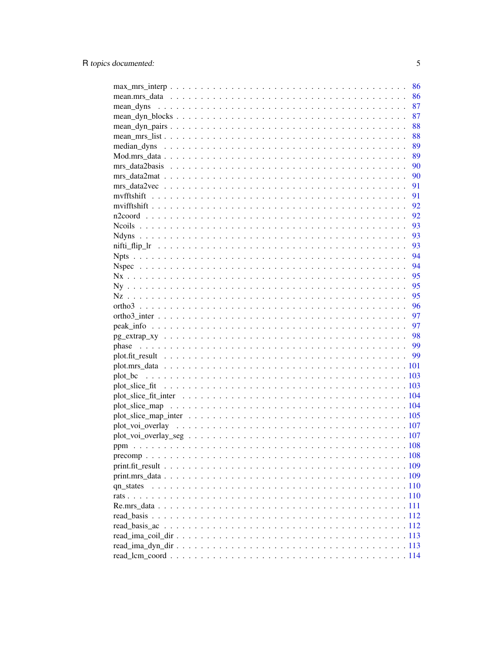| 86 |
|----|
| 87 |
| 87 |
| 88 |
| 88 |
| 89 |
| 89 |
| 90 |
|    |
|    |
|    |
|    |
|    |
|    |
|    |
|    |
|    |
|    |
|    |
| 95 |
| 95 |
| 96 |
| 97 |
| 97 |
|    |
|    |
|    |
|    |
|    |
|    |
|    |
|    |
|    |
|    |
|    |
|    |
|    |
|    |
|    |
|    |
|    |
|    |
|    |
|    |
|    |
|    |
|    |
|    |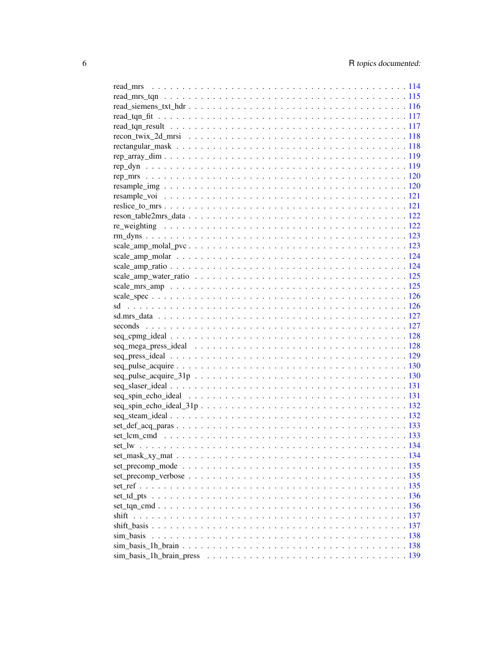| $seq_cppmg_ide$ $\ldots$ $\ldots$ $\ldots$ $\ldots$ $\ldots$ $\ldots$ $\ldots$ $\ldots$ $\ldots$ $\ldots$ $\ldots$ $\ldots$ $\ldots$ $\ldots$ |  |
|-----------------------------------------------------------------------------------------------------------------------------------------------|--|
|                                                                                                                                               |  |
|                                                                                                                                               |  |
|                                                                                                                                               |  |
|                                                                                                                                               |  |
|                                                                                                                                               |  |
|                                                                                                                                               |  |
|                                                                                                                                               |  |
|                                                                                                                                               |  |
|                                                                                                                                               |  |
|                                                                                                                                               |  |
|                                                                                                                                               |  |
|                                                                                                                                               |  |
|                                                                                                                                               |  |
|                                                                                                                                               |  |
|                                                                                                                                               |  |
|                                                                                                                                               |  |
|                                                                                                                                               |  |
|                                                                                                                                               |  |
|                                                                                                                                               |  |
| sim_basis                                                                                                                                     |  |
|                                                                                                                                               |  |
|                                                                                                                                               |  |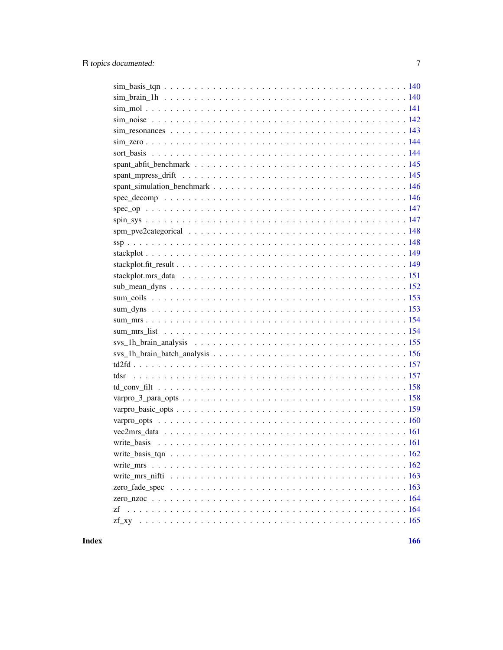**Index**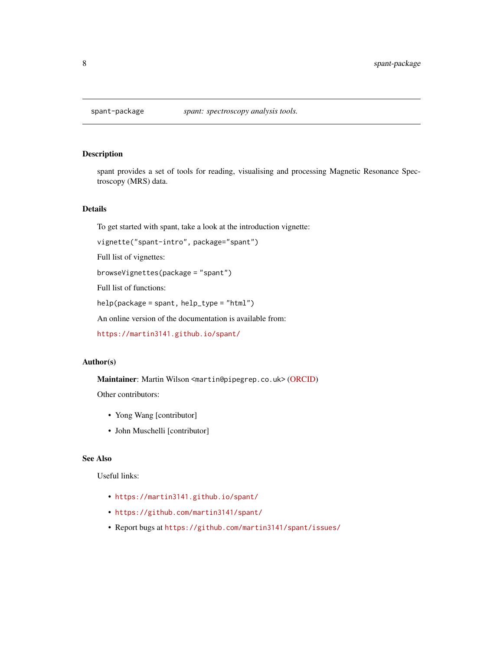<span id="page-7-0"></span>

spant provides a set of tools for reading, visualising and processing Magnetic Resonance Spectroscopy (MRS) data.

### Details

To get started with spant, take a look at the introduction vignette:

```
vignette("spant-intro", package="spant")
```
Full list of vignettes:

browseVignettes(package = "spant")

Full list of functions:

help(package = spant, help\_type = "html")

An online version of the documentation is available from:

<https://martin3141.github.io/spant/>

### Author(s)

Maintainer: Martin Wilson <martin@pipegrep.co.uk> [\(ORCID\)](https://orcid.org/0000-0002-2089-3956)

Other contributors:

- Yong Wang [contributor]
- John Muschelli [contributor]

### See Also

Useful links:

- <https://martin3141.github.io/spant/>
- <https://github.com/martin3141/spant/>
- Report bugs at <https://github.com/martin3141/spant/issues/>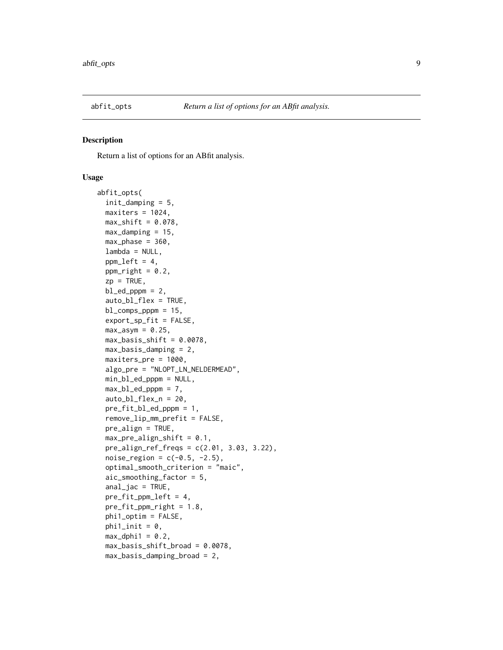<span id="page-8-1"></span><span id="page-8-0"></span>

Return a list of options for an ABfit analysis.

#### Usage

```
abfit_opts(
  init_damping = 5,
 maxiters = 1024,max\_shift = 0.078,max\_damping = 15,
 max_{\text{phase}} = 360,
  lambda = NULL,ppm\_left = 4,
 ppm\_right = 0.2,
  zp = TRUE,bl\_ed\_pppm = 2,
  auto_bl_flex = TRUE,
 bl_comps_pppm = 15,
  export_sp_fit = FALSE,
 max\_asym = 0.25,
 max_basis_blift = 0.0078,
 max_basis_damping = 2,
 maxiters_pre = 1000,
  algo_pre = "NLOPT_LN_NELDERMEAD",
  min_bl_ed_pppm = NULL,
 max_b1\_ed\_pppm = 7,
  auto_bl_flex_n = 20,
 pre_fit_bl_ed_pppm = 1,
  remove_lip_mm_prefit = FALSE,
  pre_align = TRUE,
 max\_pre\_align\_shift = 0.1,
 pre\_align\_ref\_freqs = c(2.01, 3.03, 3.22),
 noise_{region} = c(-0.5, -2.5),
  optimal_smooth_criterion = "maic",
  aic_smoothing_factor = 5,
  anal_jac = TRUE,pre_fit_ppm_left = 4,
  pre_fit\_ppm\_right = 1.8,
  phi1_optim = FALSE,
  phi1_init = 0,
 max_dphi1 = 0.2,
 max_basis_shift_broad = 0.0078,
 max_basis_damping_broad = 2,
```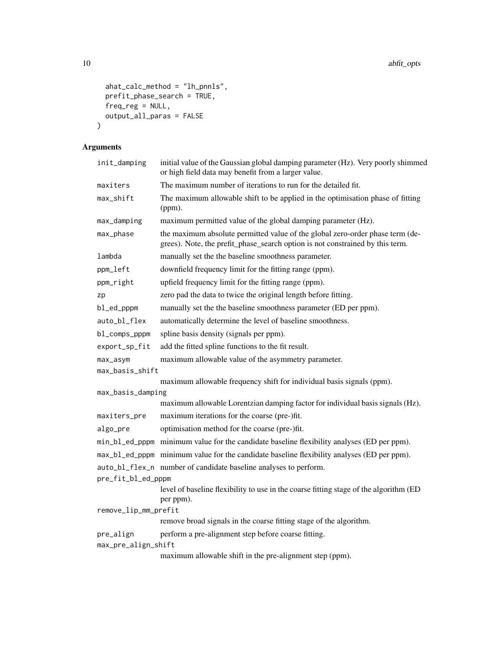```
ahat_calc_method = "lh_pnnls",
 prefit_phase_search = TRUE,
 freq_reg = NULL,output_all_paras = FALSE
\mathcal{L}
```
# Arguments

| init_damping         | initial value of the Gaussian global damping parameter (Hz). Very poorly shimmed<br>or high field data may benefit from a larger value.                        |
|----------------------|----------------------------------------------------------------------------------------------------------------------------------------------------------------|
| maxiters             | The maximum number of iterations to run for the detailed fit.                                                                                                  |
| max_shift            | The maximum allowable shift to be applied in the optimisation phase of fitting<br>(ppm).                                                                       |
| max_damping          | maximum permitted value of the global damping parameter (Hz).                                                                                                  |
| max_phase            | the maximum absolute permitted value of the global zero-order phase term (de-<br>grees). Note, the prefit_phase_search option is not constrained by this term. |
| lambda               | manually set the the baseline smoothness parameter.                                                                                                            |
| ppm_left             | downfield frequency limit for the fitting range (ppm).                                                                                                         |
| ppm_right            | upfield frequency limit for the fitting range (ppm).                                                                                                           |
| zp                   | zero pad the data to twice the original length before fitting.                                                                                                 |
| bl_ed_pppm           | manually set the the baseline smoothness parameter (ED per ppm).                                                                                               |
| auto_bl_flex         | automatically determine the level of baseline smoothness.                                                                                                      |
| bl_comps_pppm        | spline basis density (signals per ppm).                                                                                                                        |
| export_sp_fit        | add the fitted spline functions to the fit result.                                                                                                             |
| max_asym             | maximum allowable value of the asymmetry parameter.                                                                                                            |
| max_basis_shift      |                                                                                                                                                                |
|                      | maximum allowable frequency shift for individual basis signals (ppm).                                                                                          |
| max_basis_damping    | maximum allowable Lorentzian damping factor for individual basis signals (Hz).                                                                                 |
| maxiters_pre         | maximum iterations for the coarse (pre-)fit.                                                                                                                   |
| algo_pre             | optimisation method for the coarse (pre-)fit.                                                                                                                  |
|                      |                                                                                                                                                                |
|                      | min_bl_ed_pppm minimum value for the candidate baseline flexibility analyses (ED per ppm).                                                                     |
|                      | max_bl_ed_pppm minimum value for the candidate baseline flexibility analyses (ED per ppm).                                                                     |
| pre_fit_bl_ed_pppm   | auto_bl_flex_n number of candidate baseline analyses to perform.                                                                                               |
|                      | level of baseline flexibility to use in the coarse fitting stage of the algorithm (ED<br>per ppm).                                                             |
| remove_lip_mm_prefit |                                                                                                                                                                |
|                      | remove broad signals in the coarse fitting stage of the algorithm.                                                                                             |
| pre_align            | perform a pre-alignment step before coarse fitting.                                                                                                            |
| max_pre_align_shift  |                                                                                                                                                                |
|                      | maximum allowable shift in the pre-alignment step (ppm).                                                                                                       |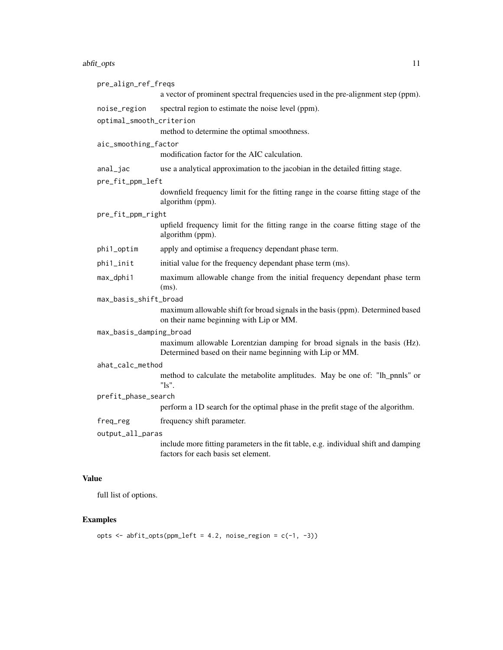#### abfit\_opts 11

| pre_align_ref_freqs      |                                                                                                                                       |
|--------------------------|---------------------------------------------------------------------------------------------------------------------------------------|
|                          | a vector of prominent spectral frequencies used in the pre-alignment step (ppm).                                                      |
| noise_region             | spectral region to estimate the noise level (ppm).                                                                                    |
| optimal_smooth_criterion |                                                                                                                                       |
|                          | method to determine the optimal smoothness.                                                                                           |
| aic_smoothing_factor     |                                                                                                                                       |
|                          | modification factor for the AIC calculation.                                                                                          |
| anal_jac                 | use a analytical approximation to the jacobian in the detailed fitting stage.                                                         |
| pre_fit_ppm_left         |                                                                                                                                       |
|                          | downfield frequency limit for the fitting range in the coarse fitting stage of the<br>algorithm (ppm).                                |
| pre_fit_ppm_right        |                                                                                                                                       |
|                          | upfield frequency limit for the fitting range in the coarse fitting stage of the<br>algorithm (ppm).                                  |
| phi1_optim               | apply and optimise a frequency dependant phase term.                                                                                  |
| phi1_init                | initial value for the frequency dependant phase term (ms).                                                                            |
| max_dphi1                | maximum allowable change from the initial frequency dependant phase term<br>$(ms)$ .                                                  |
| max_basis_shift_broad    |                                                                                                                                       |
|                          | maximum allowable shift for broad signals in the basis (ppm). Determined based<br>on their name beginning with Lip or MM.             |
| max_basis_damping_broad  |                                                                                                                                       |
|                          | maximum allowable Lorentzian damping for broad signals in the basis (Hz).<br>Determined based on their name beginning with Lip or MM. |
| ahat_calc_method         |                                                                                                                                       |
|                          | method to calculate the metabolite amplitudes. May be one of: "lh_pnnls" or<br>" $\text{ls}$ ".                                       |
| prefit_phase_search      |                                                                                                                                       |
|                          | perform a 1D search for the optimal phase in the prefit stage of the algorithm.                                                       |
| freq_reg                 | frequency shift parameter.                                                                                                            |
| output_all_paras         |                                                                                                                                       |
|                          | include more fitting parameters in the fit table, e.g. individual shift and damping<br>factors for each basis set element.            |
|                          |                                                                                                                                       |

# Value

full list of options.

# Examples

```
opts \le abfit_opts(ppm_left = 4.2, noise_region = c(-1, -3))
```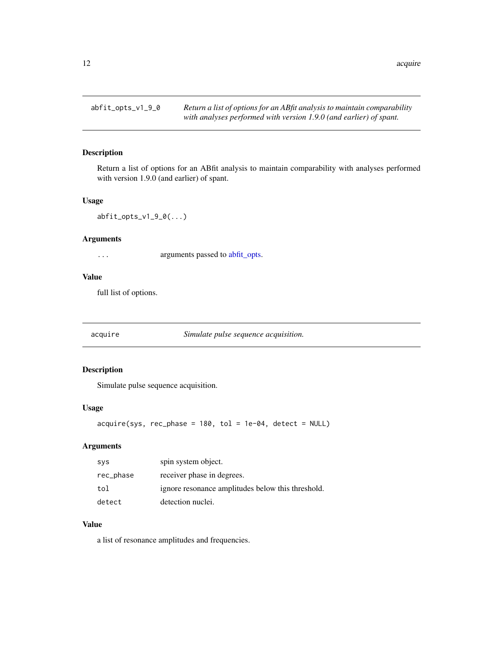<span id="page-11-0"></span>

Return a list of options for an ABfit analysis to maintain comparability with analyses performed with version 1.9.0 (and earlier) of spant.

#### Usage

abfit\_opts\_v1\_9\_0(...)

# Arguments

... arguments passed to [abfit\\_opts.](#page-8-1)

#### Value

full list of options.

acquire *Simulate pulse sequence acquisition.*

# Description

Simulate pulse sequence acquisition.

### Usage

 $acquire(sys, rec-phase = 180, tol = 1e-04, detect = NULL)$ 

### Arguments

| <b>SVS</b> | spin system object.                               |
|------------|---------------------------------------------------|
| rec_phase  | receiver phase in degrees.                        |
| tol        | ignore resonance amplitudes below this threshold. |
| detect     | detection nuclei.                                 |

### Value

a list of resonance amplitudes and frequencies.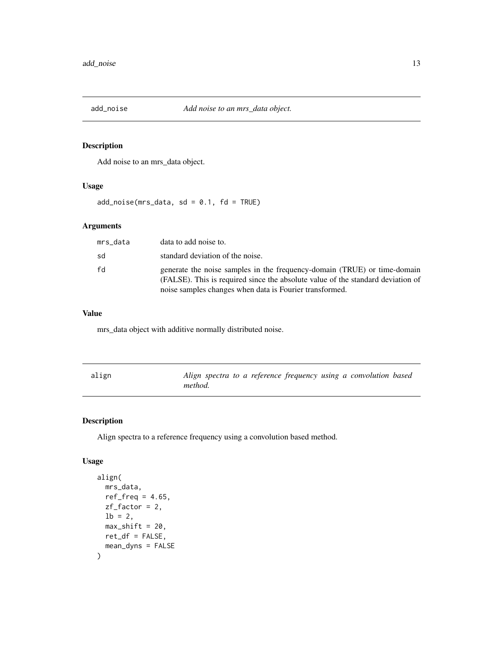<span id="page-12-0"></span>

Add noise to an mrs\_data object.

### Usage

 $add\_noise(mrs\_data, sd = 0.1, fd = TRUE)$ 

# Arguments

| mrs data | data to add noise to.                                                                                                                                                                                                  |
|----------|------------------------------------------------------------------------------------------------------------------------------------------------------------------------------------------------------------------------|
| sd       | standard deviation of the noise.                                                                                                                                                                                       |
| fd       | generate the noise samples in the frequency-domain (TRUE) or time-domain<br>(FALSE). This is required since the absolute value of the standard deviation of<br>noise samples changes when data is Fourier transformed. |

### Value

mrs\_data object with additive normally distributed noise.

| align | Align spectra to a reference frequency using a convolution based |
|-------|------------------------------------------------------------------|
|       | method.                                                          |

# Description

Align spectra to a reference frequency using a convolution based method.

# Usage

```
align(
  mrs_data,
  ref\_freq = 4.65,
  zf_factor = 2,
  1b = 2,
  max\_shift = 20,
  ret_df = FALSE,
  mean_dyns = FALSE
\mathcal{E}
```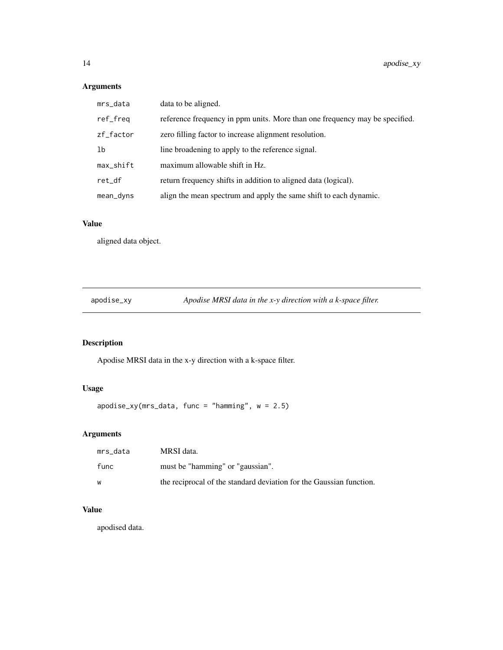# <span id="page-13-0"></span>Arguments

| mrs_data     | data to be aligned.                                                         |
|--------------|-----------------------------------------------------------------------------|
| ref_freq     | reference frequency in ppm units. More than one frequency may be specified. |
| zf_factor    | zero filling factor to increase alignment resolution.                       |
| 1b           | line broadening to apply to the reference signal.                           |
| $max$ _shift | maximum allowable shift in Hz.                                              |
| ret_df       | return frequency shifts in addition to aligned data (logical).              |
| mean_dyns    | align the mean spectrum and apply the same shift to each dynamic.           |

# Value

aligned data object.

apodise\_xy *Apodise MRSI data in the x-y direction with a k-space filter.*

# Description

Apodise MRSI data in the x-y direction with a k-space filter.

# Usage

apodise\_xy(mrs\_data, func = "hamming", w = 2.5)

# Arguments

| mrs data | MRSI data.                                                          |
|----------|---------------------------------------------------------------------|
| func     | must be "hamming" or "gaussian".                                    |
| w        | the reciprocal of the standard deviation for the Gaussian function. |

# Value

apodised data.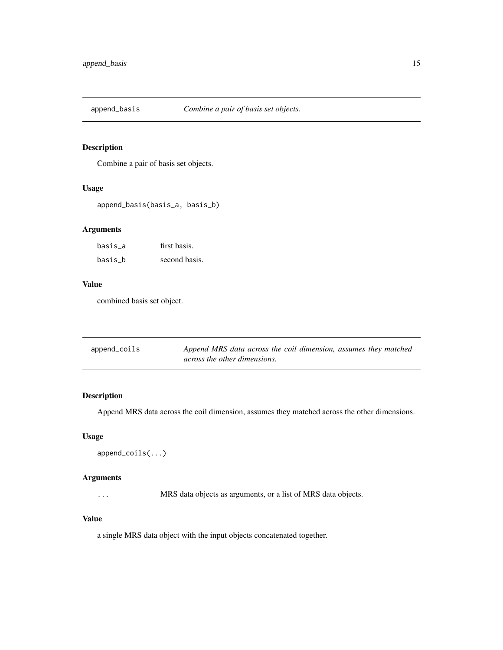<span id="page-14-0"></span>

Combine a pair of basis set objects.

#### Usage

append\_basis(basis\_a, basis\_b)

# Arguments

| basis a | first basis.  |
|---------|---------------|
| basis b | second basis. |

# Value

combined basis set object.

| append_coils | Append MRS data across the coil dimension, assumes they matched |
|--------------|-----------------------------------------------------------------|
|              | across the other dimensions.                                    |

# Description

Append MRS data across the coil dimension, assumes they matched across the other dimensions.

#### Usage

```
append_coils(...)
```
# Arguments

... MRS data objects as arguments, or a list of MRS data objects.

### Value

a single MRS data object with the input objects concatenated together.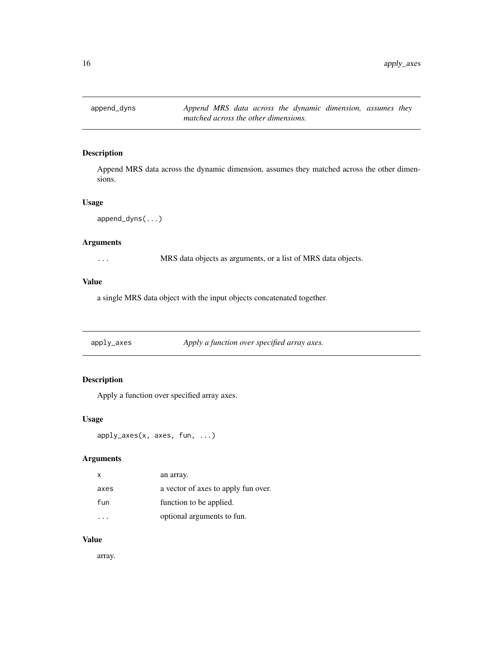<span id="page-15-0"></span>

Append MRS data across the dynamic dimension, assumes they matched across the other dimensions.

#### Usage

```
append_dyns(...)
```
#### Arguments

... MRS data objects as arguments, or a list of MRS data objects.

#### Value

a single MRS data object with the input objects concatenated together.

apply\_axes *Apply a function over specified array axes.*

# Description

Apply a function over specified array axes.

### Usage

```
apply_axes(x, axes, fun, ...)
```
### Arguments

| x    | an array.                           |
|------|-------------------------------------|
| axes | a vector of axes to apply fun over. |
| fun  | function to be applied.             |
|      | optional arguments to fun.          |

### Value

array.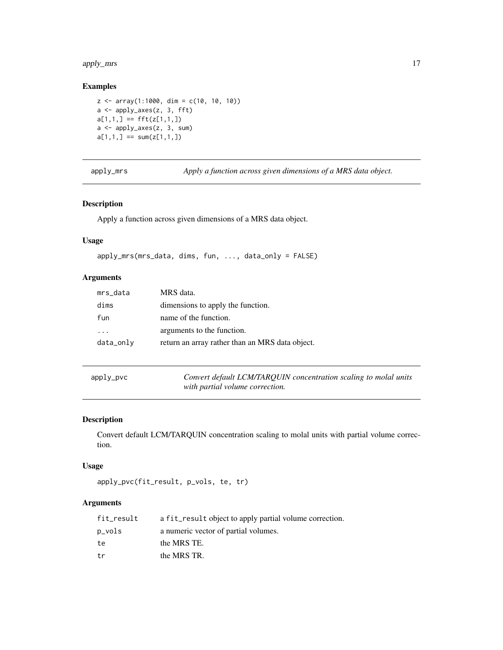# <span id="page-16-0"></span>apply\_mrs 17

### Examples

```
z \le -\arctan(1:1000, \, \text{dim} = \text{c}(10, 10, 10))a <- apply_axes(z, 3, fft)
a[1,1,] == fft(z[1,1,])a <- apply_axes(z, 3, sum)
a[1,1,] == sum(z[1,1,])
```
apply\_mrs *Apply a function across given dimensions of a MRS data object.*

### Description

Apply a function across given dimensions of a MRS data object.

#### Usage

```
apply_mrs(mrs_data, dims, fun, ..., data_only = FALSE)
```
# Arguments

| mrs_data  | MRS data.                                       |
|-----------|-------------------------------------------------|
| dims      | dimensions to apply the function.               |
| fun       | name of the function.                           |
| .         | arguments to the function.                      |
| data_only | return an array rather than an MRS data object. |

| apply_pvc |  |
|-----------|--|
|-----------|--|

ly\_pvc *Convert default LCM/TARQUIN concentration scaling to molal units with partial volume correction.*

# Description

Convert default LCM/TARQUIN concentration scaling to molal units with partial volume correction.

#### Usage

```
apply_pvc(fit_result, p_vols, te, tr)
```
# Arguments

| fit_result | a fit_result object to apply partial volume correction. |
|------------|---------------------------------------------------------|
| p_vols     | a numeric vector of partial volumes.                    |
| te         | the MRS TE.                                             |
| tr         | the MRS TR.                                             |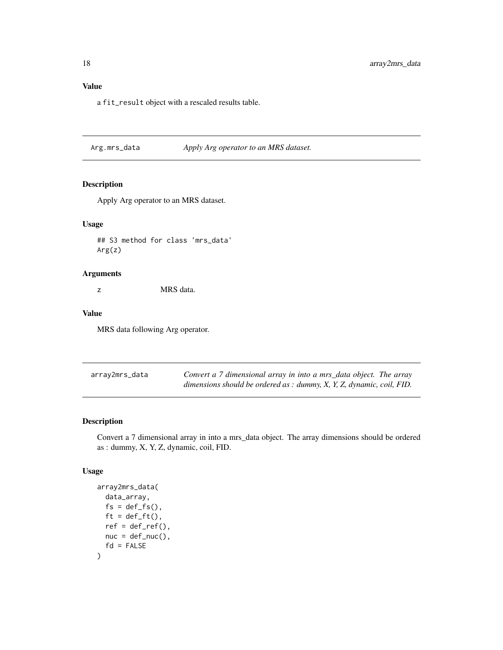# <span id="page-17-0"></span>Value

a fit\_result object with a rescaled results table.

Arg.mrs\_data *Apply Arg operator to an MRS dataset.*

# Description

Apply Arg operator to an MRS dataset.

# Usage

## S3 method for class 'mrs\_data' Arg(z)

# Arguments

z MRS data.

### Value

MRS data following Arg operator.

| array2mrs_data | Convert a 7 dimensional array in into a mrs_data object. The array                |
|----------------|-----------------------------------------------------------------------------------|
|                | dimensions should be ordered as : dummy, $X$ , $Y$ , $Z$ , dynamic, coil, $FID$ . |

# Description

Convert a 7 dimensional array in into a mrs\_data object. The array dimensions should be ordered as : dummy, X, Y, Z, dynamic, coil, FID.

#### Usage

```
array2mrs_data(
  data_array,
  fs = def_fs(),
 ft = def_f(t),ref = def_ref(),nuc = def_nuc(),
  fd = FALSE\mathcal{E}
```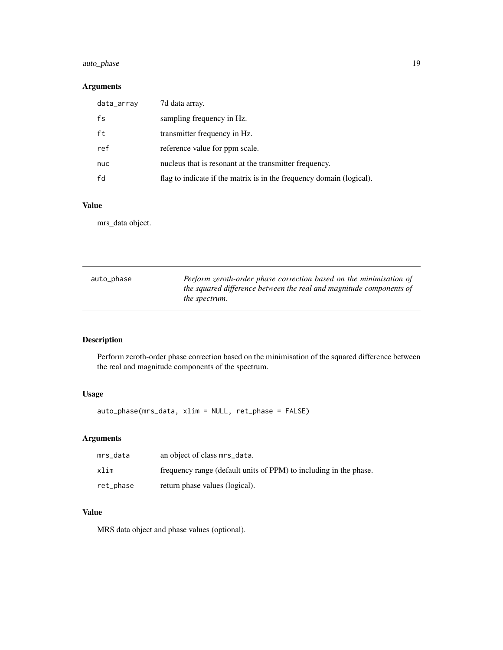# <span id="page-18-0"></span>auto\_phase 19

# Arguments

| data_array | 7d data array.                                                       |
|------------|----------------------------------------------------------------------|
| fs         | sampling frequency in Hz.                                            |
| ft         | transmitter frequency in Hz.                                         |
| ref        | reference value for ppm scale.                                       |
| nuc        | nucleus that is resonant at the transmitter frequency.               |
| fd         | flag to indicate if the matrix is in the frequency domain (logical). |

# Value

mrs\_data object.

| auto_phase | Perform zeroth-order phase correction based on the minimisation of  |
|------------|---------------------------------------------------------------------|
|            | the squared difference between the real and magnitude components of |
|            | <i>the spectrum.</i>                                                |

# Description

Perform zeroth-order phase correction based on the minimisation of the squared difference between the real and magnitude components of the spectrum.

# Usage

auto\_phase(mrs\_data, xlim = NULL, ret\_phase = FALSE)

# Arguments

| mrs data  | an object of class mrs_data.                                      |
|-----------|-------------------------------------------------------------------|
| xlim      | frequency range (default units of PPM) to including in the phase. |
| ret_phase | return phase values (logical).                                    |

# Value

MRS data object and phase values (optional).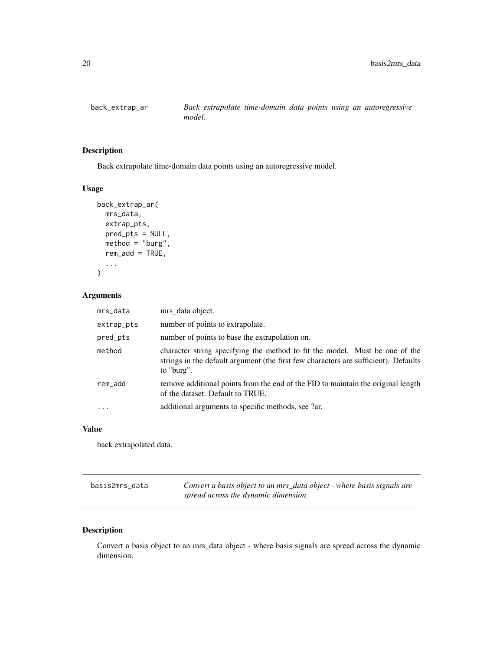<span id="page-19-0"></span>

Back extrapolate time-domain data points using an autoregressive model.

# Usage

```
back_extrap_ar(
  mrs_data,
  extrap_pts,
  pred_pts = NULL,
  method = "burg",
  rem\_add = TRUE,...
)
```
# Arguments

| mrs_data   | mrs_data object.                                                                                                                                                                 |
|------------|----------------------------------------------------------------------------------------------------------------------------------------------------------------------------------|
| extrap_pts | number of points to extrapolate.                                                                                                                                                 |
| pred_pts   | number of points to base the extrapolation on.                                                                                                                                   |
| method     | character string specifying the method to fit the model. Must be one of the<br>strings in the default argument (the first few characters are sufficient). Defaults<br>to "burg". |
| rem_add    | remove additional points from the end of the FID to maintain the original length<br>of the dataset. Default to TRUE.                                                             |
| $\ddots$   | additional arguments to specific methods, see ?ar.                                                                                                                               |
|            |                                                                                                                                                                                  |

#### Value

back extrapolated data.

| basis2mrs data | Convert a basis object to an mrs_data object - where basis signals are |
|----------------|------------------------------------------------------------------------|
|                | spread across the dynamic dimension.                                   |

# Description

Convert a basis object to an mrs\_data object - where basis signals are spread across the dynamic dimension.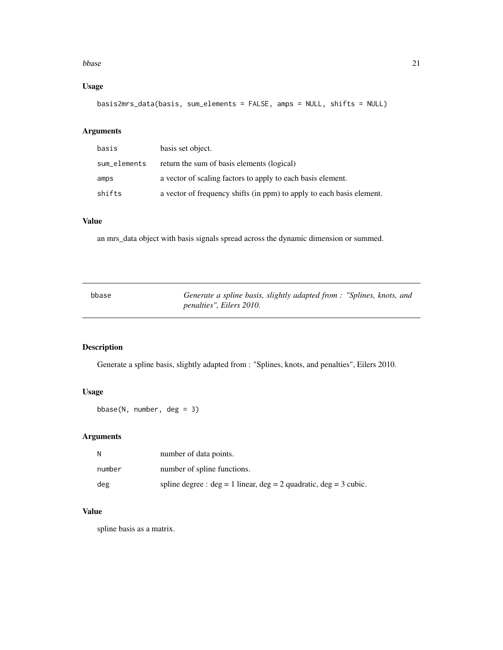#### <span id="page-20-0"></span>bbase 21

# Usage

basis2mrs\_data(basis, sum\_elements = FALSE, amps = NULL, shifts = NULL)

# Arguments

| basis        | basis set object.                                                     |
|--------------|-----------------------------------------------------------------------|
| sum_elements | return the sum of basis elements (logical)                            |
| amps         | a vector of scaling factors to apply to each basis element.           |
| shifts       | a vector of frequency shifts (in ppm) to apply to each basis element. |

### Value

an mrs\_data object with basis signals spread across the dynamic dimension or summed.

| bbase | Generate a spline basis, slightly adapted from : "Splines, knots, and |  |
|-------|-----------------------------------------------------------------------|--|
|       | <i>penalties", Eilers 2010.</i>                                       |  |

# Description

Generate a spline basis, slightly adapted from : "Splines, knots, and penalties", Eilers 2010.

# Usage

bbase(N, number, deg = 3)

# Arguments

|        | number of data points.                                                  |
|--------|-------------------------------------------------------------------------|
| number | number of spline functions.                                             |
| deg    | spline degree : $deg = 1$ linear, $deg = 2$ quadratic, $deg = 3$ cubic. |

### Value

spline basis as a matrix.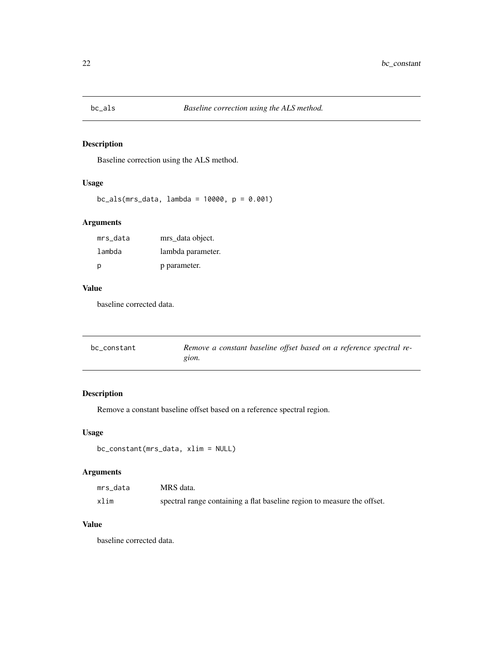<span id="page-21-0"></span>

Baseline correction using the ALS method.

#### Usage

bc\_als(mrs\_data, lambda = 10000, p = 0.001)

# Arguments

| mrs_data | mrs data object.  |
|----------|-------------------|
| lambda   | lambda parameter. |
| p        | p parameter.      |

### Value

baseline corrected data.

| bc constant | Remove a constant baseline offset based on a reference spectral re- |
|-------------|---------------------------------------------------------------------|
|             | gion.                                                               |

# Description

Remove a constant baseline offset based on a reference spectral region.

# Usage

```
bc_constant(mrs_data, xlim = NULL)
```
# Arguments

| mrs data | MRS data.                                                               |
|----------|-------------------------------------------------------------------------|
| xlim     | spectral range containing a flat baseline region to measure the offset. |

# Value

baseline corrected data.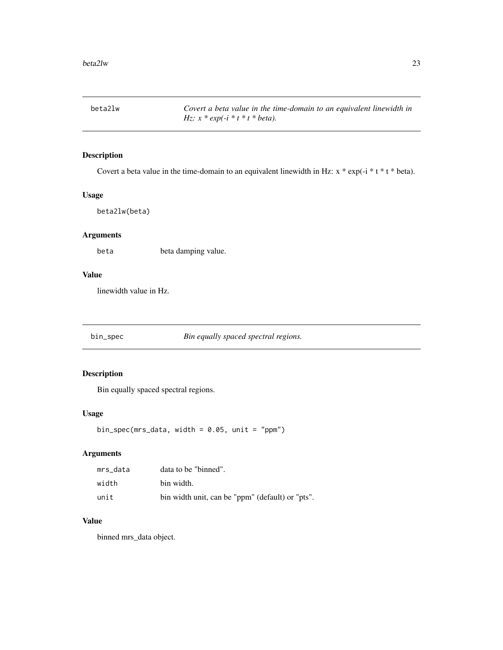<span id="page-22-0"></span>beta2lw *Covert a beta value in the time-domain to an equivalent linewidth in Hz: x \* exp(-i \* t \* t \* beta).*

# Description

Covert a beta value in the time-domain to an equivalent linewidth in Hz:  $x * exp(-i * t * t * beta)$ .

### Usage

beta2lw(beta)

# Arguments

beta beta damping value.

#### Value

linewidth value in Hz.

bin\_spec *Bin equally spaced spectral regions.*

# Description

Bin equally spaced spectral regions.

#### Usage

bin\_spec(mrs\_data, width =  $0.05$ , unit = "ppm")

# Arguments

| mrs data | data to be "binned".                             |
|----------|--------------------------------------------------|
| width    | bin width.                                       |
| unit     | bin width unit, can be "ppm" (default) or "pts". |

# Value

binned mrs\_data object.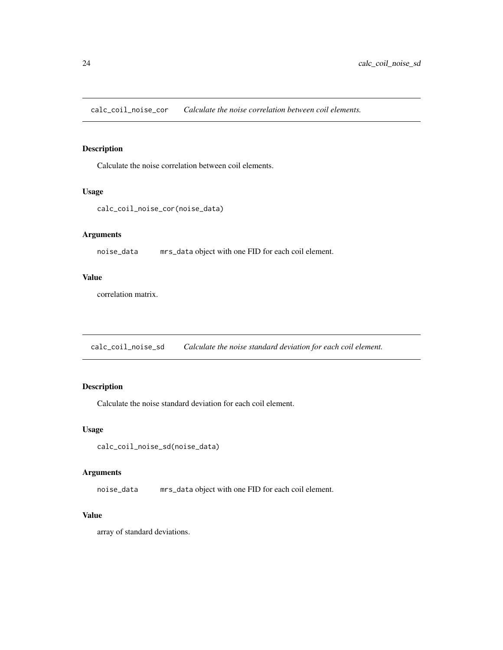<span id="page-23-0"></span>calc\_coil\_noise\_cor *Calculate the noise correlation between coil elements.*

# Description

Calculate the noise correlation between coil elements.

### Usage

```
calc_coil_noise_cor(noise_data)
```
# Arguments

noise\_data mrs\_data object with one FID for each coil element.

# Value

correlation matrix.

calc\_coil\_noise\_sd *Calculate the noise standard deviation for each coil element.*

# Description

Calculate the noise standard deviation for each coil element.

### Usage

```
calc_coil_noise_sd(noise_data)
```
#### Arguments

noise\_data mrs\_data object with one FID for each coil element.

# Value

array of standard deviations.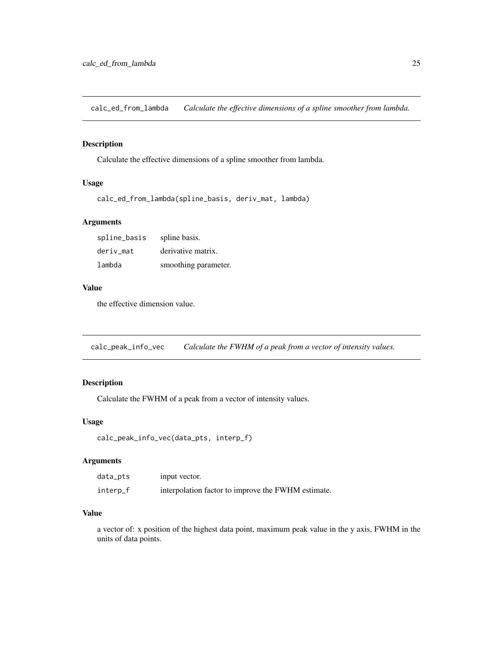<span id="page-24-0"></span>calc\_ed\_from\_lambda *Calculate the effective dimensions of a spline smoother from lambda.*

# Description

Calculate the effective dimensions of a spline smoother from lambda.

### Usage

```
calc_ed_from_lambda(spline_basis, deriv_mat, lambda)
```
# Arguments

| spline_basis | spline basis.        |
|--------------|----------------------|
| deriv mat    | derivative matrix.   |
| lambda       | smoothing parameter. |

#### Value

the effective dimension value.

calc\_peak\_info\_vec *Calculate the FWHM of a peak from a vector of intensity values.*

# Description

Calculate the FWHM of a peak from a vector of intensity values.

### Usage

```
calc_peak_info_vec(data_pts, interp_f)
```
# Arguments

| data_pts | input vector.                                      |
|----------|----------------------------------------------------|
| interp_f | interpolation factor to improve the FWHM estimate. |

#### Value

a vector of: x position of the highest data point, maximum peak value in the y axis, FWHM in the units of data points.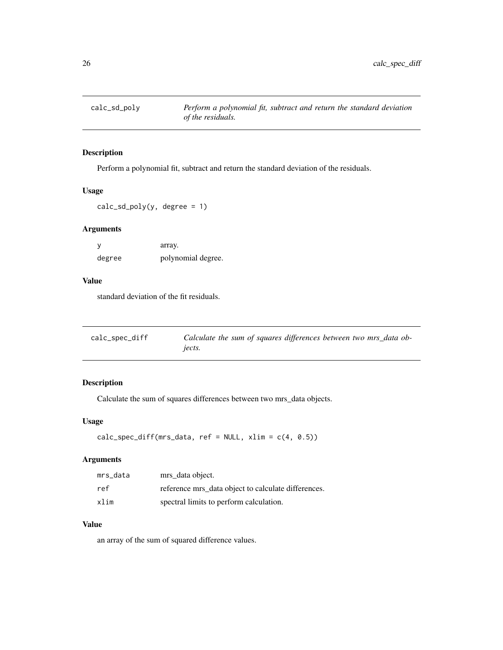<span id="page-25-0"></span>

Perform a polynomial fit, subtract and return the standard deviation of the residuals.

#### Usage

 $calc\_sd\_poly(y, degree = 1)$ 

# Arguments

|        | array.             |
|--------|--------------------|
| degree | polynomial degree. |

# Value

standard deviation of the fit residuals.

| calc_spec_diff | Calculate the sum of squares differences between two mrs_data ob- |
|----------------|-------------------------------------------------------------------|
|                | jects.                                                            |

# Description

Calculate the sum of squares differences between two mrs\_data objects.

### Usage

```
calc_spec_diff(mrs_data, ref = NULL, xlim = c(4, 0.5))
```
# Arguments

| mrs data | mrs_data object.                                    |
|----------|-----------------------------------------------------|
| ref      | reference mrs_data object to calculate differences. |
| xlim     | spectral limits to perform calculation.             |

# Value

an array of the sum of squared difference values.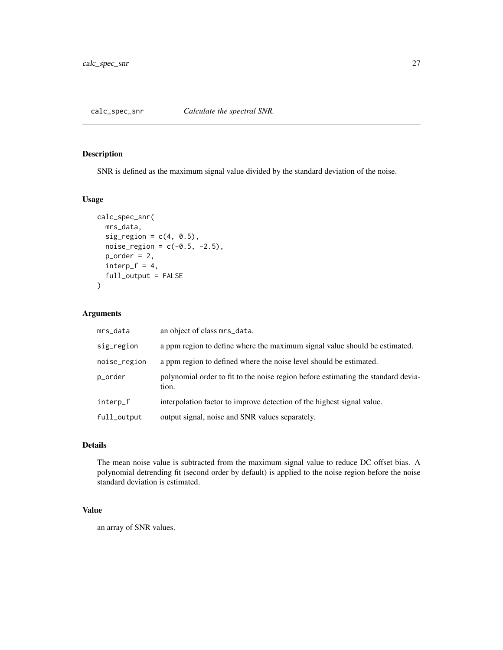<span id="page-26-0"></span>

SNR is defined as the maximum signal value divided by the standard deviation of the noise.

### Usage

```
calc_spec_snr(
  mrs_data,
  sig\_region = c(4, 0.5),
  noise_{region} = c(-0.5, -2.5),
  p_{\text{order}} = 2,
  interp_f = 4,
  full_output = FALSE
)
```
# Arguments

| mrs_data     | an object of class mrs_data.                                                               |
|--------------|--------------------------------------------------------------------------------------------|
| sig_region   | a ppm region to define where the maximum signal value should be estimated.                 |
| noise_region | a ppm region to defined where the noise level should be estimated.                         |
| p_order      | polynomial order to fit to the noise region before estimating the standard devia-<br>tion. |
| interp_f     | interpolation factor to improve detection of the highest signal value.                     |
| full_output  | output signal, noise and SNR values separately.                                            |

#### Details

The mean noise value is subtracted from the maximum signal value to reduce DC offset bias. A polynomial detrending fit (second order by default) is applied to the noise region before the noise standard deviation is estimated.

# Value

an array of SNR values.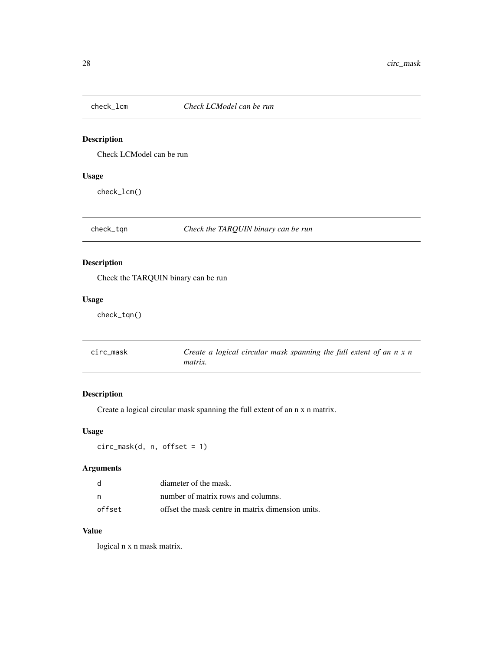<span id="page-27-0"></span>

Check LCModel can be run

# Usage

check\_lcm()

check\_tqn *Check the TARQUIN binary can be run*

# Description

Check the TARQUIN binary can be run

# Usage

check\_tqn()

| circ mask | Create a logical circular mask spanning the full extent of an $n \times n$ |
|-----------|----------------------------------------------------------------------------|
|           | <i>matrix.</i>                                                             |

# Description

Create a logical circular mask spanning the full extent of an n x n matrix.

# Usage

circ\_mask(d, n, offset = 1)

# Arguments

|        | diameter of the mask.                             |
|--------|---------------------------------------------------|
| - n    | number of matrix rows and columns.                |
| offset | offset the mask centre in matrix dimension units. |

# Value

logical n x n mask matrix.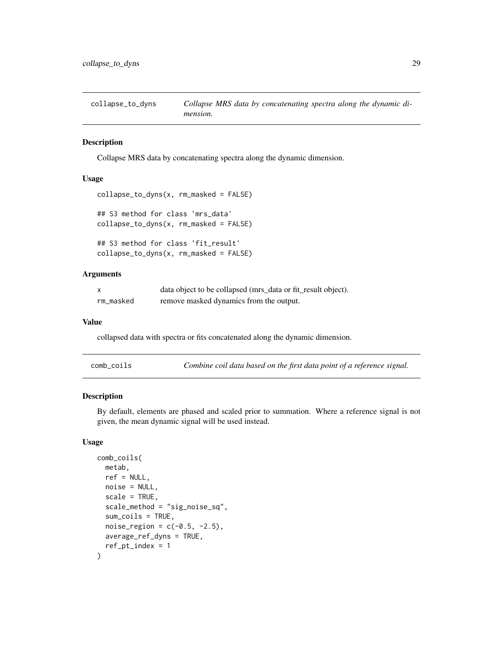<span id="page-28-0"></span>collapse\_to\_dyns *Collapse MRS data by concatenating spectra along the dynamic dimension.*

### Description

Collapse MRS data by concatenating spectra along the dynamic dimension.

### Usage

```
collapse_to_dyns(x, rm_masked = FALSE)
## S3 method for class 'mrs_data'
collapse_to_dyns(x, rm_masked = FALSE)
## S3 method for class 'fit_result'
```
collapse\_to\_dyns(x, rm\_masked = FALSE)

#### Arguments

|           | data object to be collapsed (mrs_data or fit_result object). |
|-----------|--------------------------------------------------------------|
| rm_masked | remove masked dynamics from the output.                      |

#### Value

collapsed data with spectra or fits concatenated along the dynamic dimension.

| comb_coils |  |  | Combine coil data based on the first data point of a reference signal. |  |
|------------|--|--|------------------------------------------------------------------------|--|
|------------|--|--|------------------------------------------------------------------------|--|

#### Description

By default, elements are phased and scaled prior to summation. Where a reference signal is not given, the mean dynamic signal will be used instead.

# Usage

```
comb_coils(
  metab,
  ref = NULL,noise = NULL,
  scale = TRUE,
  scale_method = "sig_noise_sq",
  sum_coils = TRUE,
  noise_{region} = c(-0.5, -2.5),
  average_ref_dyns = TRUE,
  ref\_pt\_index = 1)
```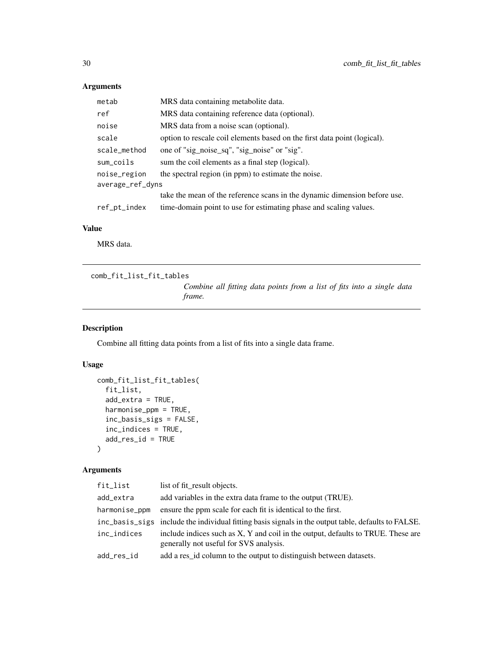# Arguments

| metab            | MRS data containing metabolite data.                                      |
|------------------|---------------------------------------------------------------------------|
| ref              | MRS data containing reference data (optional).                            |
| noise            | MRS data from a noise scan (optional).                                    |
| scale            | option to rescale coil elements based on the first data point (logical).  |
| scale_method     | one of "sig_noise_sq", "sig_noise" or "sig".                              |
| sum_coils        | sum the coil elements as a final step (logical).                          |
| noise_region     | the spectral region (in ppm) to estimate the noise.                       |
| average_ref_dyns |                                                                           |
|                  | take the mean of the reference scans in the dynamic dimension before use. |
| ref_pt_index     | time-domain point to use for estimating phase and scaling values.         |

### Value

MRS data.

comb\_fit\_list\_fit\_tables

*Combine all fitting data points from a list of fits into a single data frame.*

# Description

Combine all fitting data points from a list of fits into a single data frame.

# Usage

```
comb_fit_list_fit_tables(
  fit_list,
  add_extra = TRUE,
 harmonise_ppm = TRUE,
  inc_basis_sigs = FALSE,
  inc_indices = TRUE,
 add_res_id = TRUE
\lambda
```
# Arguments

| fit_list      | list of fit_result objects.                                                                                                |
|---------------|----------------------------------------------------------------------------------------------------------------------------|
| add_extra     | add variables in the extra data frame to the output (TRUE).                                                                |
| harmonise_ppm | ensure the ppm scale for each fit is identical to the first.                                                               |
|               | inc_basis_sigs include the individual fitting basis signals in the output table, defaults to FALSE.                        |
| inc_indices   | include indices such as X, Y and coil in the output, defaults to TRUE. These are<br>generally not useful for SVS analysis. |
| add_res_id    | add a res_id column to the output to distinguish between datasets.                                                         |

<span id="page-29-0"></span>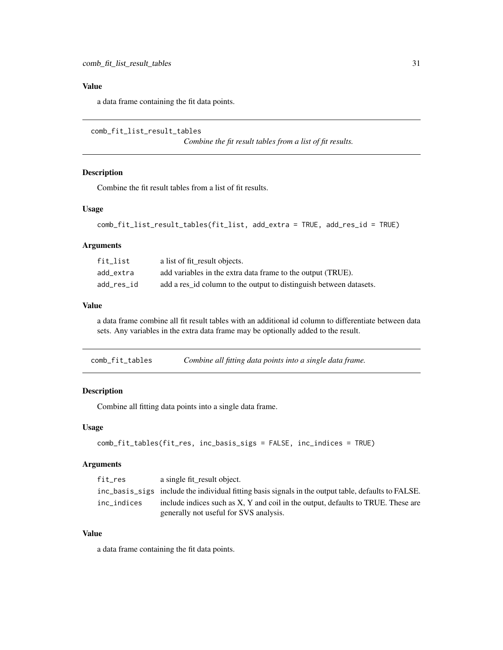# <span id="page-30-0"></span>Value

a data frame containing the fit data points.

```
comb_fit_list_result_tables
```
*Combine the fit result tables from a list of fit results.*

#### Description

Combine the fit result tables from a list of fit results.

#### Usage

```
comb_fit_list_result_tables(fit_list, add_extra = TRUE, add_res_id = TRUE)
```
### Arguments

| fit list   | a list of fit_result objects.                                      |
|------------|--------------------------------------------------------------------|
| add extra  | add variables in the extra data frame to the output (TRUE).        |
| add_res_id | add a res id column to the output to distinguish between datasets. |

#### Value

a data frame combine all fit result tables with an additional id column to differentiate between data sets. Any variables in the extra data frame may be optionally added to the result.

| comb_fit_tables |  |  | Combine all fitting data points into a single data frame. |
|-----------------|--|--|-----------------------------------------------------------|
|-----------------|--|--|-----------------------------------------------------------|

#### Description

Combine all fitting data points into a single data frame.

#### Usage

```
comb_fit_tables(fit_res, inc_basis_sigs = FALSE, inc_indices = TRUE)
```
#### Arguments

| fit_res     | a single fit_result object.                                                                         |
|-------------|-----------------------------------------------------------------------------------------------------|
|             | inc basis sigs include the individual fitting basis signals in the output table, defaults to FALSE. |
| inc indices | include indices such as X, Y and coil in the output, defaults to TRUE. These are                    |
|             | generally not useful for SVS analysis.                                                              |

# Value

a data frame containing the fit data points.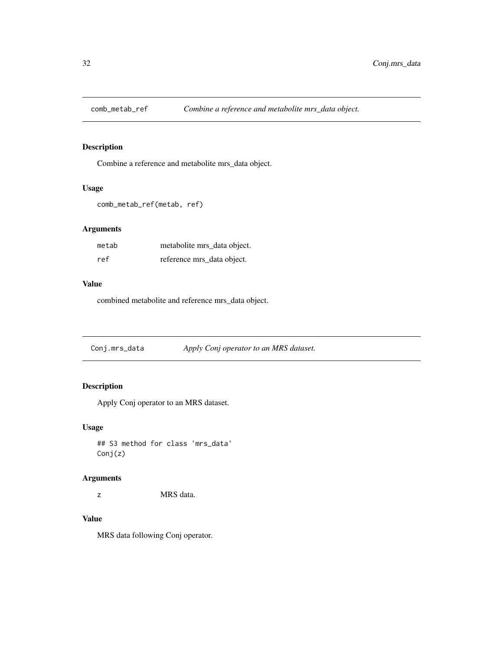<span id="page-31-0"></span>

Combine a reference and metabolite mrs\_data object.

### Usage

```
comb_metab_ref(metab, ref)
```
# Arguments

| metab | metabolite mrs data object. |
|-------|-----------------------------|
| ref   | reference mrs_data object.  |

# Value

combined metabolite and reference mrs\_data object.

Conj.mrs\_data *Apply Conj operator to an MRS dataset.*

# Description

Apply Conj operator to an MRS dataset.

# Usage

## S3 method for class 'mrs\_data' Conj(z)

#### Arguments

z MRS data.

# Value

MRS data following Conj operator.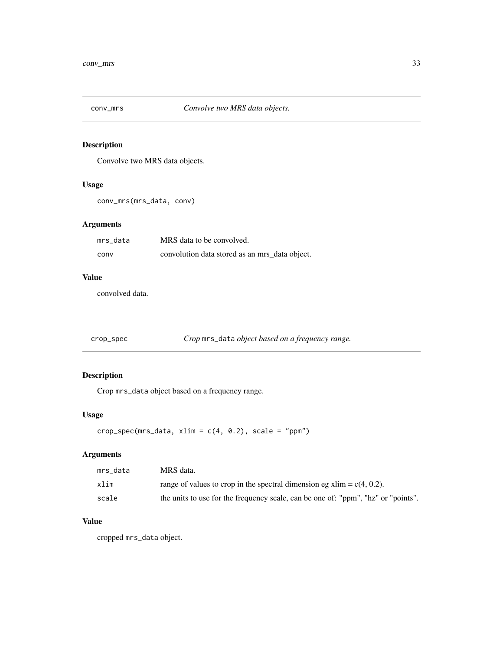<span id="page-32-0"></span>

Convolve two MRS data objects.

# Usage

```
conv_mrs(mrs_data, conv)
```
# Arguments

| mrs data | MRS data to be convolved.                      |
|----------|------------------------------------------------|
| conv     | convolution data stored as an mrs_data object. |

### Value

convolved data.

crop\_spec *Crop* mrs\_data *object based on a frequency range.*

# Description

Crop mrs\_data object based on a frequency range.

# Usage

```
crop\_spec(mrs\_data, xlim = c(4, 0.2), scale = "ppm")
```
# Arguments

| mrs data | MRS data.                                                                         |
|----------|-----------------------------------------------------------------------------------|
| xlim     | range of values to crop in the spectral dimension eg $xlim = c(4, 0.2)$ .         |
| scale    | the units to use for the frequency scale, can be one of: "ppm", "hz" or "points". |

### Value

cropped mrs\_data object.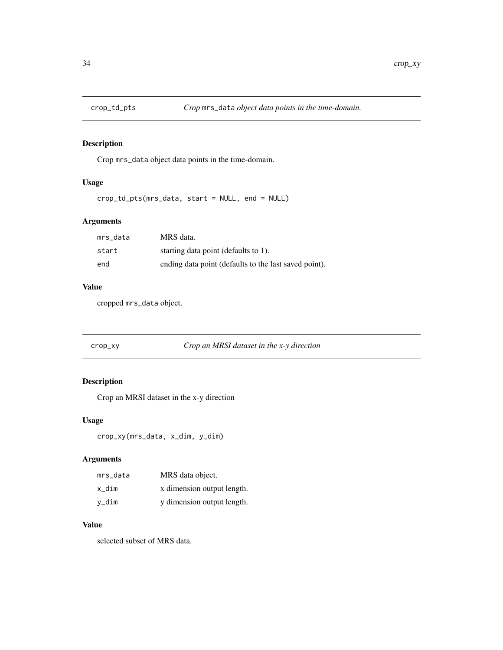<span id="page-33-0"></span>

Crop mrs\_data object data points in the time-domain.

# Usage

crop\_td\_pts(mrs\_data, start = NULL, end = NULL)

# Arguments

| mrs data | MRS data.                                             |
|----------|-------------------------------------------------------|
| start    | starting data point (defaults to 1).                  |
| end      | ending data point (defaults to the last saved point). |

# Value

cropped mrs\_data object.

# Description

Crop an MRSI dataset in the x-y direction

### Usage

crop\_xy(mrs\_data, x\_dim, y\_dim)

# Arguments

| mrs data | MRS data object.           |
|----------|----------------------------|
| x dim    | x dimension output length. |
| y_dim    | y dimension output length. |

# Value

selected subset of MRS data.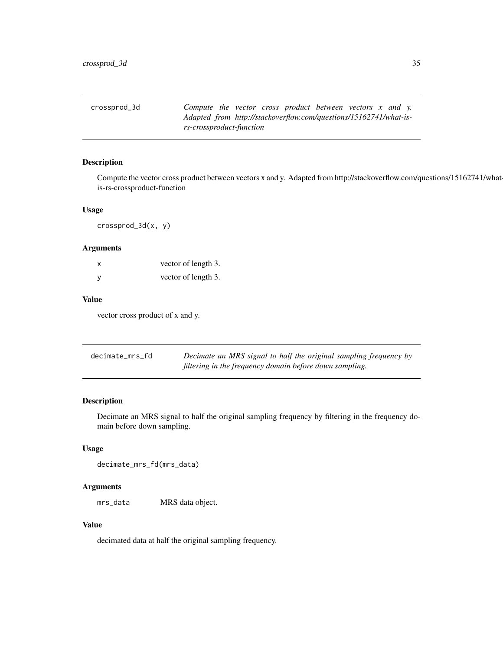<span id="page-34-0"></span>

| crossprod_3d | Compute the vector cross product between vectors $x$ and $y$ .    |  |  |  |  |  |
|--------------|-------------------------------------------------------------------|--|--|--|--|--|
|              | Adapted from http://stackoverflow.com/questions/15162741/what-is- |  |  |  |  |  |
|              | rs-crossproduct-function                                          |  |  |  |  |  |

Compute the vector cross product between vectors x and y. Adapted from http://stackoverflow.com/questions/15162741/whatis-rs-crossproduct-function

#### Usage

crossprod\_3d(x, y)

# Arguments

| X            | vector of length 3. |
|--------------|---------------------|
| $\mathsf{v}$ | vector of length 3. |

### Value

vector cross product of x and y.

| decimate mrs fd | Decimate an MRS signal to half the original sampling frequency by |
|-----------------|-------------------------------------------------------------------|
|                 | filtering in the frequency domain before down sampling.           |

# Description

Decimate an MRS signal to half the original sampling frequency by filtering in the frequency domain before down sampling.

### Usage

decimate\_mrs\_fd(mrs\_data)

# Arguments

mrs\_data MRS data object.

### Value

decimated data at half the original sampling frequency.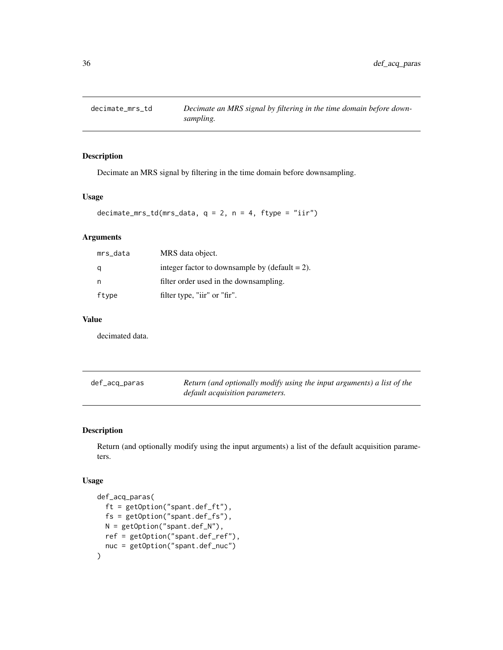<span id="page-35-0"></span>

Decimate an MRS signal by filtering in the time domain before downsampling.

# Usage

```
decimate_mrs_td(mrs_data, q = 2, n = 4, ftype = "iir")
```
# Arguments

| mrs_data | MRS data object.                                  |
|----------|---------------------------------------------------|
|          | integer factor to downsample by $(detault = 2)$ . |
| n        | filter order used in the downsampling.            |
| ftype    | filter type, "iir" or "fir".                      |

# Value

decimated data.

| def_acq_paras | Return (and optionally modify using the input arguments) a list of the |
|---------------|------------------------------------------------------------------------|
|               | default acquisition parameters.                                        |

### Description

Return (and optionally modify using the input arguments) a list of the default acquisition parameters.

#### Usage

```
def_acq_paras(
  ft = getOption("spant.def_ft"),
 fs = getOption("spant.def_fs"),
 N = getOption("spant.def_N"),
 ref = getOption("spant.def_ref"),
  nuc = getOption("spant.def_nuc")
\mathcal{E}
```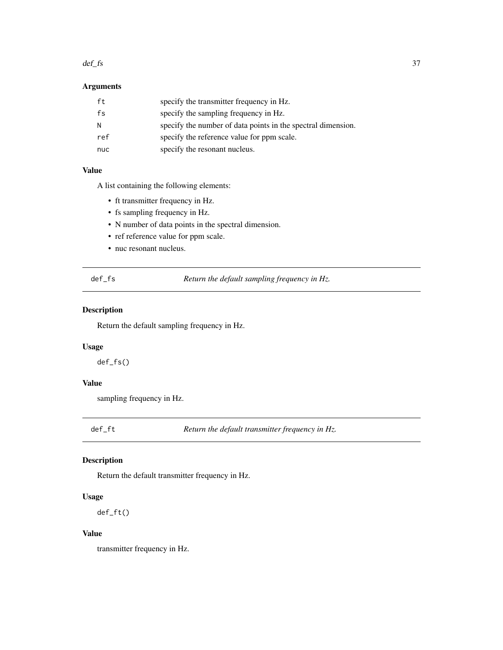#### $def\_fs$  37

# Arguments

| ft  | specify the transmitter frequency in Hz.                     |
|-----|--------------------------------------------------------------|
| fs  | specify the sampling frequency in Hz.                        |
| N   | specify the number of data points in the spectral dimension. |
| ref | specify the reference value for ppm scale.                   |
| nuc | specify the resonant nucleus.                                |

### Value

A list containing the following elements:

- ft transmitter frequency in Hz.
- fs sampling frequency in Hz.
- N number of data points in the spectral dimension.
- ref reference value for ppm scale.
- nuc resonant nucleus.

def\_fs *Return the default sampling frequency in Hz.*

### Description

Return the default sampling frequency in Hz.

#### Usage

def\_fs()

### Value

sampling frequency in Hz.

def\_ft *Return the default transmitter frequency in Hz.*

# Description

Return the default transmitter frequency in Hz.

#### Usage

def\_ft()

### Value

transmitter frequency in Hz.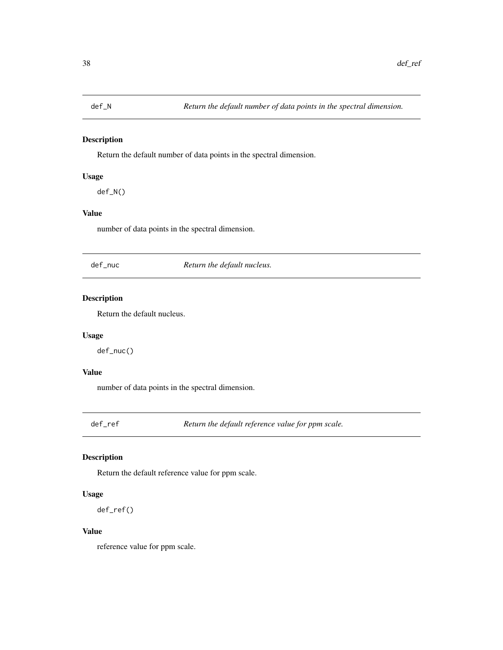Return the default number of data points in the spectral dimension.

### Usage

def\_N()

# Value

number of data points in the spectral dimension.

def\_nuc *Return the default nucleus.*

# Description

Return the default nucleus.

#### Usage

def\_nuc()

# Value

number of data points in the spectral dimension.

def\_ref *Return the default reference value for ppm scale.*

### Description

Return the default reference value for ppm scale.

#### Usage

def\_ref()

#### Value

reference value for ppm scale.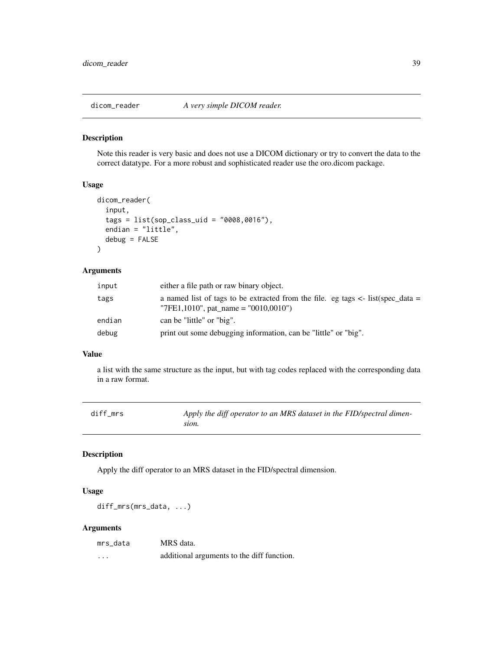Note this reader is very basic and does not use a DICOM dictionary or try to convert the data to the correct datatype. For a more robust and sophisticated reader use the oro.dicom package.

### Usage

```
dicom_reader(
  input,
  tags = list(sop_class_uid = "0008,0016"),
  endian = "little",
  debug = FALSE
\lambda
```
# Arguments

| input  | either a file path or raw binary object.                                                                                     |
|--------|------------------------------------------------------------------------------------------------------------------------------|
| tags   | a named list of tags to be extracted from the file. eg tags $\lt$ - list(spec_data =<br>"7FE1,1010", pat_name = "0010,0010") |
| endian | can be "little" or "big".                                                                                                    |
| debug  | print out some debugging information, can be "little" or "big".                                                              |

### Value

a list with the same structure as the input, but with tag codes replaced with the corresponding data in a raw format.

| diff mrs | Apply the diff operator to an MRS dataset in the FID/spectral dimen- |
|----------|----------------------------------------------------------------------|
|          | sion.                                                                |

### Description

Apply the diff operator to an MRS dataset in the FID/spectral dimension.

#### Usage

diff\_mrs(mrs\_data, ...)

### Arguments

| mrs data | MRS data.                                  |
|----------|--------------------------------------------|
| $\cdots$ | additional arguments to the diff function. |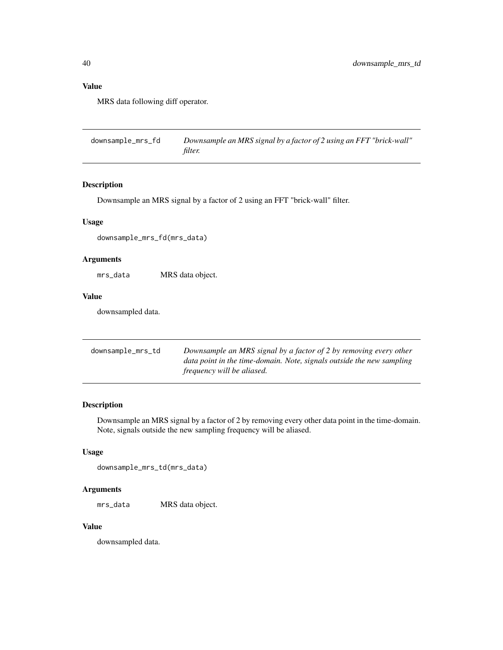# Value

MRS data following diff operator.

downsample\_mrs\_fd *Downsample an MRS signal by a factor of 2 using an FFT "brick-wall" filter.*

### Description

Downsample an MRS signal by a factor of 2 using an FFT "brick-wall" filter.

### Usage

downsample\_mrs\_fd(mrs\_data)

#### Arguments

mrs\_data MRS data object.

#### Value

downsampled data.

| downsample_mrs_td | Downsample an MRS signal by a factor of 2 by removing every other     |  |
|-------------------|-----------------------------------------------------------------------|--|
|                   | data point in the time-domain. Note, signals outside the new sampling |  |
|                   | <i>frequency will be aliased.</i>                                     |  |

### Description

Downsample an MRS signal by a factor of 2 by removing every other data point in the time-domain. Note, signals outside the new sampling frequency will be aliased.

#### Usage

downsample\_mrs\_td(mrs\_data)

#### Arguments

mrs\_data MRS data object.

#### Value

downsampled data.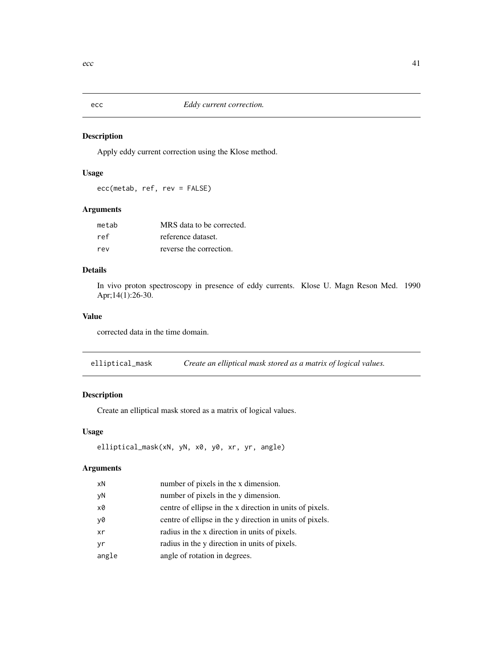Apply eddy current correction using the Klose method.

## Usage

ecc(metab, ref, rev = FALSE)

### Arguments

| metab | MRS data to be corrected. |
|-------|---------------------------|
| ref   | reference dataset.        |
| rev   | reverse the correction.   |

### Details

In vivo proton spectroscopy in presence of eddy currents. Klose U. Magn Reson Med. 1990 Apr;14(1):26-30.

### Value

corrected data in the time domain.

elliptical\_mask *Create an elliptical mask stored as a matrix of logical values.*

### Description

Create an elliptical mask stored as a matrix of logical values.

### Usage

```
elliptical_mask(xN, yN, x0, y0, xr, yr, angle)
```
### Arguments

| xN    | number of pixels in the x dimension.                     |
|-------|----------------------------------------------------------|
| yN    | number of pixels in the y dimension.                     |
| x0    | centre of ellipse in the x direction in units of pixels. |
| y0    | centre of ellipse in the y direction in units of pixels. |
| xr    | radius in the x direction in units of pixels.            |
| yr    | radius in the y direction in units of pixels.            |
| angle | angle of rotation in degrees.                            |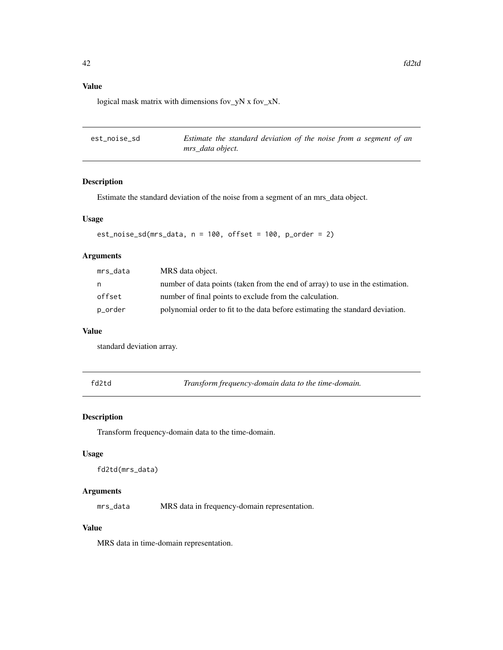## Value

logical mask matrix with dimensions fov\_yN x fov\_xN.

| est_noise_sd | Estimate the standard deviation of the noise from a segment of an |  |
|--------------|-------------------------------------------------------------------|--|
|              | mrs data object.                                                  |  |

### Description

Estimate the standard deviation of the noise from a segment of an mrs\_data object.

#### Usage

est\_noise\_sd(mrs\_data, n = 100, offset = 100, p\_order = 2)

# Arguments

| mrs_data | MRS data object.                                                              |
|----------|-------------------------------------------------------------------------------|
| n        | number of data points (taken from the end of array) to use in the estimation. |
| offset   | number of final points to exclude from the calculation.                       |
| p_order  | polynomial order to fit to the data before estimating the standard deviation. |

#### Value

standard deviation array.

fd2td *Transform frequency-domain data to the time-domain.*

### Description

Transform frequency-domain data to the time-domain.

### Usage

```
fd2td(mrs_data)
```
### Arguments

mrs\_data MRS data in frequency-domain representation.

## Value

MRS data in time-domain representation.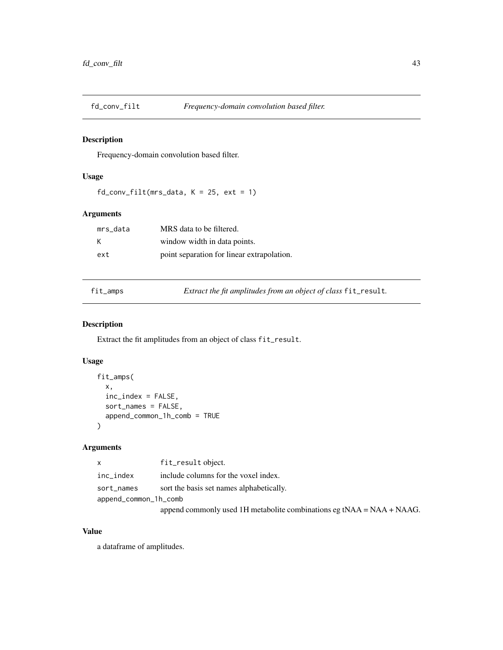Frequency-domain convolution based filter.

### Usage

 $fd_{conv_{i}} = 11t(mrs_{data}, K = 25, ext = 1)$ 

#### Arguments

| mrs data | MRS data to be filtered.                   |
|----------|--------------------------------------------|
| K        | window width in data points.               |
| ext      | point separation for linear extrapolation. |

fit\_amps *Extract the fit amplitudes from an object of class* fit\_result*.*

### Description

Extract the fit amplitudes from an object of class fit\_result.

### Usage

```
fit_amps(
  x,
  inc_index = FALSE,
  sort_names = FALSE,
  append_common_1h_comb = TRUE
\mathcal{L}
```
## Arguments

| X                     | fit_result object.                                                    |
|-----------------------|-----------------------------------------------------------------------|
| inc_index             | include columns for the voxel index.                                  |
| sort_names            | sort the basis set names alphabetically.                              |
| append_common_1h_comb |                                                                       |
|                       | append commonly used 1H metabolite combinations eg tNAA = NAA + NAAG. |

#### Value

a dataframe of amplitudes.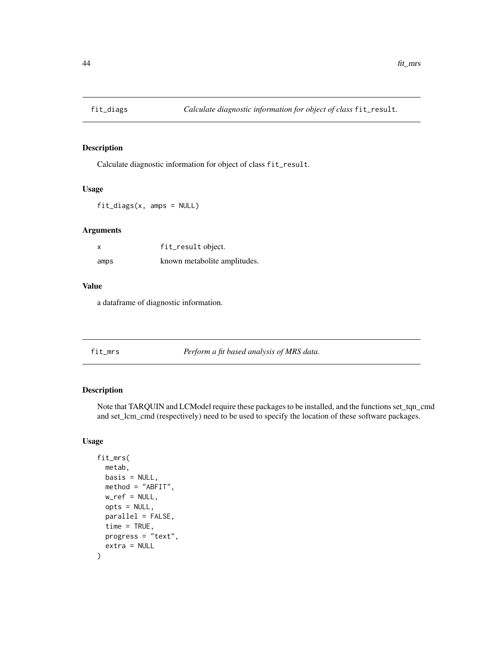Calculate diagnostic information for object of class fit\_result.

### Usage

fit\_diags(x, amps = NULL)

#### Arguments

| x    | fit_result object.           |
|------|------------------------------|
| amps | known metabolite amplitudes. |

#### Value

a dataframe of diagnostic information.

fit\_mrs *Perform a fit based analysis of MRS data.*

### Description

Note that TARQUIN and LCModel require these packages to be installed, and the functions set\_tqn\_cmd and set\_lcm\_cmd (respectively) need to be used to specify the location of these software packages.

#### Usage

```
fit_mrs(
  metab,
 basis = NULL,
 method = "ABFIT",
 w_ref = NULL,
  opts = NULL,
  parallel = FALSE,
  time = TRUE,
 progress = "text",
  extra = NULL
)
```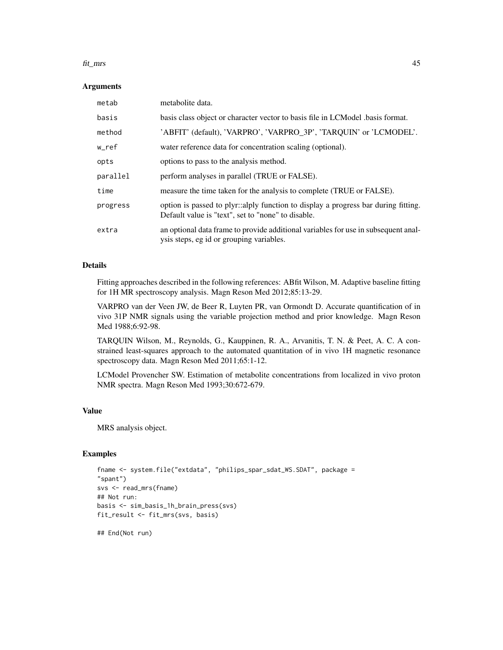#### fit\_mrs 45

#### **Arguments**

| metab    | metabolite data.                                                                                                                         |
|----------|------------------------------------------------------------------------------------------------------------------------------------------|
| basis    | basis class object or character vector to basis file in LCModel basis format.                                                            |
| method   | 'ABFIT' (default), 'VARPRO', 'VARPRO 3P', 'TARQUIN' or 'LCMODEL'.                                                                        |
| w_ref    | water reference data for concentration scaling (optional).                                                                               |
| opts     | options to pass to the analysis method.                                                                                                  |
| parallel | perform analyses in parallel (TRUE or FALSE).                                                                                            |
| time     | measure the time taken for the analysis to complete (TRUE or FALSE).                                                                     |
| progress | option is passed to plyr::alply function to display a progress bar during fitting.<br>Default value is "text", set to "none" to disable. |
| extra    | an optional data frame to provide additional variables for use in subsequent anal-<br>ysis steps, eg id or grouping variables.           |

#### Details

Fitting approaches described in the following references: ABfit Wilson, M. Adaptive baseline fitting for 1H MR spectroscopy analysis. Magn Reson Med 2012;85:13-29.

VARPRO van der Veen JW, de Beer R, Luyten PR, van Ormondt D. Accurate quantification of in vivo 31P NMR signals using the variable projection method and prior knowledge. Magn Reson Med 1988;6:92-98.

TARQUIN Wilson, M., Reynolds, G., Kauppinen, R. A., Arvanitis, T. N. & Peet, A. C. A constrained least-squares approach to the automated quantitation of in vivo 1H magnetic resonance spectroscopy data. Magn Reson Med 2011;65:1-12.

LCModel Provencher SW. Estimation of metabolite concentrations from localized in vivo proton NMR spectra. Magn Reson Med 1993;30:672-679.

### Value

MRS analysis object.

### Examples

```
fname <- system.file("extdata", "philips_spar_sdat_WS.SDAT", package =
"spant")
svs <- read_mrs(fname)
## Not run:
basis <- sim_basis_1h_brain_press(svs)
fit_result <- fit_mrs(svs, basis)
```
## End(Not run)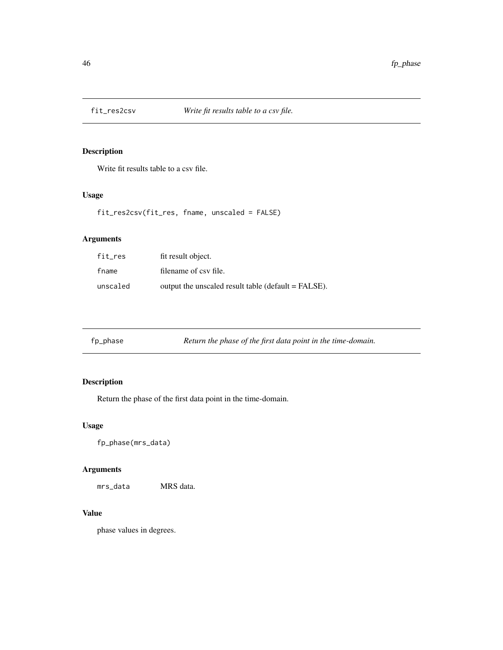Write fit results table to a csv file.

### Usage

```
fit_res2csv(fit_res, fname, unscaled = FALSE)
```
# Arguments

| fit_res  | fit result object.                                  |
|----------|-----------------------------------------------------|
| fname    | filename of csy file.                               |
| unscaled | output the unscaled result table (default = FALSE). |

| fp_phase | Return the phase of the first data point in the time-domain. |
|----------|--------------------------------------------------------------|
|          |                                                              |

# Description

Return the phase of the first data point in the time-domain.

### Usage

fp\_phase(mrs\_data)

# Arguments

mrs\_data MRS data.

### Value

phase values in degrees.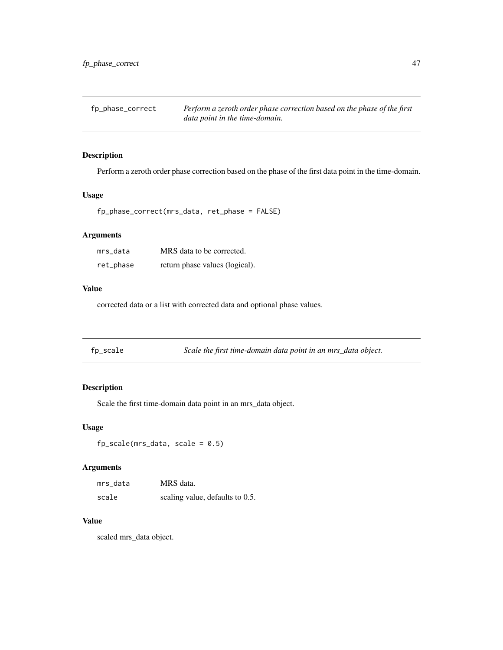fp\_phase\_correct *Perform a zeroth order phase correction based on the phase of the first data point in the time-domain.*

### Description

Perform a zeroth order phase correction based on the phase of the first data point in the time-domain.

#### Usage

fp\_phase\_correct(mrs\_data, ret\_phase = FALSE)

### Arguments

| mrs data  | MRS data to be corrected.      |
|-----------|--------------------------------|
| ret_phase | return phase values (logical). |

## Value

corrected data or a list with corrected data and optional phase values.

|  | fp_scale | Scale the first time-domain data point in an mrs_data object. |  |  |
|--|----------|---------------------------------------------------------------|--|--|
|--|----------|---------------------------------------------------------------|--|--|

## Description

Scale the first time-domain data point in an mrs\_data object.

#### Usage

 $fp\_scale(mrs\_data, scale = 0.5)$ 

## Arguments

| mrs data | MRS data.                       |
|----------|---------------------------------|
| scale    | scaling value, defaults to 0.5. |

# Value

scaled mrs\_data object.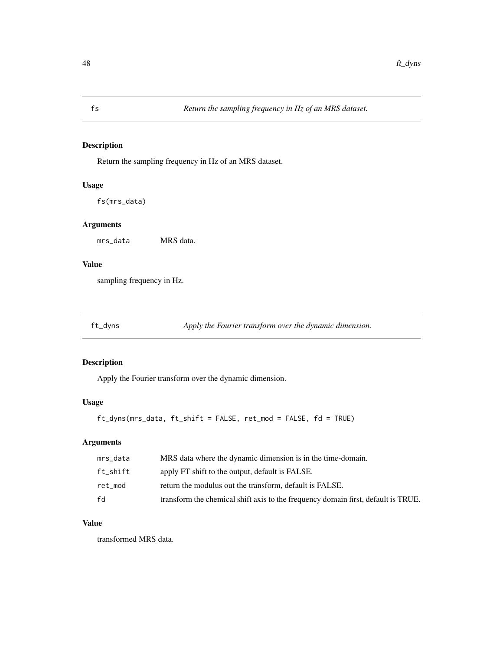Return the sampling frequency in Hz of an MRS dataset.

# Usage

fs(mrs\_data)

### Arguments

mrs\_data MRS data.

### Value

sampling frequency in Hz.

ft\_dyns *Apply the Fourier transform over the dynamic dimension.*

### Description

Apply the Fourier transform over the dynamic dimension.

### Usage

```
ft_dyns(mrs_data, ft_shift = FALSE, ret_mod = FALSE, fd = TRUE)
```
### Arguments

| mrs_data | MRS data where the dynamic dimension is in the time-domain.                       |
|----------|-----------------------------------------------------------------------------------|
| ft shift | apply FT shift to the output, default is FALSE.                                   |
| ret mod  | return the modulus out the transform, default is FALSE.                           |
| fd       | transform the chemical shift axis to the frequency domain first, default is TRUE. |

### Value

transformed MRS data.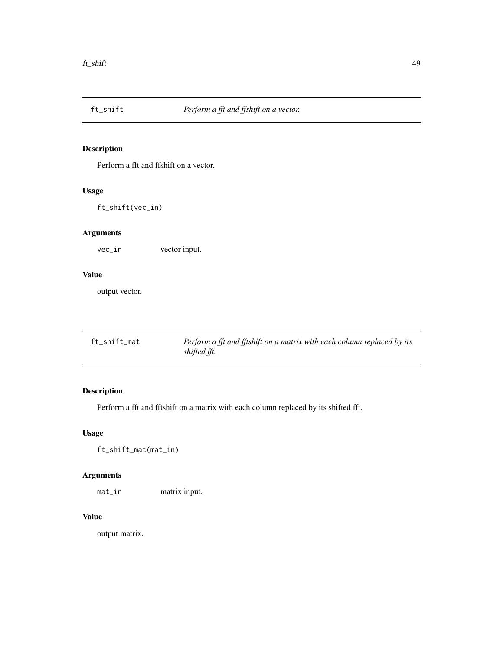Perform a fft and ffshift on a vector.

### Usage

ft\_shift(vec\_in)

# Arguments

vec\_in vector input.

#### Value

output vector.

| ft_shift_mat | Perform a fft and fftshift on a matrix with each column replaced by its |
|--------------|-------------------------------------------------------------------------|
|              | shifted fft.                                                            |

# Description

Perform a fft and fftshift on a matrix with each column replaced by its shifted fft.

# Usage

ft\_shift\_mat(mat\_in)

# Arguments

mat\_in matrix input.

### Value

output matrix.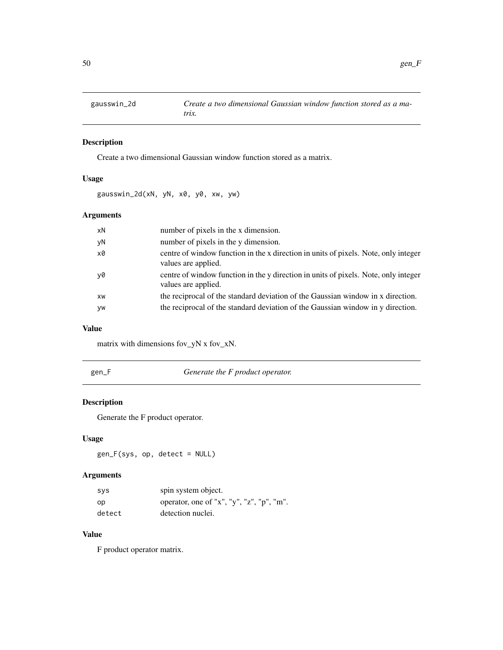Create a two dimensional Gaussian window function stored as a matrix.

## Usage

gausswin\_2d(xN, yN, x0, y0, xw, yw)

### Arguments

| xN | number of pixels in the x dimension.                                                                       |
|----|------------------------------------------------------------------------------------------------------------|
| yN | number of pixels in the y dimension.                                                                       |
| x0 | centre of window function in the x direction in units of pixels. Note, only integer<br>values are applied. |
| y0 | centre of window function in the y direction in units of pixels. Note, only integer<br>values are applied. |
| XW | the reciprocal of the standard deviation of the Gaussian window in x direction.                            |
| yw | the reciprocal of the standard deviation of the Gaussian window in y direction.                            |

#### Value

matrix with dimensions fov\_yN x fov\_xN.

Generate the F product operator.

# Description

Generate the F product operator.

# Usage

gen\_F(sys, op, detect = NULL)

# Arguments

| sys    | spin system object.                       |
|--------|-------------------------------------------|
| op     | operator, one of "x", "y", "z", "p", "m". |
| detect | detection nuclei.                         |

# Value

F product operator matrix.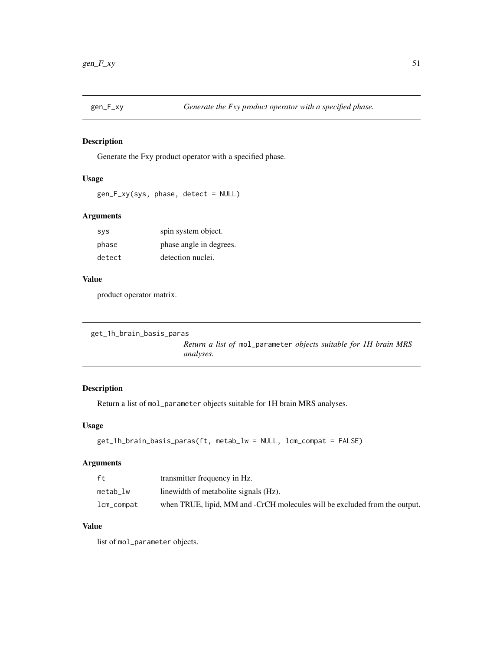Generate the Fxy product operator with a specified phase.

## Usage

```
gen_F_xy(sys, phase, detect = NULL)
```
### Arguments

| <b>SVS</b> | spin system object.     |
|------------|-------------------------|
| phase      | phase angle in degrees. |
| detect     | detection nuclei.       |

#### Value

product operator matrix.

```
get_1h_brain_basis_paras
```
*Return a list of* mol\_parameter *objects suitable for 1H brain MRS analyses.*

# Description

Return a list of mol\_parameter objects suitable for 1H brain MRS analyses.

## Usage

```
get_1h_brain_basis_paras(ft, metab_lw = NULL, lcm_compat = FALSE)
```
#### Arguments

| ft.        | transmitter frequency in Hz.                                               |
|------------|----------------------------------------------------------------------------|
| metab lw   | linewidth of metabolite signals (Hz).                                      |
| lcm_compat | when TRUE, lipid, MM and -CrCH molecules will be excluded from the output. |

# Value

list of mol\_parameter objects.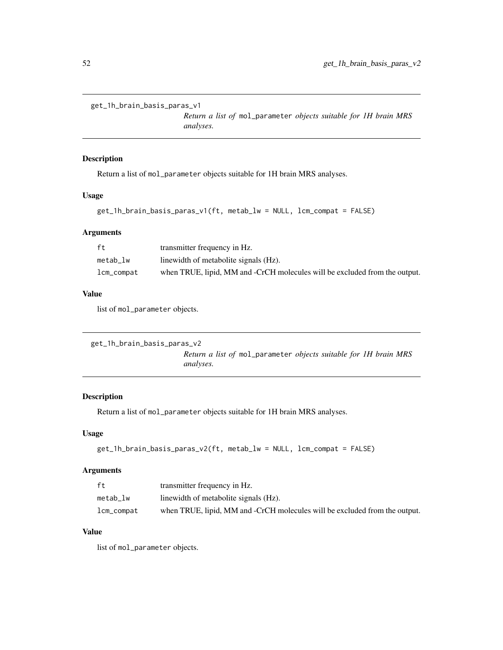```
get_1h_brain_basis_paras_v1
```
*Return a list of* mol\_parameter *objects suitable for 1H brain MRS analyses.*

#### Description

Return a list of mol\_parameter objects suitable for 1H brain MRS analyses.

### Usage

```
get_1h_brain_basis_paras_v1(ft, metab_lw = NULL, lcm_compat = FALSE)
```
#### Arguments

| ft         | transmitter frequency in Hz.                                               |
|------------|----------------------------------------------------------------------------|
| metab lw   | linewidth of metabolite signals (Hz).                                      |
| lcm_compat | when TRUE, lipid, MM and -CrCH molecules will be excluded from the output. |

#### Value

list of mol\_parameter objects.

```
get_1h_brain_basis_paras_v2
```
*Return a list of* mol\_parameter *objects suitable for 1H brain MRS analyses.*

## Description

Return a list of mol\_parameter objects suitable for 1H brain MRS analyses.

### Usage

```
get_1h_brain_basis_paras_v2(ft, metab_lw = NULL, lcm_compat = FALSE)
```
#### Arguments

| ft.            | transmitter frequency in Hz.                                               |
|----------------|----------------------------------------------------------------------------|
| metab lw       | linewidth of metabolite signals (Hz).                                      |
| $lcm\_compact$ | when TRUE, lipid, MM and -CrCH molecules will be excluded from the output. |

### Value

list of mol\_parameter objects.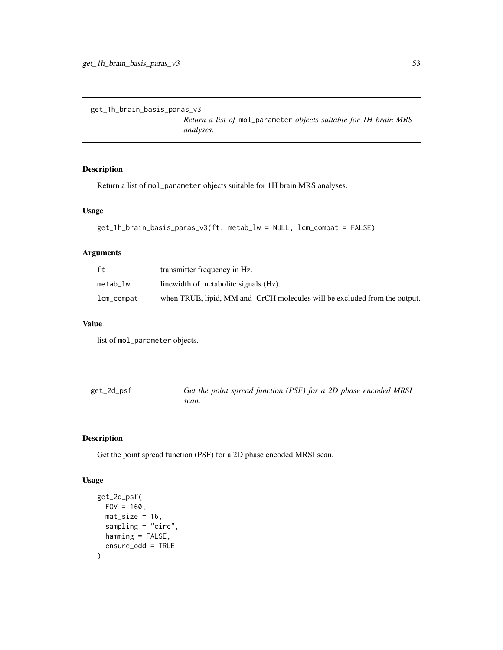```
get_1h_brain_basis_paras_v3
```
*Return a list of* mol\_parameter *objects suitable for 1H brain MRS analyses.*

### Description

Return a list of mol\_parameter objects suitable for 1H brain MRS analyses.

### Usage

```
get_1h_brain_basis_paras_v3(ft, metab_lw = NULL, lcm_compat = FALSE)
```
### Arguments

| ft.            | transmitter frequency in Hz.                                               |
|----------------|----------------------------------------------------------------------------|
| metab lw       | linewidth of metabolite signals (Hz).                                      |
| $lcm\_compact$ | when TRUE, lipid, MM and -CrCH molecules will be excluded from the output. |

#### Value

list of mol\_parameter objects.

| get_2d_psf | Get the point spread function (PSF) for a 2D phase encoded MRSI |
|------------|-----------------------------------------------------------------|
|            | scan.                                                           |

# Description

Get the point spread function (PSF) for a 2D phase encoded MRSI scan.

#### Usage

```
get_2d_psf(
  FOV = 160,
 mat\_size = 16,
  sampling = "circ",
 hamming = FALSE,
  ensure_odd = TRUE
)
```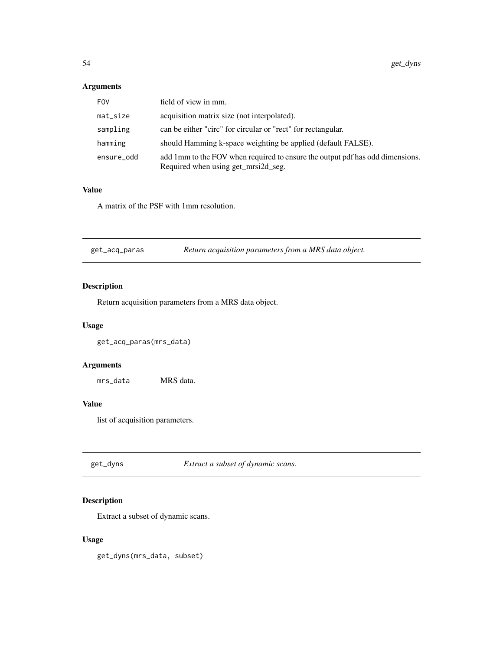# Arguments

| <b>FOV</b>  | field of view in mm.                                                                                                 |
|-------------|----------------------------------------------------------------------------------------------------------------------|
| $mat\_size$ | acquisition matrix size (not interpolated).                                                                          |
| sampling    | can be either "circ" for circular or "rect" for rectangular.                                                         |
| hamming     | should Hamming k-space weighting be applied (default FALSE).                                                         |
| ensure_odd  | add 1mm to the FOV when required to ensure the output pdf has odd dimensions.<br>Required when using get_mrsi2d_seg. |

## Value

A matrix of the PSF with 1mm resolution.

| get_acq_paras | Return acquisition parameters from a MRS data object. |  |
|---------------|-------------------------------------------------------|--|
|               |                                                       |  |

# Description

Return acquisition parameters from a MRS data object.

#### Usage

get\_acq\_paras(mrs\_data)

### Arguments

mrs\_data MRS data.

# Value

list of acquisition parameters.

get\_dyns *Extract a subset of dynamic scans.*

### Description

Extract a subset of dynamic scans.

### Usage

get\_dyns(mrs\_data, subset)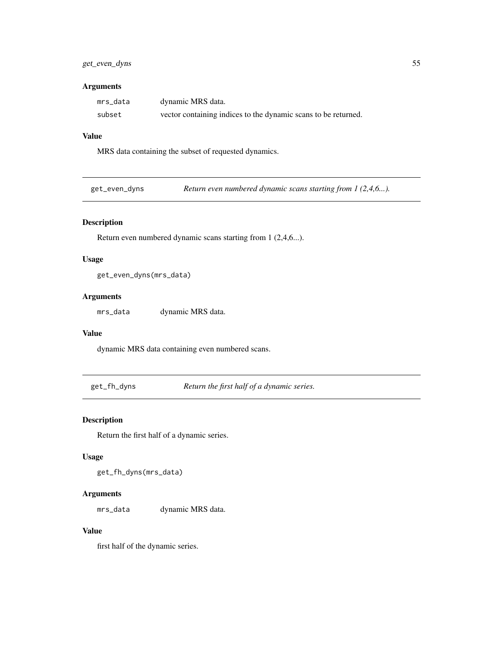### get\_even\_dyns 55

### Arguments

| mrs data | dynamic MRS data.                                              |
|----------|----------------------------------------------------------------|
| subset   | vector containing indices to the dynamic scans to be returned. |

# Value

MRS data containing the subset of requested dynamics.

### Description

Return even numbered dynamic scans starting from 1 (2,4,6...).

#### Usage

get\_even\_dyns(mrs\_data)

#### Arguments

mrs\_data dynamic MRS data.

#### Value

dynamic MRS data containing even numbered scans.

get\_fh\_dyns *Return the first half of a dynamic series.*

# Description

Return the first half of a dynamic series.

## Usage

get\_fh\_dyns(mrs\_data)

### Arguments

mrs\_data dynamic MRS data.

#### Value

first half of the dynamic series.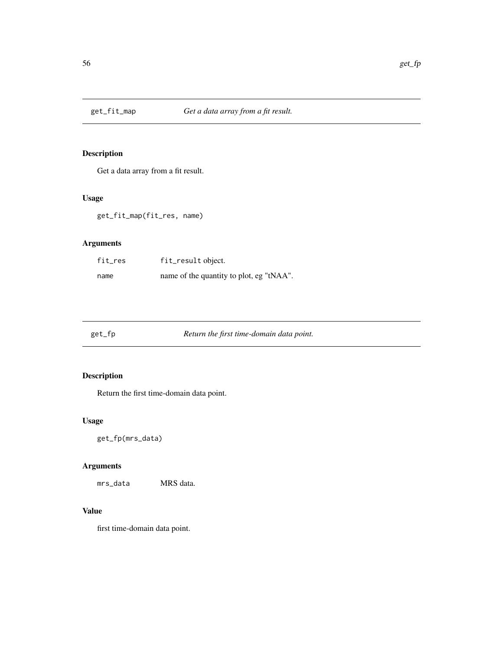Get a data array from a fit result.

# Usage

get\_fit\_map(fit\_res, name)

# Arguments

| fit_res | fit_result object.                       |
|---------|------------------------------------------|
| name    | name of the quantity to plot, eg "tNAA". |

get\_fp *Return the first time-domain data point.*

# Description

Return the first time-domain data point.

# Usage

get\_fp(mrs\_data)

# Arguments

mrs\_data MRS data.

# Value

first time-domain data point.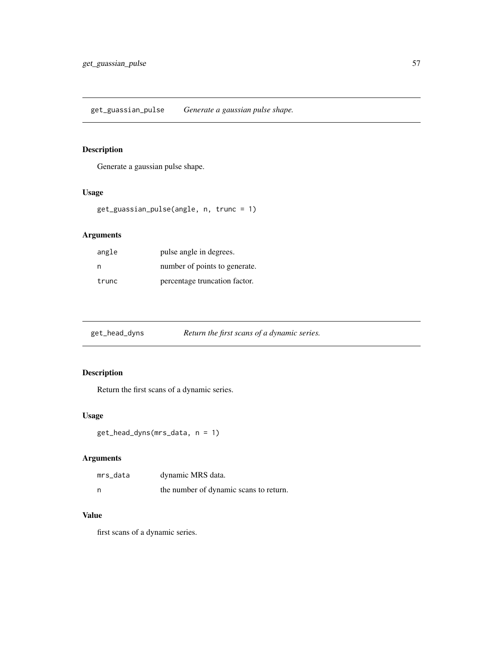Generate a gaussian pulse shape.

### Usage

```
get_guassian_pulse(angle, n, trunc = 1)
```
# Arguments

| angle | pulse angle in degrees.       |
|-------|-------------------------------|
| n     | number of points to generate. |
| trunc | percentage truncation factor. |

| Return the first scans of a dynamic series.<br>get_head_dyns |
|--------------------------------------------------------------|
|--------------------------------------------------------------|

# Description

Return the first scans of a dynamic series.

#### Usage

```
get_head_dyns(mrs_data, n = 1)
```
# Arguments

| mrs_data | dynamic MRS data.                      |
|----------|----------------------------------------|
| n        | the number of dynamic scans to return. |

### Value

first scans of a dynamic series.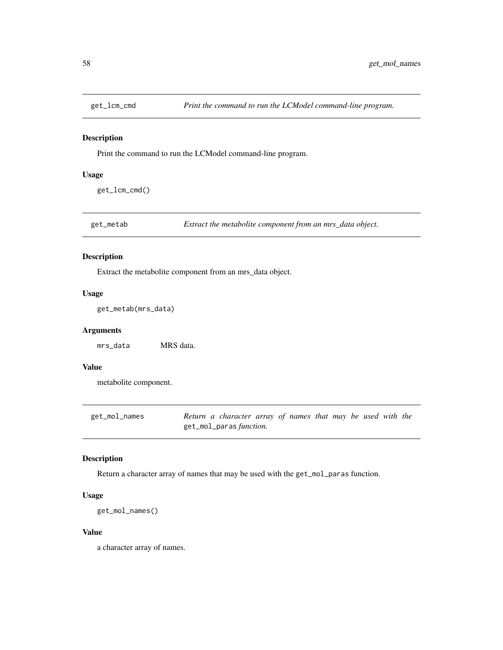Print the command to run the LCModel command-line program.

#### Usage

get\_lcm\_cmd()

get\_metab *Extract the metabolite component from an mrs\_data object.*

### Description

Extract the metabolite component from an mrs\_data object.

### Usage

get\_metab(mrs\_data)

### Arguments

mrs\_data MRS data.

## Value

metabolite component.

| get_mol_names | Return a character array of names that may be used with the |  |  |  |
|---------------|-------------------------------------------------------------|--|--|--|
|               | get_mol_paras <i>function</i> .                             |  |  |  |

### Description

Return a character array of names that may be used with the get\_mol\_paras function.

### Usage

```
get_mol_names()
```
#### Value

a character array of names.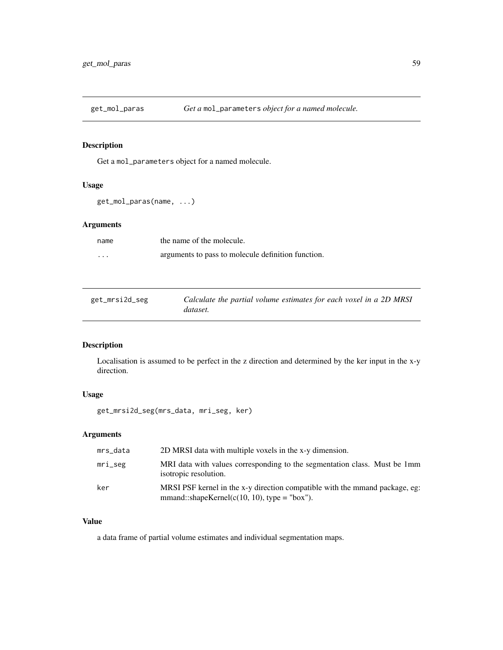Get a mol\_parameters object for a named molecule.

# Usage

```
get_mol_paras(name, ...)
```
### Arguments

| name     | the name of the molecule.                          |
|----------|----------------------------------------------------|
| $\cdots$ | arguments to pass to molecule definition function. |

| get_mrsi2d_seg | Calculate the partial volume estimates for each voxel in a 2D MRSI |
|----------------|--------------------------------------------------------------------|
|                | dataset.                                                           |

## Description

Localisation is assumed to be perfect in the z direction and determined by the ker input in the x-y direction.

### Usage

get\_mrsi2d\_seg(mrs\_data, mri\_seg, ker)

### Arguments

| mrs_data   | 2D MRSI data with multiple voxels in the x-y dimension.                                                                         |
|------------|---------------------------------------------------------------------------------------------------------------------------------|
| $mri\_seg$ | MRI data with values corresponding to the segmentation class. Must be 1mm<br>isotropic resolution.                              |
| ker        | MRSI PSF kernel in the x-y direction compatible with the mmand package, eg:<br>mmand::shapeKernel( $c(10, 10)$ , type = "box"). |

## Value

a data frame of partial volume estimates and individual segmentation maps.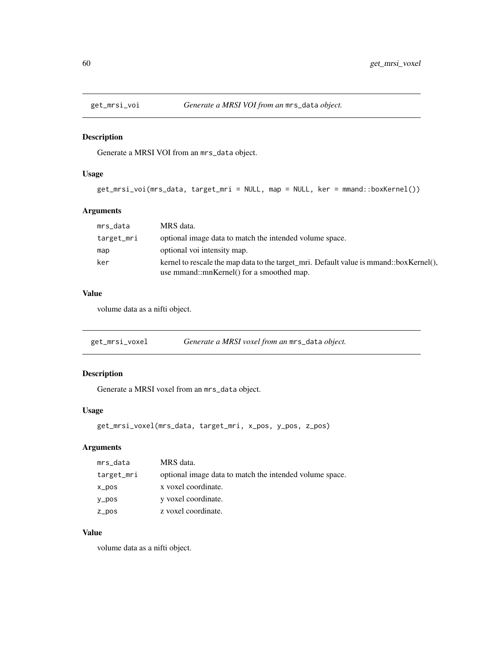Generate a MRSI VOI from an mrs\_data object.

### Usage

```
get_mrsi_voi(mrs_data, target_mri = NULL, map = NULL, ker = mmand::boxKernel())
```
### Arguments

| mrs_data   | MRS data.                                                                                                                           |
|------------|-------------------------------------------------------------------------------------------------------------------------------------|
| target_mri | optional image data to match the intended volume space.                                                                             |
| map        | optional voi intensity map.                                                                                                         |
| ker        | kernel to rescale the map data to the target_mri. Default value is mmand::boxKernel(),<br>use mmand::mnKernel() for a smoothed map. |

### Value

volume data as a nifti object.

| get_mrsi_voxel | Generate a MRSI voxel from an mrs_data object. |  |
|----------------|------------------------------------------------|--|
|----------------|------------------------------------------------|--|

### Description

Generate a MRSI voxel from an mrs\_data object.

### Usage

```
get_mrsi_voxel(mrs_data, target_mri, x_pos, y_pos, z_pos)
```
# Arguments

| mrs_data   | MRS data.                                               |
|------------|---------------------------------------------------------|
| target_mri | optional image data to match the intended volume space. |
| x_pos      | x voxel coordinate.                                     |
| y_pos      | y voxel coordinate.                                     |
| z_pos      | z voxel coordinate.                                     |

## Value

volume data as a nifti object.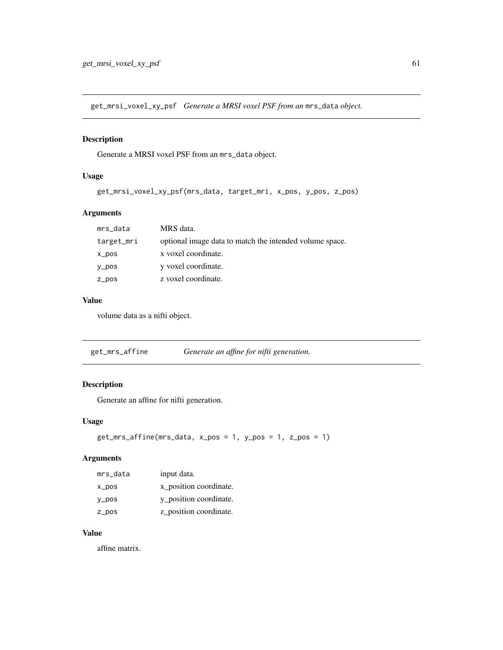get\_mrsi\_voxel\_xy\_psf *Generate a MRSI voxel PSF from an* mrs\_data *object.*

### Description

Generate a MRSI voxel PSF from an mrs\_data object.

### Usage

```
get_mrsi_voxel_xy_psf(mrs_data, target_mri, x_pos, y_pos, z_pos)
```
#### Arguments

| mrs_data   | MRS data.                                               |
|------------|---------------------------------------------------------|
| target_mri | optional image data to match the intended volume space. |
| $x_{DOS}$  | x voxel coordinate.                                     |
| $y_p$ os   | y voxel coordinate.                                     |
| z_pos      | z voxel coordinate.                                     |

# Value

volume data as a nifti object.

get\_mrs\_affine *Generate an affine for nifti generation.*

# Description

Generate an affine for nifti generation.

### Usage

```
get_mrs_affine(mrs_data, x_pos = 1, y_pos = 1, z_pos = 1)
```
### Arguments

| mrs_data  | input data.            |
|-----------|------------------------|
| x_pos     | x position coordinate. |
| y_pos     | y_position coordinate. |
| $Z_p$ pos | z_position coordinate. |

### Value

affine matrix.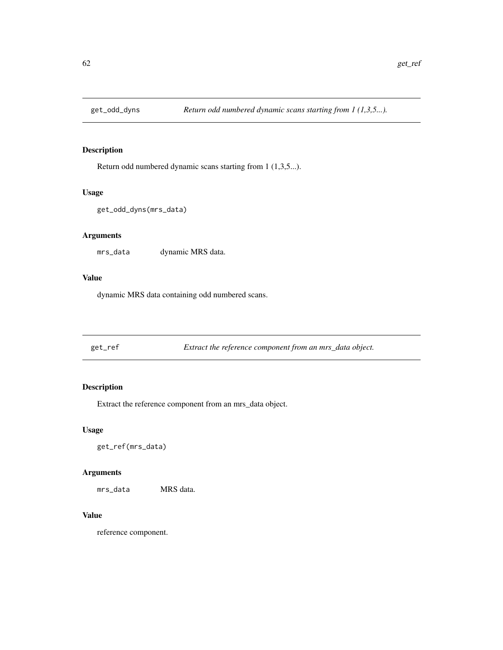Return odd numbered dynamic scans starting from 1 (1,3,5...).

#### Usage

get\_odd\_dyns(mrs\_data)

### Arguments

mrs\_data dynamic MRS data.

#### Value

dynamic MRS data containing odd numbered scans.

get\_ref *Extract the reference component from an mrs\_data object.*

### Description

Extract the reference component from an mrs\_data object.

#### Usage

get\_ref(mrs\_data)

### Arguments

mrs\_data MRS data.

#### Value

reference component.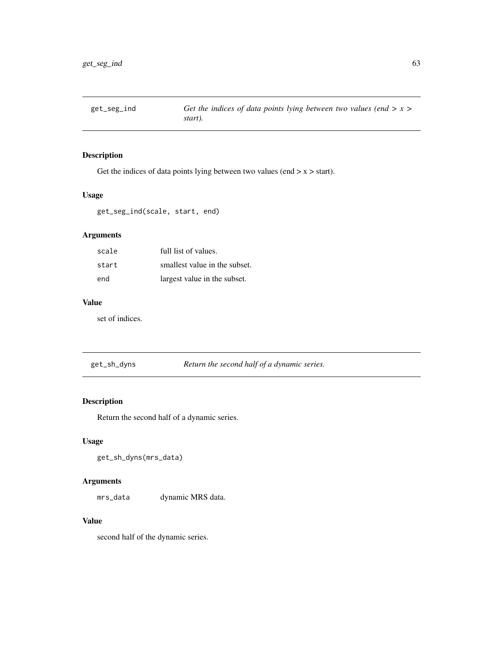Get the indices of data points lying between two values (end  $> x > start$ ).

#### Usage

get\_seg\_ind(scale, start, end)

# Arguments

| scale | full list of values.          |
|-------|-------------------------------|
| start | smallest value in the subset. |
| end   | largest value in the subset.  |

# Value

set of indices.

get\_sh\_dyns *Return the second half of a dynamic series.*

### Description

Return the second half of a dynamic series.

### Usage

get\_sh\_dyns(mrs\_data)

## Arguments

mrs\_data dynamic MRS data.

## Value

second half of the dynamic series.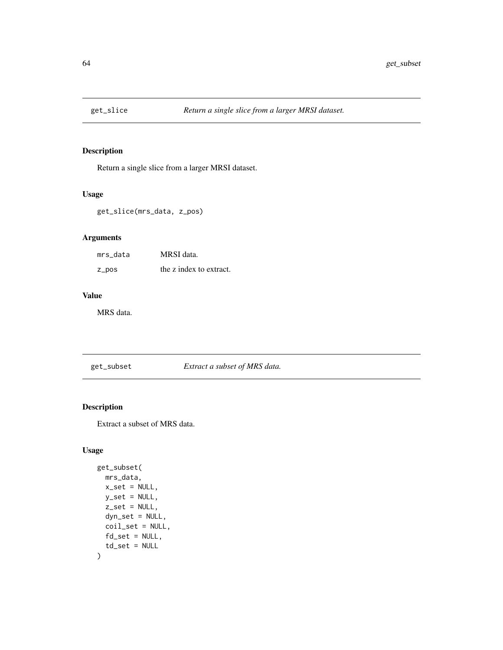Return a single slice from a larger MRSI dataset.

## Usage

get\_slice(mrs\_data, z\_pos)

### Arguments

| mrs data | MRSI data.              |
|----------|-------------------------|
| z_pos    | the z index to extract. |

## Value

MRS data.

get\_subset *Extract a subset of MRS data.*

## Description

Extract a subset of MRS data.

### Usage

```
get_subset(
 mrs_data,
 x_set = NULL,
 y_set = NULL,
  z_set = NULL,
 dyn_set = NULL,
 coil_set = NULL,
 fd_set = NULL,td\_set = NULL\mathcal{L}
```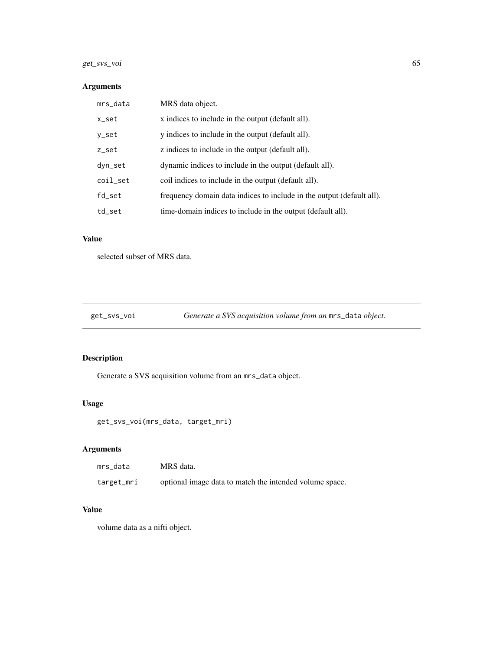### get\_svs\_voi 65

# Arguments

| mrs_data | MRS data object.                                                      |
|----------|-----------------------------------------------------------------------|
| x_set    | x indices to include in the output (default all).                     |
| y_set    | y indices to include in the output (default all).                     |
| z_set    | z indices to include in the output (default all).                     |
| dyn_set  | dynamic indices to include in the output (default all).               |
| coil_set | coil indices to include in the output (default all).                  |
| fd_set   | frequency domain data indices to include in the output (default all). |
| td_set   | time-domain indices to include in the output (default all).           |

# Value

selected subset of MRS data.

get\_svs\_voi *Generate a SVS acquisition volume from an* mrs\_data *object.*

# Description

Generate a SVS acquisition volume from an mrs\_data object.

# Usage

get\_svs\_voi(mrs\_data, target\_mri)

# Arguments

| mrs data   | MRS data.                                               |
|------------|---------------------------------------------------------|
| target_mri | optional image data to match the intended volume space. |

## Value

volume data as a nifti object.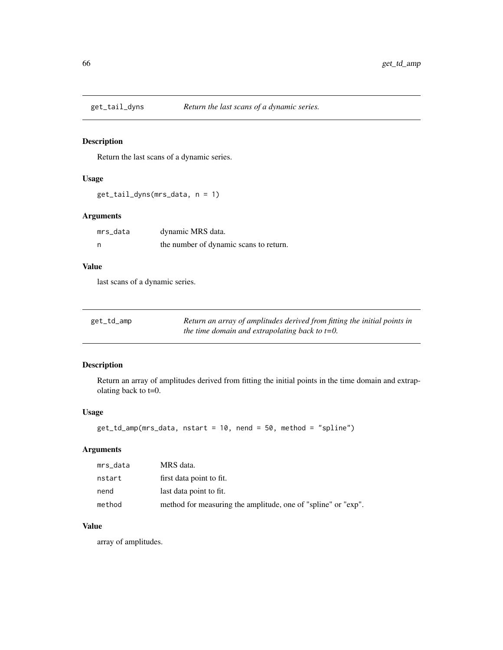Return the last scans of a dynamic series.

### Usage

get\_tail\_dyns(mrs\_data, n = 1)

### Arguments

| mrs_data | dynamic MRS data.                      |
|----------|----------------------------------------|
| - n      | the number of dynamic scans to return. |

# Value

last scans of a dynamic series.

| get_td_amp | Return an array of amplitudes derived from fitting the initial points in |
|------------|--------------------------------------------------------------------------|
|            | the time domain and extrapolating back to $t=0$ .                        |

# Description

Return an array of amplitudes derived from fitting the initial points in the time domain and extrapolating back to t=0.

#### Usage

```
get_td_amp(mrs_data, nstart = 10, nend = 50, method = "spline")
```
### Arguments

| mrs_data | MRS data.                                                     |
|----------|---------------------------------------------------------------|
| nstart   | first data point to fit.                                      |
| nend     | last data point to fit.                                       |
| method   | method for measuring the amplitude, one of "spline" or "exp". |

### Value

array of amplitudes.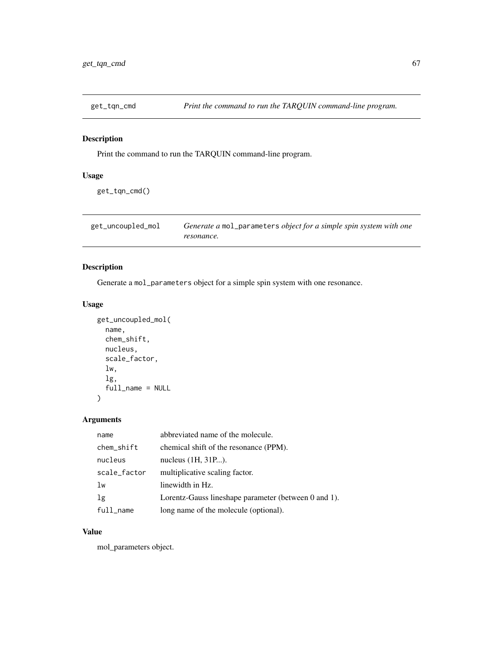Print the command to run the TARQUIN command-line program.

### Usage

get\_tqn\_cmd()

| get_uncoupled_mol | Generate a mol_parameters object for a simple spin system with one |  |
|-------------------|--------------------------------------------------------------------|--|
|                   | resonance.                                                         |  |

# Description

Generate a mol\_parameters object for a simple spin system with one resonance.

#### Usage

```
get_uncoupled_mol(
  name,
 chem_shift,
 nucleus,
  scale_factor,
  lw,
  lg,
  full_name = NULL
)
```
# Arguments

| name         | abbreviated name of the molecule.                    |
|--------------|------------------------------------------------------|
| chem_shift   | chemical shift of the resonance (PPM).               |
| nucleus      | nucleus (1H, 31P).                                   |
| scale_factor | multiplicative scaling factor.                       |
| lw           | linewidth in Hz.                                     |
| 1g           | Lorentz-Gauss lineshape parameter (between 0 and 1). |
| $full$ name  | long name of the molecule (optional).                |

### Value

mol\_parameters object.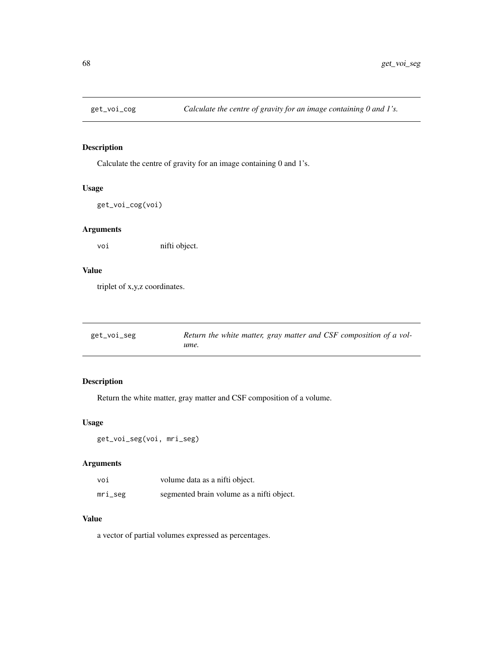Calculate the centre of gravity for an image containing 0 and 1's.

#### Usage

get\_voi\_cog(voi)

### Arguments

voi nifti object.

# Value

triplet of x,y,z coordinates.

| get_voi_seg | Return the white matter, gray matter and CSF composition of a vol- |
|-------------|--------------------------------------------------------------------|
|             | ume.                                                               |

### Description

Return the white matter, gray matter and CSF composition of a volume.

### Usage

```
get_voi_seg(voi, mri_seg)
```
### Arguments

| voi     | volume data as a nifti object.            |
|---------|-------------------------------------------|
| mri_seg | segmented brain volume as a nifti object. |

### Value

a vector of partial volumes expressed as percentages.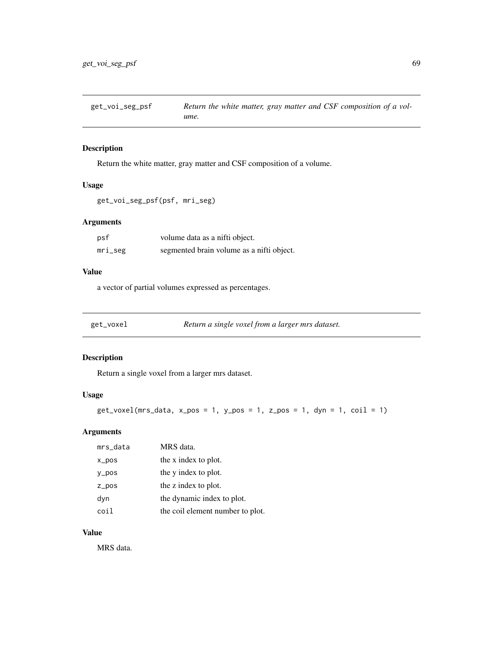Return the white matter, gray matter and CSF composition of a volume.

# Usage

get\_voi\_seg\_psf(psf, mri\_seg)

# Arguments

| psf     | volume data as a nifti object.            |
|---------|-------------------------------------------|
| mri_seg | segmented brain volume as a nifti object. |

### Value

a vector of partial volumes expressed as percentages.

| get_voxel | Return a single voxel from a larger mrs dataset. |
|-----------|--------------------------------------------------|
|           |                                                  |

### Description

Return a single voxel from a larger mrs dataset.

## Usage

```
get_voxel(mrs_data, x_pos = 1, y_pos = 1, z_pos = 1, dyn = 1, coil = 1)
```
### Arguments

| mrs_data  | MRS data.                        |
|-----------|----------------------------------|
| $x_{DOS}$ | the x index to plot.             |
| $y_p$ os  | the y index to plot.             |
| $Z_p$ pos | the z index to plot.             |
| dyn       | the dynamic index to plot.       |
| coil      | the coil element number to plot. |

### Value

MRS data.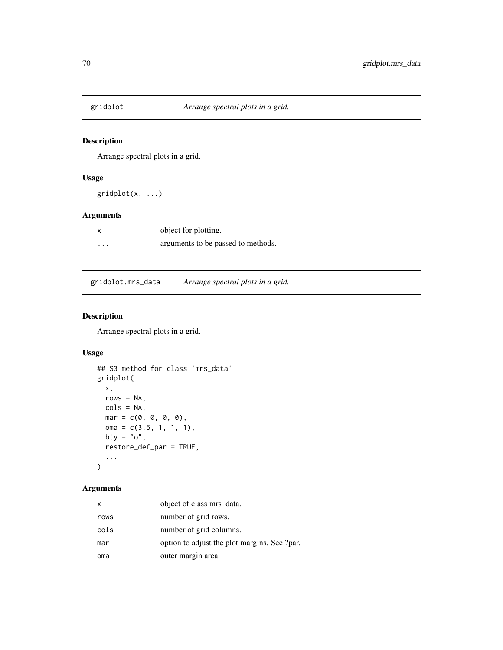Arrange spectral plots in a grid.

### Usage

gridplot(x, ...)

### Arguments

|          | object for plotting.               |
|----------|------------------------------------|
| $\cdots$ | arguments to be passed to methods. |

gridplot.mrs\_data *Arrange spectral plots in a grid.*

# Description

Arrange spectral plots in a grid.

### Usage

```
## S3 method for class 'mrs_data'
gridplot(
 x,
 rows = NA,
 cols = NA,
 mar = c(0, 0, 0, 0),
 oma = c(3.5, 1, 1, 1),bty = "o",restore_def_par = TRUE,
  ...
)
```
### Arguments

| x    | object of class mrs_data.                    |
|------|----------------------------------------------|
| rows | number of grid rows.                         |
| cols | number of grid columns.                      |
| mar  | option to adjust the plot margins. See ?par. |
| oma  | outer margin area.                           |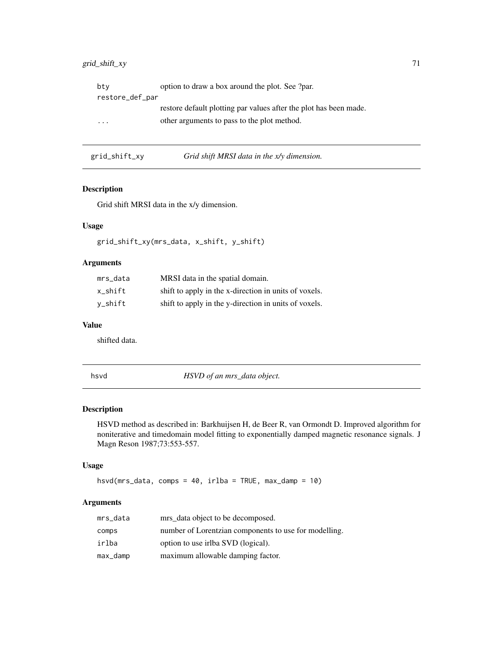### grid\_shift\_xy 71

| bty             | option to draw a box around the plot. See ?par.                   |
|-----------------|-------------------------------------------------------------------|
| restore_def_par |                                                                   |
|                 | restore default plotting par values after the plot has been made. |
| .               | other arguments to pass to the plot method.                       |
|                 |                                                                   |

| grid_shift_xy | Grid shift MRSI data in the x/y dimension. |
|---------------|--------------------------------------------|
|---------------|--------------------------------------------|

# Description

Grid shift MRSI data in the x/y dimension.

## Usage

grid\_shift\_xy(mrs\_data, x\_shift, y\_shift)

## Arguments

| mrs data | MRSI data in the spatial domain.                      |
|----------|-------------------------------------------------------|
| x shift  | shift to apply in the x-direction in units of voxels. |
| v_shift  | shift to apply in the y-direction in units of voxels. |

#### Value

shifted data.

hsvd *HSVD of an mrs\_data object.*

### Description

HSVD method as described in: Barkhuijsen H, de Beer R, van Ormondt D. Improved algorithm for noniterative and timedomain model fitting to exponentially damped magnetic resonance signals. J Magn Reson 1987;73:553-557.

### Usage

hsvd(mrs\_data, comps = 40, irlba = TRUE, max\_damp = 10)

## Arguments

| mrs_data | mrs_data object to be decomposed.                     |
|----------|-------------------------------------------------------|
| comps    | number of Lorentzian components to use for modelling. |
| irlba    | option to use irlba SVD (logical).                    |
| max_damp | maximum allowable damping factor.                     |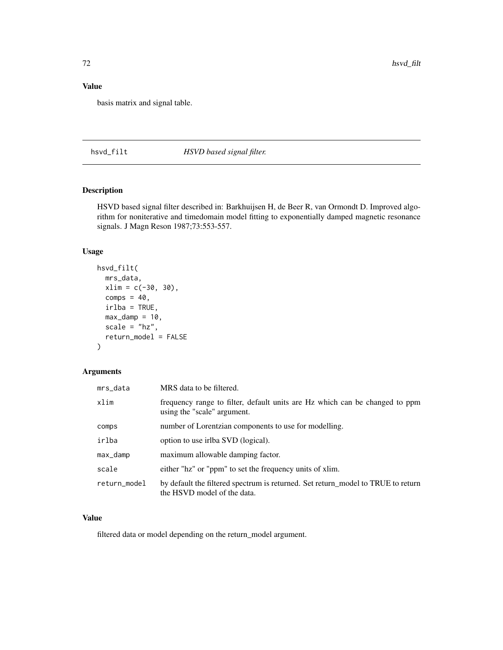# Value

basis matrix and signal table.

hsvd\_filt *HSVD based signal filter.*

## Description

HSVD based signal filter described in: Barkhuijsen H, de Beer R, van Ormondt D. Improved algorithm for noniterative and timedomain model fitting to exponentially damped magnetic resonance signals. J Magn Reson 1987;73:553-557.

#### Usage

```
hsvd_filt(
 mrs_data,
  xlim = c(-30, 30),comps = 40,
  irlba = TRUE,
 max\_damp = 10,
  scale = "hz",
  return_model = FALSE
)
```
### Arguments

| mrs_data     | MRS data to be filtered.                                                                                        |
|--------------|-----------------------------------------------------------------------------------------------------------------|
| xlim         | frequency range to filter, default units are Hz which can be changed to ppm<br>using the "scale" argument.      |
| comps        | number of Lorentzian components to use for modelling.                                                           |
| irlba        | option to use irlba SVD (logical).                                                                              |
| max_damp     | maximum allowable damping factor.                                                                               |
| scale        | either "hz" or "ppm" to set the frequency units of xlim.                                                        |
| return_model | by default the filtered spectrum is returned. Set return_model to TRUE to return<br>the HSVD model of the data. |

#### Value

filtered data or model depending on the return\_model argument.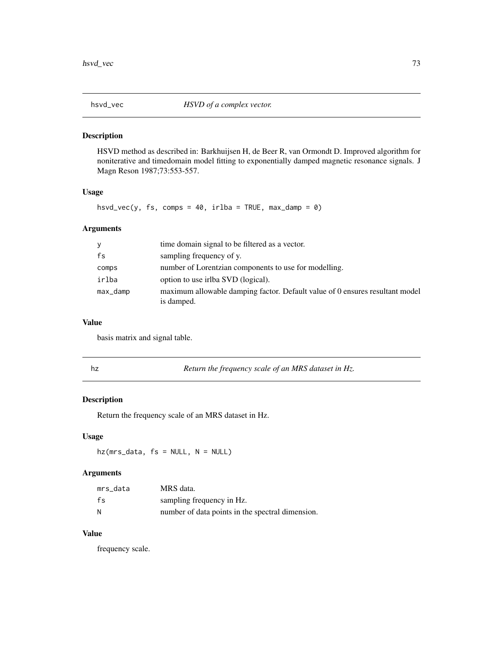HSVD method as described in: Barkhuijsen H, de Beer R, van Ormondt D. Improved algorithm for noniterative and timedomain model fitting to exponentially damped magnetic resonance signals. J Magn Reson 1987;73:553-557.

## Usage

hsvd\_vec(y, fs, comps = 40, irlba = TRUE, max\_damp = 0)

# Arguments

| У        | time domain signal to be filtered as a vector.                                             |
|----------|--------------------------------------------------------------------------------------------|
| fs       | sampling frequency of y.                                                                   |
| comps    | number of Lorentzian components to use for modelling.                                      |
| irlba    | option to use irlba SVD (logical).                                                         |
| max_damp | maximum allowable damping factor. Default value of 0 ensures resultant model<br>is damped. |

#### Value

basis matrix and signal table.

|  | Return the frequency scale of an MRS dataset in Hz. |
|--|-----------------------------------------------------|
|--|-----------------------------------------------------|

## Description

Return the frequency scale of an MRS dataset in Hz.

## Usage

 $hz(mrs_data, fs = NULL, N = NULL)$ 

## Arguments

| mrs data | MRS data.                                        |
|----------|--------------------------------------------------|
| fs       | sampling frequency in Hz.                        |
| N        | number of data points in the spectral dimension. |

## Value

frequency scale.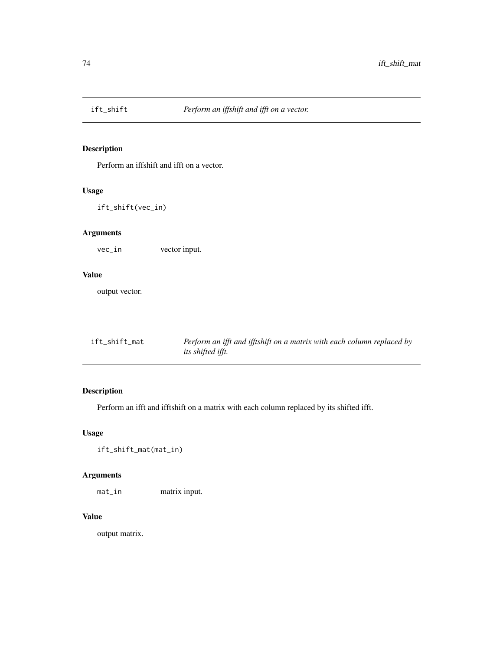Perform an iffshift and ifft on a vector.

## Usage

ift\_shift(vec\_in)

# Arguments

vec\_in vector input.

#### Value

output vector.

| ift_shift_mat | Perform an ifft and ifftshift on a matrix with each column replaced by |
|---------------|------------------------------------------------------------------------|
|               | <i>its shifted ifft.</i>                                               |

# Description

Perform an ifft and ifftshift on a matrix with each column replaced by its shifted ifft.

# Usage

ift\_shift\_mat(mat\_in)

# Arguments

mat\_in matrix input.

## Value

output matrix.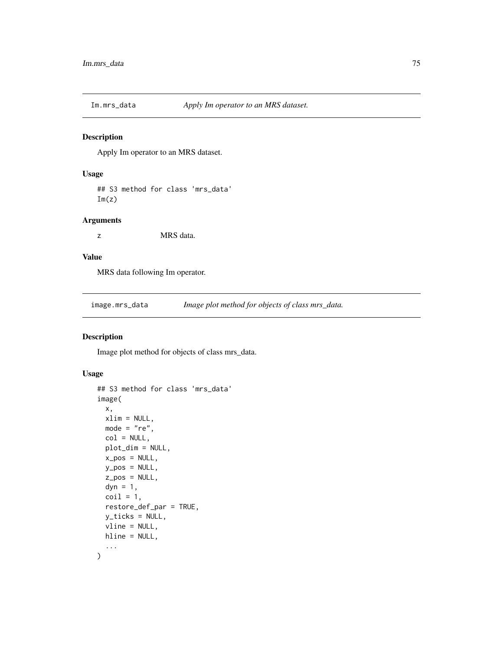Apply Im operator to an MRS dataset.

#### Usage

## S3 method for class 'mrs\_data'  $Im(z)$ 

#### Arguments

z MRS data.

# Value

MRS data following Im operator.

image.mrs\_data *Image plot method for objects of class mrs\_data.*

#### Description

Image plot method for objects of class mrs\_data.

#### Usage

```
## S3 method for class 'mrs_data'
image(
  x,
 xlim = NULL,mode = "re",col = NULL,plot_dim = NULL,
 x_pos = NULL,
 y_pos = NULL,
 z_pos = NULL,
 dyn = 1,
 \text{coil} = 1,
  restore_def_par = TRUE,
 y_ticks = NULL,
 vline = NULL,
 hline = NULL,
  ...
\mathcal{L}
```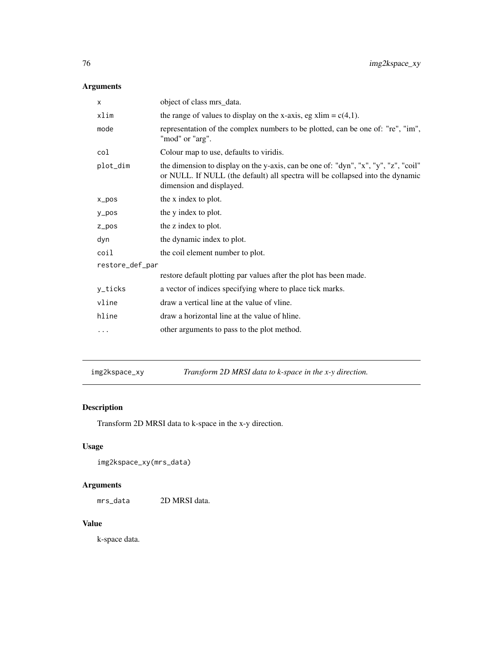# Arguments

| X               | object of class mrs_data.                                                                                                                                                                        |  |
|-----------------|--------------------------------------------------------------------------------------------------------------------------------------------------------------------------------------------------|--|
| xlim            | the range of values to display on the x-axis, eg xlim = $c(4,1)$ .                                                                                                                               |  |
| mode            | representation of the complex numbers to be plotted, can be one of: "re", "im",<br>"mod" or "arg".                                                                                               |  |
| col             | Colour map to use, defaults to viridis.                                                                                                                                                          |  |
| plot_dim        | the dimension to display on the y-axis, can be one of: "dyn", "x", "y", "z", "coil"<br>or NULL. If NULL (the default) all spectra will be collapsed into the dynamic<br>dimension and displayed. |  |
| $x_p$ pos       | the x index to plot.                                                                                                                                                                             |  |
| $y_p$ os        | the y index to plot.                                                                                                                                                                             |  |
| $Z_p$ pos       | the z index to plot.                                                                                                                                                                             |  |
| dyn             | the dynamic index to plot.                                                                                                                                                                       |  |
| coil            | the coil element number to plot.                                                                                                                                                                 |  |
| restore_def_par |                                                                                                                                                                                                  |  |
|                 | restore default plotting par values after the plot has been made.                                                                                                                                |  |
| y_ticks         | a vector of indices specifying where to place tick marks.                                                                                                                                        |  |
| vline           | draw a vertical line at the value of vline.                                                                                                                                                      |  |
| hline           | draw a horizontal line at the value of hline.                                                                                                                                                    |  |
| .               | other arguments to pass to the plot method.                                                                                                                                                      |  |
|                 |                                                                                                                                                                                                  |  |

img2kspace\_xy *Transform 2D MRSI data to k-space in the x-y direction.*

# Description

Transform 2D MRSI data to k-space in the x-y direction.

# Usage

```
img2kspace_xy(mrs_data)
```
# Arguments

mrs\_data 2D MRSI data.

# Value

k-space data.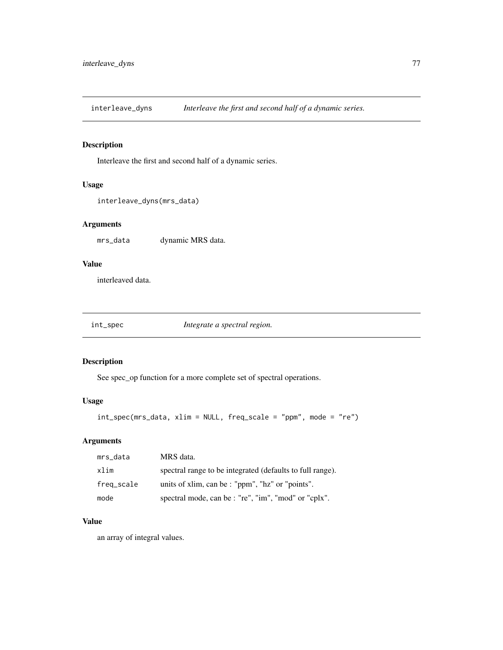interleave\_dyns *Interleave the first and second half of a dynamic series.*

#### Description

Interleave the first and second half of a dynamic series.

## Usage

```
interleave_dyns(mrs_data)
```
## Arguments

mrs\_data dynamic MRS data.

# Value

interleaved data.

int\_spec *Integrate a spectral region.*

#### Description

See spec\_op function for a more complete set of spectral operations.

## Usage

```
int_spec(mrs_data, xlim = NULL, freq_scale = "ppm", mode = "re")
```
## Arguments

| mrs_data   | MRS data.                                                 |
|------------|-----------------------------------------------------------|
| xlim       | spectral range to be integrated (defaults to full range). |
| freq_scale | units of xlim, can be : "ppm", "hz" or "points".          |
| mode       | spectral mode, can be : "re", "im", "mod" or "cplx".      |

#### Value

an array of integral values.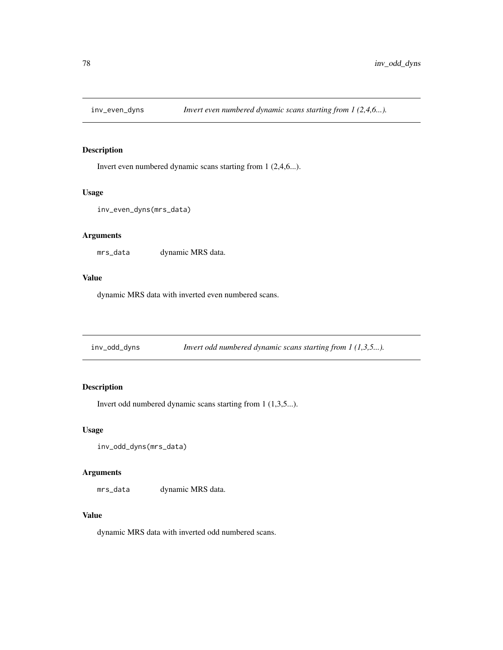Invert even numbered dynamic scans starting from 1 (2,4,6...).

#### Usage

```
inv_even_dyns(mrs_data)
```
#### Arguments

mrs\_data dynamic MRS data.

#### Value

dynamic MRS data with inverted even numbered scans.

inv\_odd\_dyns *Invert odd numbered dynamic scans starting from 1 (1,3,5...).*

## Description

Invert odd numbered dynamic scans starting from 1 (1,3,5...).

#### Usage

```
inv_odd_dyns(mrs_data)
```
#### Arguments

mrs\_data dynamic MRS data.

#### Value

dynamic MRS data with inverted odd numbered scans.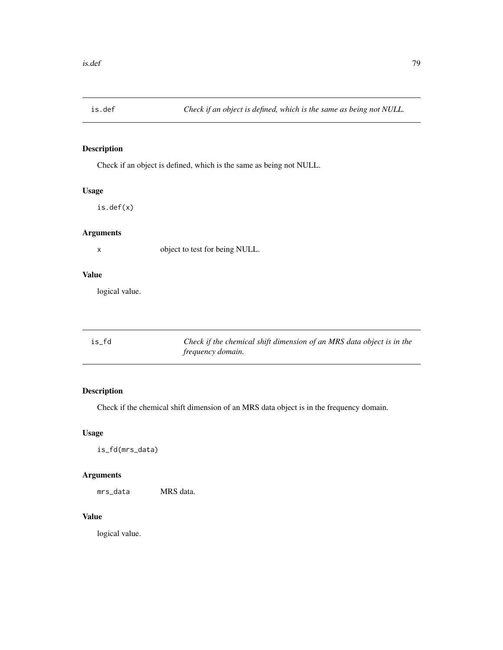Check if an object is defined, which is the same as being not NULL.

## Usage

is.def(x)

## Arguments

x object to test for being NULL.

#### Value

logical value.

| is fd | Check if the chemical shift dimension of an MRS data object is in the |
|-------|-----------------------------------------------------------------------|
|       | <i>frequency domain.</i>                                              |

# Description

Check if the chemical shift dimension of an MRS data object is in the frequency domain.

# Usage

is\_fd(mrs\_data)

# Arguments

mrs\_data MRS data.

# Value

logical value.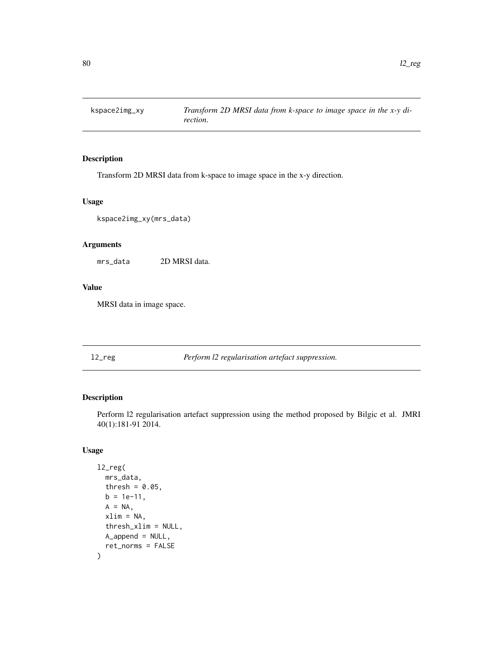Transform 2D MRSI data from k-space to image space in the x-y direction.

#### Usage

kspace2img\_xy(mrs\_data)

#### Arguments

mrs\_data 2D MRSI data.

#### Value

MRSI data in image space.

l2\_reg *Perform l2 regularisation artefact suppression.*

#### Description

Perform l2 regularisation artefact suppression using the method proposed by Bilgic et al. JMRI 40(1):181-91 2014.

#### Usage

```
l2_reg(
  mrs_data,
  thresh = 0.05,
  b = 1e-11,
  A = NA,
  xlim = NA,
  thresh_xlim = NULL,
  A_append = NULL,
  ret_norms = FALSE
\mathcal{L}
```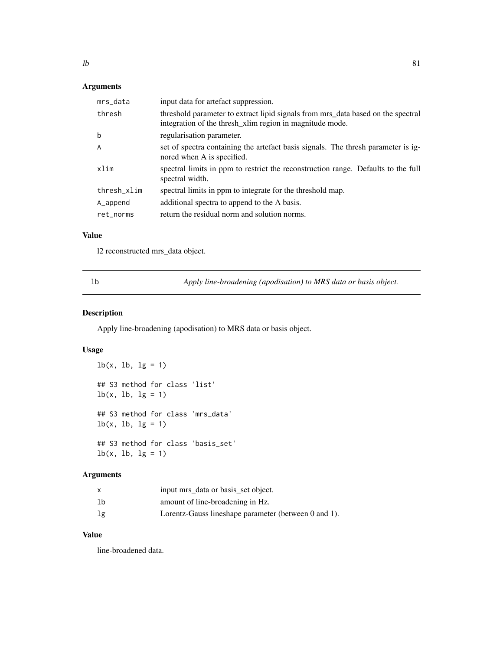# Arguments

| mrs_data    | input data for artefact suppression.                                                                                                         |
|-------------|----------------------------------------------------------------------------------------------------------------------------------------------|
| thresh      | threshold parameter to extract lipid signals from mrs_data based on the spectral<br>integration of the thresh_xlim region in magnitude mode. |
| b           | regularisation parameter.                                                                                                                    |
| A           | set of spectra containing the artefact basis signals. The thresh parameter is ig-<br>nored when A is specified.                              |
| xlim        | spectral limits in ppm to restrict the reconstruction range. Defaults to the full<br>spectral width.                                         |
| thresh xlim | spectral limits in ppm to integrate for the threshold map.                                                                                   |
| A_append    | additional spectra to append to the A basis.                                                                                                 |
| ret norms   | return the residual norm and solution norms.                                                                                                 |

# Value

l2 reconstructed mrs\_data object.

lb *Apply line-broadening (apodisation) to MRS data or basis object.*

# Description

Apply line-broadening (apodisation) to MRS data or basis object.

## Usage

```
lb(x, lb, lg = 1)## S3 method for class 'list'
lb(x, lb, lg = 1)## S3 method for class 'mrs_data'
lb(x, lb, lg = 1)## S3 method for class 'basis_set'
lb(x, lb, lg = 1)
```
## Arguments

|    | input mrs_data or basis_set object.                  |
|----|------------------------------------------------------|
| lb | amount of line-broadening in Hz.                     |
| lg | Lorentz-Gauss lineshape parameter (between 0 and 1). |

## Value

line-broadened data.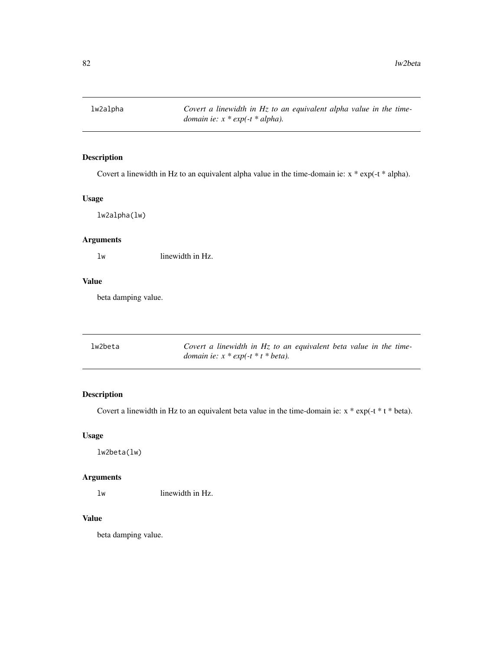lw2alpha *Covert a linewidth in Hz to an equivalent alpha value in the timedomain ie: x \* exp(-t \* alpha).*

## Description

Covert a linewidth in Hz to an equivalent alpha value in the time-domain ie: x \* exp(-t \* alpha).

# Usage

lw2alpha(lw)

## Arguments

lw linewidth in Hz.

## Value

beta damping value.

| lw2beta | Covert a linewidth in $Hz$ to an equivalent beta value in the time- |
|---------|---------------------------------------------------------------------|
|         | <i>domain ie:</i> $x * exp(-t * t * beta)$ .                        |

## Description

Covert a linewidth in Hz to an equivalent beta value in the time-domain ie:  $x * exp(-t * t * beta)$ .

## Usage

lw2beta(lw)

#### Arguments

lw linewidth in Hz.

#### Value

beta damping value.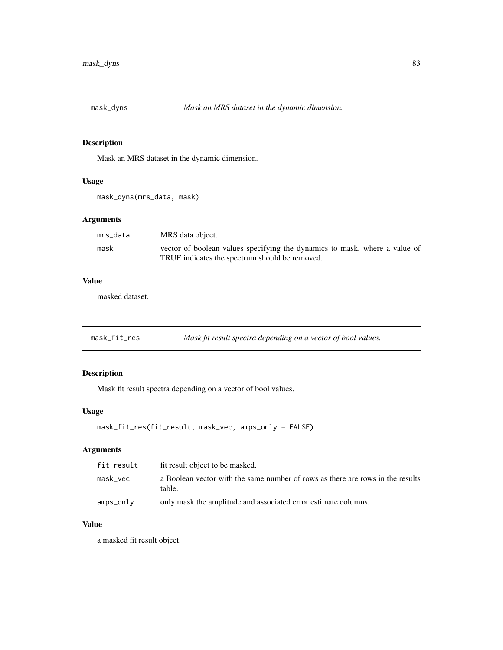Mask an MRS dataset in the dynamic dimension.

# Usage

```
mask_dyns(mrs_data, mask)
```
## Arguments

| mrs data | MRS data object.                                                           |
|----------|----------------------------------------------------------------------------|
| mask     | vector of boolean values specifying the dynamics to mask, where a value of |
|          | TRUE indicates the spectrum should be removed.                             |

# Value

masked dataset.

mask\_fit\_res *Mask fit result spectra depending on a vector of bool values.*

## Description

Mask fit result spectra depending on a vector of bool values.

#### Usage

```
mask_fit_res(fit_result, mask_vec, amps_only = FALSE)
```
## Arguments

| fit_result | fit result object to be masked.                                                          |
|------------|------------------------------------------------------------------------------------------|
| mask vec   | a Boolean vector with the same number of rows as there are rows in the results<br>table. |
| amps_only  | only mask the amplitude and associated error estimate columns.                           |

# Value

a masked fit result object.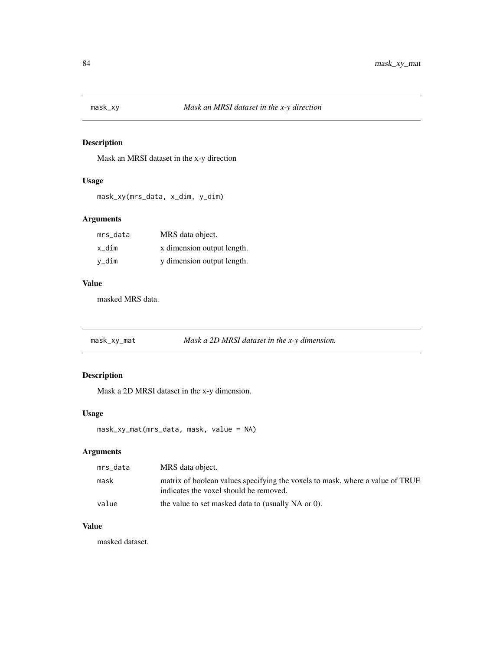Mask an MRSI dataset in the x-y direction

# Usage

mask\_xy(mrs\_data, x\_dim, y\_dim)

## Arguments

| mrs data | MRS data object.           |
|----------|----------------------------|
| x dim    | x dimension output length. |
| v_dim    | y dimension output length. |

#### Value

masked MRS data.

mask\_xy\_mat *Mask a 2D MRSI dataset in the x-y dimension.*

# Description

Mask a 2D MRSI dataset in the x-y dimension.

#### Usage

mask\_xy\_mat(mrs\_data, mask, value = NA)

# Arguments

| mrs_data | MRS data object.                                                                                                        |
|----------|-------------------------------------------------------------------------------------------------------------------------|
| mask     | matrix of boolean values specifying the voxels to mask, where a value of TRUE<br>indicates the voxel should be removed. |
| value    | the value to set masked data to (usually NA or 0).                                                                      |

## Value

masked dataset.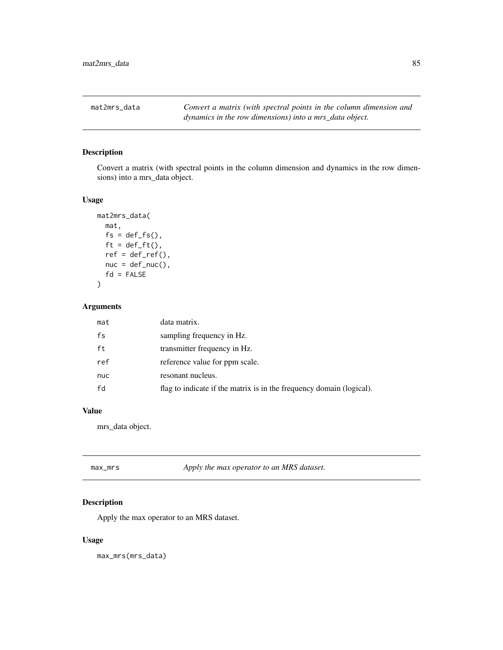mat2mrs\_data *Convert a matrix (with spectral points in the column dimension and dynamics in the row dimensions) into a mrs\_data object.*

## Description

Convert a matrix (with spectral points in the column dimension and dynamics in the row dimensions) into a mrs\_data object.

#### Usage

```
mat2mrs_data(
  mat,
  fs = def_f s(),ft = def_fft(),ref = def_ref(),nuc = def_nuc(),
  fd = FALSE\mathcal{L}
```
## Arguments

| mat | data matrix.                                                         |
|-----|----------------------------------------------------------------------|
| fs  | sampling frequency in Hz.                                            |
| ft  | transmitter frequency in Hz.                                         |
| ref | reference value for ppm scale.                                       |
| nuc | resonant nucleus.                                                    |
| fd  | flag to indicate if the matrix is in the frequency domain (logical). |

# Value

mrs\_data object.

| max_mrs | Apply the max operator to an MRS dataset. |
|---------|-------------------------------------------|
|         |                                           |

# Description

Apply the max operator to an MRS dataset.

## Usage

max\_mrs(mrs\_data)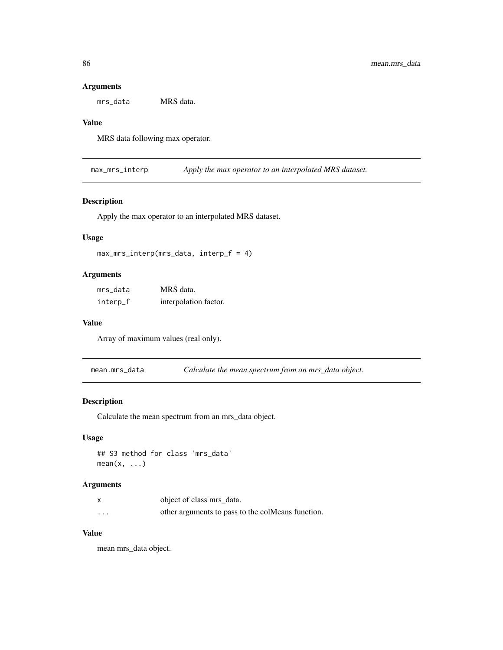#### Arguments

mrs\_data MRS data.

#### Value

MRS data following max operator.

max\_mrs\_interp *Apply the max operator to an interpolated MRS dataset.*

#### Description

Apply the max operator to an interpolated MRS dataset.

#### Usage

```
max_mrs_interp(mrs_data, interp_f = 4)
```
## Arguments

| mrs_data | MRS data.             |
|----------|-----------------------|
| interp_f | interpolation factor. |

#### Value

Array of maximum values (real only).

mean.mrs\_data *Calculate the mean spectrum from an mrs\_data object.*

## Description

Calculate the mean spectrum from an mrs\_data object.

#### Usage

```
## S3 method for class 'mrs_data'
mean(x, \ldots)
```
#### Arguments

|                         | object of class mrs data.                         |
|-------------------------|---------------------------------------------------|
| $\cdot$ $\cdot$ $\cdot$ | other arguments to pass to the colMeans function. |

## Value

mean mrs\_data object.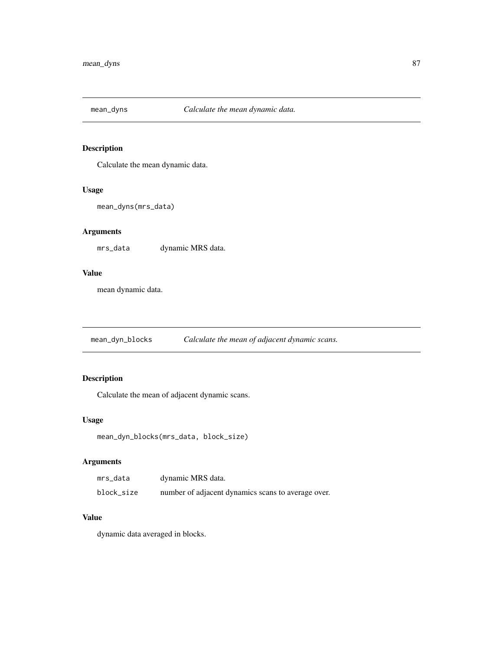Calculate the mean dynamic data.

#### Usage

```
mean_dyns(mrs_data)
```
# Arguments

mrs\_data dynamic MRS data.

#### Value

mean dynamic data.

mean\_dyn\_blocks *Calculate the mean of adjacent dynamic scans.*

## Description

Calculate the mean of adjacent dynamic scans.

#### Usage

```
mean_dyn_blocks(mrs_data, block_size)
```
## Arguments

| mrs_data   | dynamic MRS data.                                  |
|------------|----------------------------------------------------|
| block_size | number of adjacent dynamics scans to average over. |

## Value

dynamic data averaged in blocks.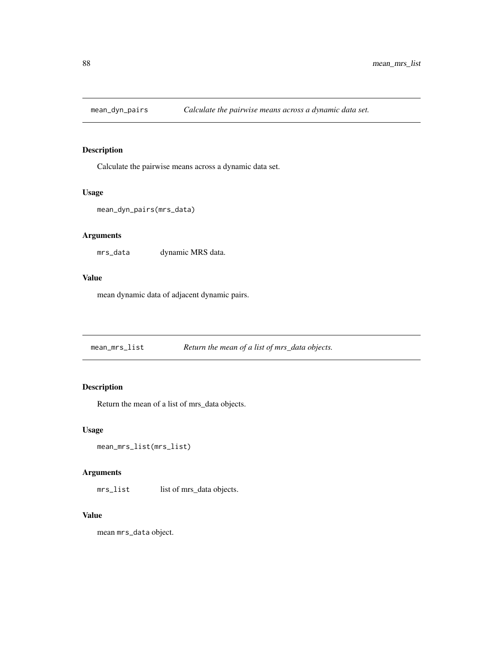Calculate the pairwise means across a dynamic data set.

#### Usage

```
mean_dyn_pairs(mrs_data)
```
#### Arguments

mrs\_data dynamic MRS data.

#### Value

mean dynamic data of adjacent dynamic pairs.

mean\_mrs\_list *Return the mean of a list of mrs\_data objects.*

# Description

Return the mean of a list of mrs\_data objects.

#### Usage

```
mean_mrs_list(mrs_list)
```
## Arguments

mrs\_list list of mrs\_data objects.

#### Value

mean mrs\_data object.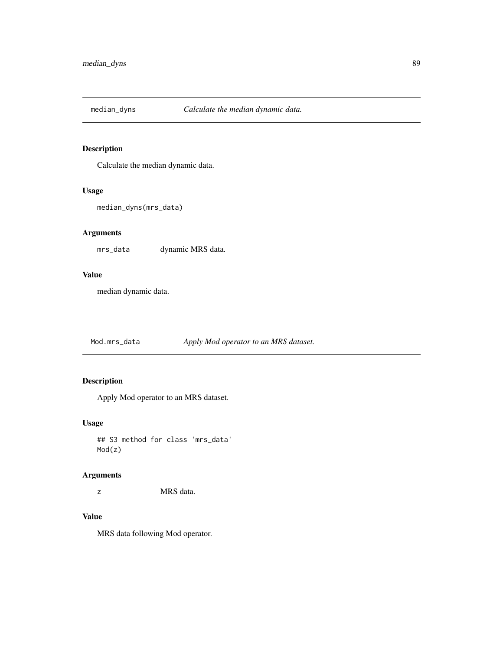Calculate the median dynamic data.

## Usage

```
median_dyns(mrs_data)
```
## Arguments

mrs\_data dynamic MRS data.

#### Value

median dynamic data.

Mod.mrs\_data *Apply Mod operator to an MRS dataset.*

# Description

Apply Mod operator to an MRS dataset.

## Usage

## S3 method for class 'mrs\_data' Mod(z)

#### Arguments

z MRS data.

## Value

MRS data following Mod operator.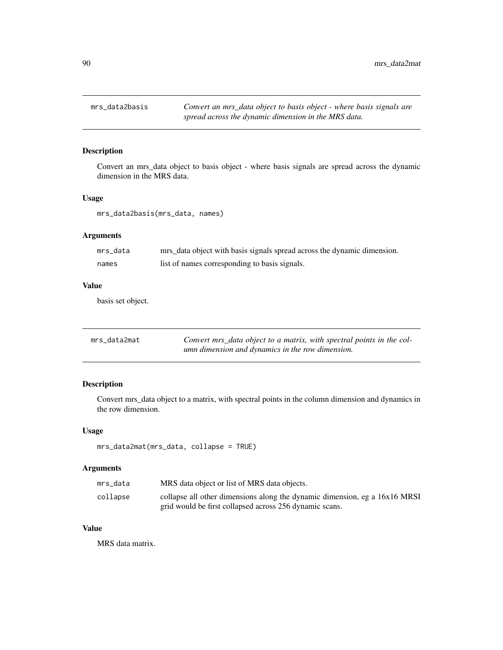Convert an mrs\_data object to basis object - where basis signals are spread across the dynamic dimension in the MRS data.

## Usage

mrs\_data2basis(mrs\_data, names)

## Arguments

| mrs data | mrs_data object with basis signals spread across the dynamic dimension. |
|----------|-------------------------------------------------------------------------|
| names    | list of names corresponding to basis signals.                           |

# Value

basis set object.

| mrs data2mat | Convert mrs_data object to a matrix, with spectral points in the col- |
|--------------|-----------------------------------------------------------------------|
|              | umn dimension and dynamics in the row dimension.                      |

## Description

Convert mrs\_data object to a matrix, with spectral points in the column dimension and dynamics in the row dimension.

#### Usage

```
mrs_data2mat(mrs_data, collapse = TRUE)
```
## Arguments

| mrs data | MRS data object or list of MRS data objects.                               |
|----------|----------------------------------------------------------------------------|
| collapse | collapse all other dimensions along the dynamic dimension, eg a 16x16 MRSI |
|          | grid would be first collapsed across 256 dynamic scans.                    |

## Value

MRS data matrix.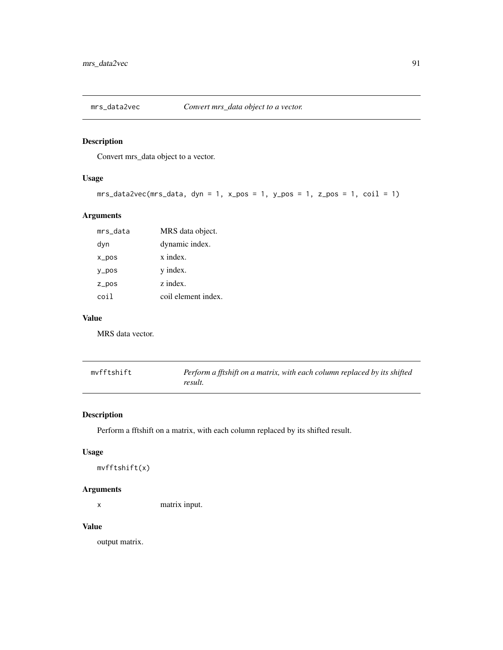Convert mrs\_data object to a vector.

## Usage

mrs\_data2vec(mrs\_data, dyn = 1, x\_pos = 1, y\_pos = 1, z\_pos = 1, coil = 1)

## Arguments

| mrs_data          | MRS data object.    |
|-------------------|---------------------|
| dyn               | dynamic index.      |
| $x_{DOS}$         | x index.            |
| $V_{\text{-}POS}$ | y index.            |
| $Z_ppos$          | z index.            |
| coil              | coil element index. |

## Value

MRS data vector.

| mvfftshift | Perform a fftshift on a matrix, with each column replaced by its shifted |
|------------|--------------------------------------------------------------------------|
|            | result.                                                                  |

# Description

Perform a fftshift on a matrix, with each column replaced by its shifted result.

# Usage

mvfftshift(x)

## Arguments

x matrix input.

#### Value

output matrix.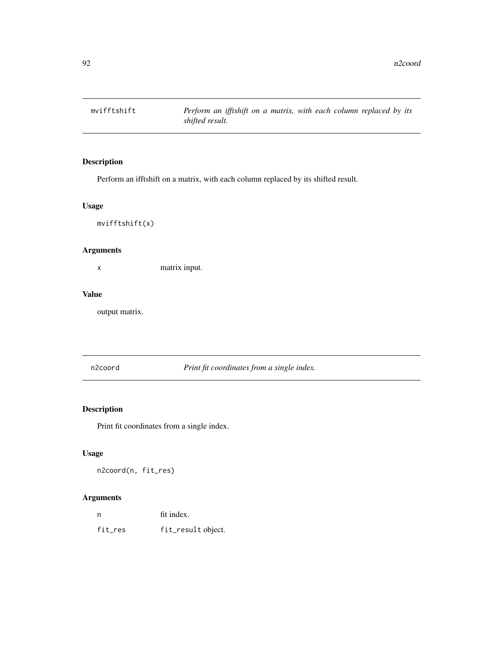mvifftshift *Perform an ifftshift on a matrix, with each column replaced by its shifted result.*

# Description

Perform an ifftshift on a matrix, with each column replaced by its shifted result.

## Usage

mvifftshift(x)

#### Arguments

x matrix input.

#### Value

output matrix.

n2coord *Print fit coordinates from a single index.*

## Description

Print fit coordinates from a single index.

## Usage

n2coord(n, fit\_res)

| n       | fit index.         |
|---------|--------------------|
| fit_res | fit_result object. |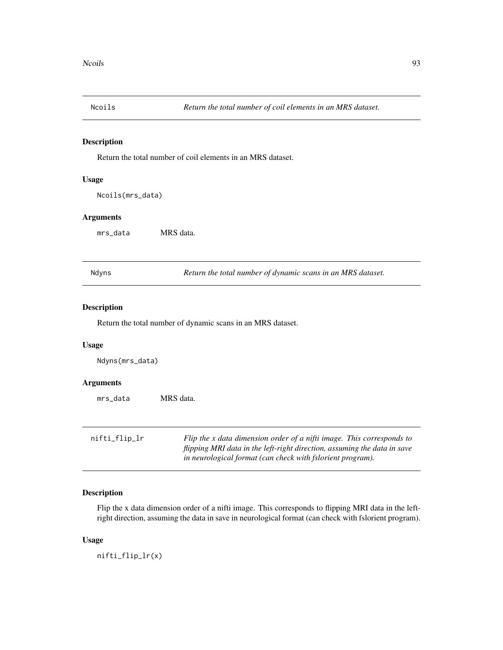Return the total number of coil elements in an MRS dataset.

#### Usage

Ncoils(mrs\_data)

#### Arguments

mrs\_data MRS data.

Ndyns *Return the total number of dynamic scans in an MRS dataset.*

#### Description

Return the total number of dynamic scans in an MRS dataset.

#### Usage

Ndyns(mrs\_data)

#### Arguments

mrs\_data MRS data.

| nifti_flip_lr | Flip the x data dimension order of a nifti image. This corresponds to    |
|---------------|--------------------------------------------------------------------------|
|               | flipping MRI data in the left-right direction, assuming the data in save |
|               | in neurological format (can check with fslorient program).               |

## Description

Flip the x data dimension order of a nifti image. This corresponds to flipping MRI data in the leftright direction, assuming the data in save in neurological format (can check with fslorient program).

#### Usage

nifti\_flip\_lr(x)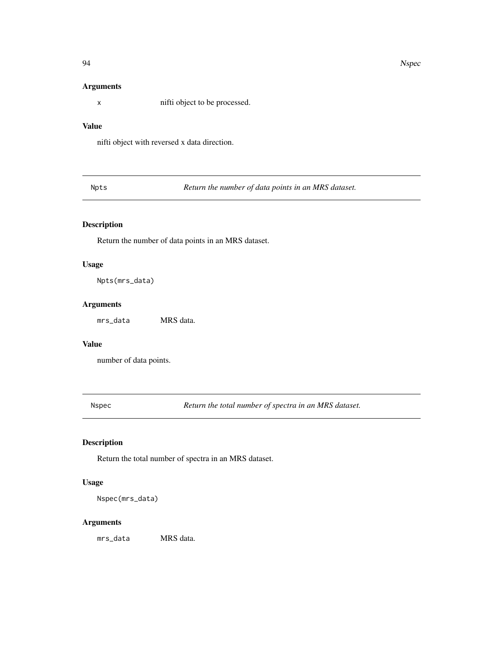#### Arguments

x nifti object to be processed.

# Value

nifti object with reversed x data direction.

Npts *Return the number of data points in an MRS dataset.*

## Description

Return the number of data points in an MRS dataset.

## Usage

Npts(mrs\_data)

## Arguments

mrs\_data MRS data.

# Value

number of data points.

Nspec *Return the total number of spectra in an MRS dataset.*

# Description

Return the total number of spectra in an MRS dataset.

## Usage

Nspec(mrs\_data)

## Arguments

mrs\_data MRS data.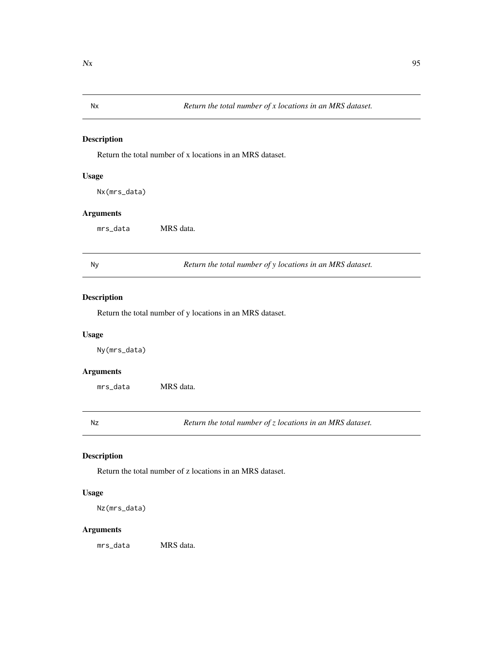Return the total number of x locations in an MRS dataset.

## Usage

Nx(mrs\_data)

#### Arguments

mrs\_data MRS data.

Ny *Return the total number of y locations in an MRS dataset.*

# Description

Return the total number of y locations in an MRS dataset.

#### Usage

Ny(mrs\_data)

#### Arguments

mrs\_data MRS data.

Nz *Return the total number of z locations in an MRS dataset.*

# Description

Return the total number of z locations in an MRS dataset.

# Usage

Nz(mrs\_data)

#### Arguments

mrs\_data MRS data.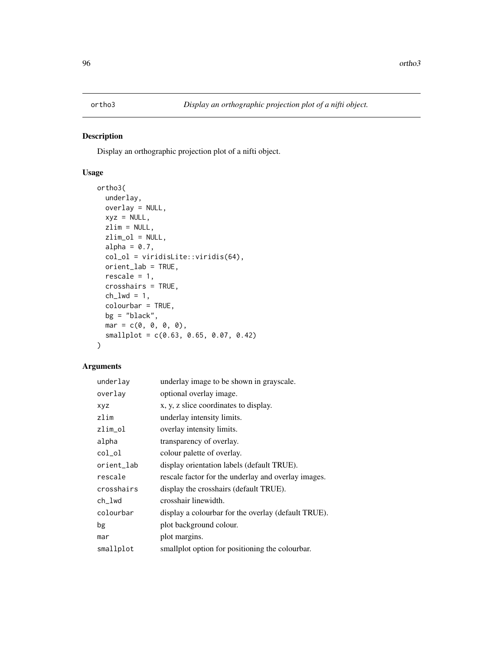Display an orthographic projection plot of a nifti object.

# Usage

```
ortho3(
 underlay,
 overlay = NULL,
 xyz = NULL,zlim = NULL,
 zlim_ol = NULL,
 alpha = 0.7,
 col_ol = viridisLite::viridis(64),
 orient_lab = TRUE,
 rescale = 1,
 crosshairs = TRUE,
 ch_lwd = 1,
 colourbar = TRUE,
 bg = "black",
 mar = c(0, 0, 0, 0),
 smallplot = c(0.63, 0.65, 0.07, 0.42)
\mathcal{L}
```

| underlay   | underlay image to be shown in grayscale.            |
|------------|-----------------------------------------------------|
| overlay    | optional overlay image.                             |
| xyz        | x, y, z slice coordinates to display.               |
| zlim       | underlay intensity limits.                          |
| zlim_ol    | overlay intensity limits.                           |
| alpha      | transparency of overlay.                            |
| col_ol     | colour palette of overlay.                          |
| orient_lab | display orientation labels (default TRUE).          |
| rescale    | rescale factor for the underlay and overlay images. |
| crosshairs | display the crosshairs (default TRUE).              |
| ch_lwd     | crosshair linewidth.                                |
| colourbar  | display a colourbar for the overlay (default TRUE). |
| bg         | plot background colour.                             |
| mar        | plot margins.                                       |
| smallplot  | smallplot option for positioning the colourbar.     |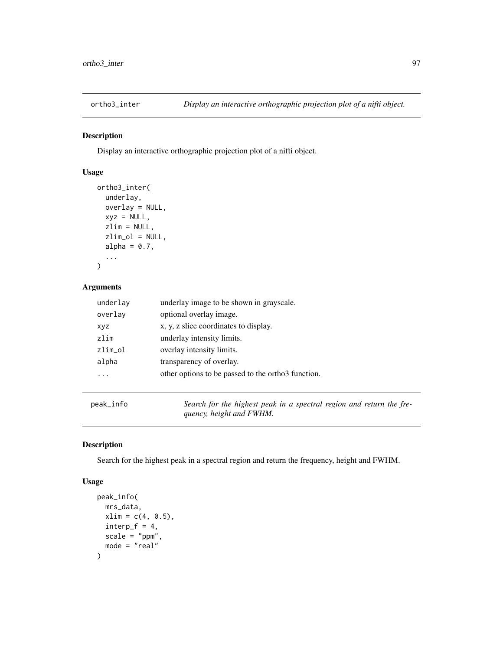Display an interactive orthographic projection plot of a nifti object.

# Usage

```
ortho3_inter(
  underlay,
  overlay = NULL,
  xyz = NULL,zlim = NULL,
  zlim_ol = NULL,
  alpha = 0.7,
  ...
\mathcal{L}
```
## Arguments

| underlay   | underlay image to be shown in grayscale.           |
|------------|----------------------------------------------------|
| overlay    | optional overlay image.                            |
| <b>XVZ</b> | x, y, z slice coordinates to display.              |
| zlim       | underlay intensity limits.                         |
| zlim_ol    | overlay intensity limits.                          |
| alpha      | transparency of overlay.                           |
|            | other options to be passed to the orthor function. |
|            |                                                    |

peak\_info *Search for the highest peak in a spectral region and return the frequency, height and FWHM.*

## Description

Search for the highest peak in a spectral region and return the frequency, height and FWHM.

#### Usage

```
peak_info(
  mrs_data,
  xlim = c(4, 0.5),
  interp_f = 4,
  scale = "ppm",
  mode = "real"
\mathcal{E}
```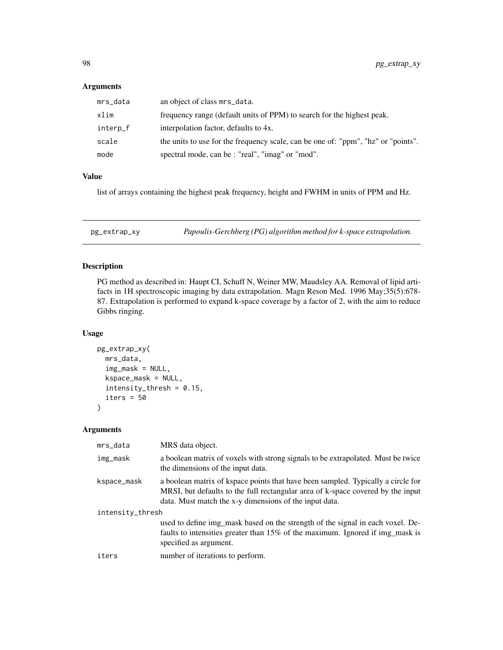#### Arguments

| mrs_data | an object of class mrs_data.                                                      |
|----------|-----------------------------------------------------------------------------------|
| xlim     | frequency range (default units of PPM) to search for the highest peak.            |
| interp_f | interpolation factor, defaults to 4x.                                             |
| scale    | the units to use for the frequency scale, can be one of: "ppm", "hz" or "points". |
| mode     | spectral mode, can be : "real", "imag" or "mod".                                  |

## Value

list of arrays containing the highest peak frequency, height and FWHM in units of PPM and Hz.

pg\_extrap\_xy *Papoulis-Gerchberg (PG) algorithm method for k-space extrapolation.*

## Description

PG method as described in: Haupt CI, Schuff N, Weiner MW, Maudsley AA. Removal of lipid artifacts in 1H spectroscopic imaging by data extrapolation. Magn Reson Med. 1996 May;35(5):678- 87. Extrapolation is performed to expand k-space coverage by a factor of 2, with the aim to reduce Gibbs ringing.

#### Usage

```
pg_extrap_xy(
 mrs_data,
  img\_mask = NULL,kspace_mask = NULL,
  intensity_thresh = 0.15,
  iters = 50\lambda
```

| mrs_data         | MRS data object.                                                                                                                                                                                                              |
|------------------|-------------------------------------------------------------------------------------------------------------------------------------------------------------------------------------------------------------------------------|
| img_mask         | a boolean matrix of voxels with strong signals to be extrapolated. Must be twice<br>the dimensions of the input data.                                                                                                         |
| kspace_mask      | a boolean matrix of kspace points that have been sampled. Typically a circle for<br>MRSI, but defaults to the full rectangular area of k-space covered by the input<br>data. Must match the x-y dimensions of the input data. |
| intensity_thresh |                                                                                                                                                                                                                               |
|                  | used to define img_mask based on the strength of the signal in each voxel. De-<br>faults to intensities greater than 15% of the maximum. Ignored if img_mask is<br>specified as argument.                                     |
| iters            | number of iterations to perform.                                                                                                                                                                                              |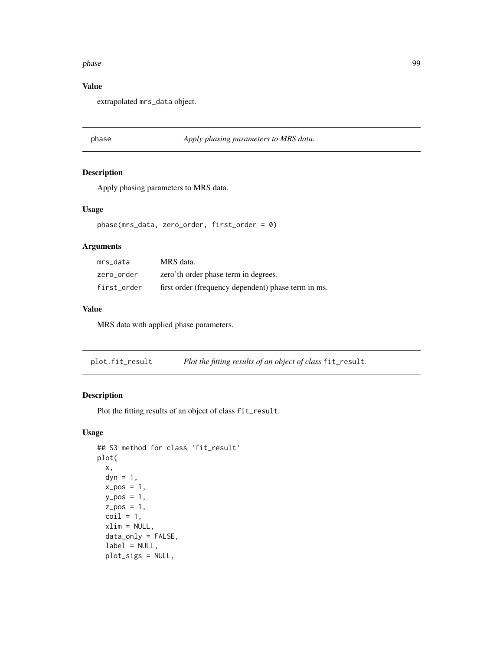#### phase 99

#### Value

extrapolated mrs\_data object.

## phase *Apply phasing parameters to MRS data.*

#### Description

Apply phasing parameters to MRS data.

#### Usage

phase(mrs\_data, zero\_order, first\_order = 0)

#### Arguments

| mrs data    | MRS data.                                           |
|-------------|-----------------------------------------------------|
| zero order  | zero'th order phase term in degrees.                |
| first order | first order (frequency dependent) phase term in ms. |

#### Value

MRS data with applied phase parameters.

plot.fit\_result *Plot the fitting results of an object of class* fit\_result*.*

#### Description

Plot the fitting results of an object of class fit\_result.

#### Usage

```
## S3 method for class 'fit_result'
plot(
  x,
  dyn = 1,
  x_{-}pos = 1,
  y_{p}os = 1,
  z_{pos} = 1,
  \text{coil} = 1,
  xlim = NULL,data_only = FALSE,
  label = NULL,plot_sigs = NULL,
```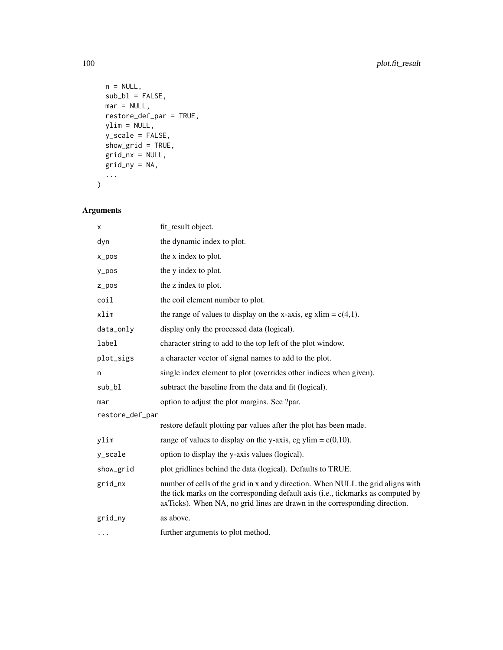```
n = NULL,sub_b1 = FALSE,mar = NULL,restore_def_par = TRUE,
 ylim = NULL,
 y_scale = FALSE,
 show_grid = TRUE,
 grid_nx = NULL,
 grid_ny = NA,
  ...
)
```

| x               | fit_result object.                                                                                                                                                                                                                                 |
|-----------------|----------------------------------------------------------------------------------------------------------------------------------------------------------------------------------------------------------------------------------------------------|
| dyn             | the dynamic index to plot.                                                                                                                                                                                                                         |
| $x_{pos}$       | the x index to plot.                                                                                                                                                                                                                               |
| $y_p$ os        | the y index to plot.                                                                                                                                                                                                                               |
| $Z_ppos$        | the z index to plot.                                                                                                                                                                                                                               |
| coil            | the coil element number to plot.                                                                                                                                                                                                                   |
| xlim            | the range of values to display on the x-axis, eg xlim = $c(4,1)$ .                                                                                                                                                                                 |
| data_only       | display only the processed data (logical).                                                                                                                                                                                                         |
| label           | character string to add to the top left of the plot window.                                                                                                                                                                                        |
| plot_sigs       | a character vector of signal names to add to the plot.                                                                                                                                                                                             |
| n               | single index element to plot (overrides other indices when given).                                                                                                                                                                                 |
| sub_bl          | subtract the baseline from the data and fit (logical).                                                                                                                                                                                             |
| mar             | option to adjust the plot margins. See ?par.                                                                                                                                                                                                       |
| restore_def_par |                                                                                                                                                                                                                                                    |
|                 | restore default plotting par values after the plot has been made.                                                                                                                                                                                  |
| ylim            | range of values to display on the y-axis, eg ylim = $c(0,10)$ .                                                                                                                                                                                    |
| y_scale         | option to display the y-axis values (logical).                                                                                                                                                                                                     |
| show_grid       | plot gridlines behind the data (logical). Defaults to TRUE.                                                                                                                                                                                        |
| grid_nx         | number of cells of the grid in x and y direction. When NULL the grid aligns with<br>the tick marks on the corresponding default axis (i.e., tickmarks as computed by<br>axTicks). When NA, no grid lines are drawn in the corresponding direction. |
| grid_ny         | as above.                                                                                                                                                                                                                                          |
| .               | further arguments to plot method.                                                                                                                                                                                                                  |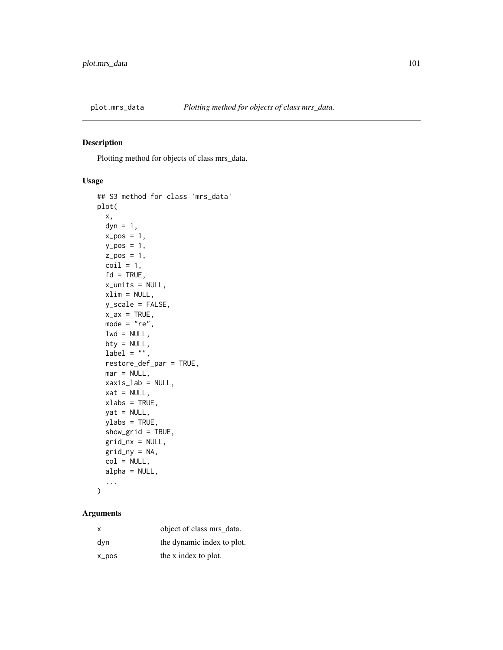Plotting method for objects of class mrs\_data.

# Usage

```
## S3 method for class 'mrs_data'
plot(
  x,
 dyn = 1,
  x_{-}pos = 1,
 y_{-}pos = 1,
  z_{-}pos = 1,
 \text{coil} = 1,
  fd = TRUE,x_units = NULL,
 xlim = NULL,
 y_scale = FALSE,
 x_ax = TRUE,mode = "re",lwd = NULL,bty = NULL,
  label = "",restore_def_par = TRUE,
 mar = NULL,xaxis_lab = NULL,
  xat = NULL,xlabs = TRUE,
 yat = NULL,ylabs = TRUE,
  show_grid = TRUE,
  grid_nx = NULL,
  grid_ny = NA,
  col = NULL,alpha = NULL,
  ...
)
```

| x     | object of class mrs_data.  |
|-------|----------------------------|
| dvn   | the dynamic index to plot. |
| x_pos | the x index to plot.       |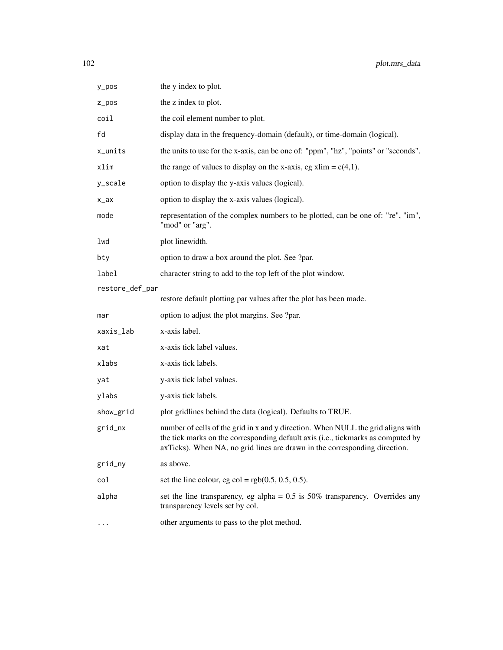| y_pos           | the y index to plot.                                                                                                                                                                                                                               |
|-----------------|----------------------------------------------------------------------------------------------------------------------------------------------------------------------------------------------------------------------------------------------------|
| z_pos           | the z index to plot.                                                                                                                                                                                                                               |
| coil            | the coil element number to plot.                                                                                                                                                                                                                   |
| fd              | display data in the frequency-domain (default), or time-domain (logical).                                                                                                                                                                          |
| x_units         | the units to use for the x-axis, can be one of: "ppm", "hz", "points" or "seconds".                                                                                                                                                                |
| xlim            | the range of values to display on the x-axis, eg xlim = $c(4,1)$ .                                                                                                                                                                                 |
| y_scale         | option to display the y-axis values (logical).                                                                                                                                                                                                     |
| $x_ax$          | option to display the x-axis values (logical).                                                                                                                                                                                                     |
| mode            | representation of the complex numbers to be plotted, can be one of: "re", "im",<br>"mod" or "arg".                                                                                                                                                 |
| lwd             | plot linewidth.                                                                                                                                                                                                                                    |
| bty             | option to draw a box around the plot. See ?par.                                                                                                                                                                                                    |
| label           | character string to add to the top left of the plot window.                                                                                                                                                                                        |
| restore_def_par |                                                                                                                                                                                                                                                    |
|                 | restore default plotting par values after the plot has been made.                                                                                                                                                                                  |
| mar             | option to adjust the plot margins. See ?par.                                                                                                                                                                                                       |
| xaxis_lab       | x-axis label.                                                                                                                                                                                                                                      |
| xat             | x-axis tick label values.                                                                                                                                                                                                                          |
| xlabs           | x-axis tick labels.                                                                                                                                                                                                                                |
| yat             | y-axis tick label values.                                                                                                                                                                                                                          |
| ylabs           | y-axis tick labels.                                                                                                                                                                                                                                |
| show_grid       | plot gridlines behind the data (logical). Defaults to TRUE.                                                                                                                                                                                        |
| grid_nx         | number of cells of the grid in x and y direction. When NULL the grid aligns with<br>the tick marks on the corresponding default axis (i.e., tickmarks as computed by<br>axTicks). When NA, no grid lines are drawn in the corresponding direction. |
| grid_ny         | as above.                                                                                                                                                                                                                                          |
| col             | set the line colour, eg col = $rgb(0.5, 0.5, 0.5)$ .                                                                                                                                                                                               |
| alpha           | set the line transparency, eg alpha = $0.5$ is 50% transparency. Overrides any<br>transparency levels set by col.                                                                                                                                  |
|                 | other arguments to pass to the plot method.                                                                                                                                                                                                        |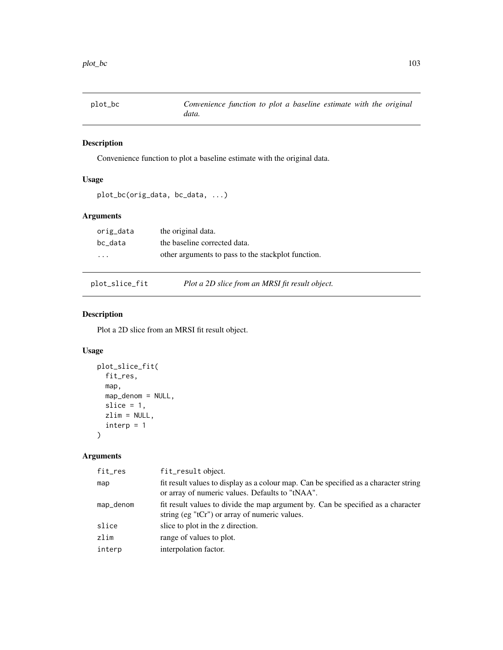plot\_bc *Convenience function to plot a baseline estimate with the original data.*

## Description

Convenience function to plot a baseline estimate with the original data.

# Usage

```
plot_bc(orig_data, bc_data, ...)
```
## Arguments

| orig_data               | the original data.                                 |
|-------------------------|----------------------------------------------------|
| bc data                 | the baseline corrected data.                       |
| $\cdot$ $\cdot$ $\cdot$ | other arguments to pass to the stackplot function. |

plot\_slice\_fit *Plot a 2D slice from an MRSI fit result object.*

## Description

Plot a 2D slice from an MRSI fit result object.

#### Usage

```
plot_slice_fit(
  fit_res,
  map,
  map_denom = NULL,
  slice = 1,
  zlim = NULL,
  \text{interp} = 1)
```

| map<br>or array of numeric values. Defaults to "tNAA".<br>map_denom<br>string (eg "tCr") or array of numeric values.<br>slice<br>slice to plot in the z direction.<br>zlim<br>range of values to plot.<br>interpolation factor.<br>interp | fit_res | fit_result object.                                                                   |
|-------------------------------------------------------------------------------------------------------------------------------------------------------------------------------------------------------------------------------------------|---------|--------------------------------------------------------------------------------------|
|                                                                                                                                                                                                                                           |         | fit result values to display as a colour map. Can be specified as a character string |
|                                                                                                                                                                                                                                           |         | fit result values to divide the map argument by. Can be specified as a character     |
|                                                                                                                                                                                                                                           |         |                                                                                      |
|                                                                                                                                                                                                                                           |         |                                                                                      |
|                                                                                                                                                                                                                                           |         |                                                                                      |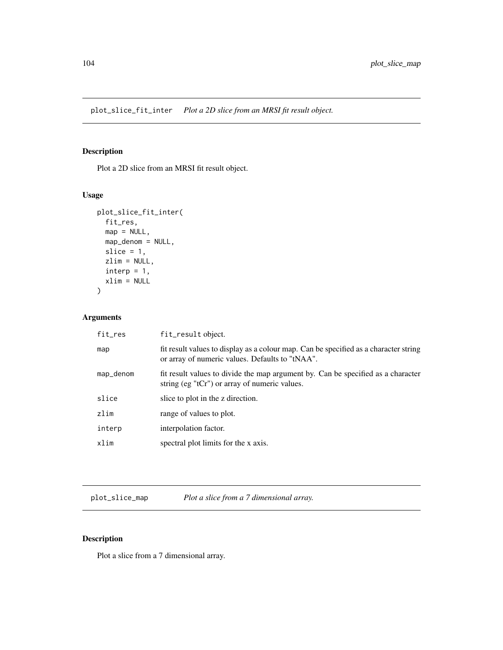plot\_slice\_fit\_inter *Plot a 2D slice from an MRSI fit result object.*

# Description

Plot a 2D slice from an MRSI fit result object.

## Usage

```
plot_slice_fit_inter(
  fit_res,
  map = NULL,map_denom = NULL,
  slice = 1,
  zlim = NULL,
  \text{interp} = 1,
  xlim = NULL
\mathcal{L}
```
## Arguments

| fit_res   | fit_result object.                                                                                                                      |
|-----------|-----------------------------------------------------------------------------------------------------------------------------------------|
| map       | fit result values to display as a colour map. Can be specified as a character string<br>or array of numeric values. Defaults to "tNAA". |
| map_denom | fit result values to divide the map argument by. Can be specified as a character<br>string (eg "tCr") or array of numeric values.       |
| slice     | slice to plot in the z direction.                                                                                                       |
| zlim      | range of values to plot.                                                                                                                |
| interp    | interpolation factor.                                                                                                                   |
| xlim      | spectral plot limits for the x axis.                                                                                                    |
|           |                                                                                                                                         |

plot\_slice\_map *Plot a slice from a 7 dimensional array.*

# Description

Plot a slice from a 7 dimensional array.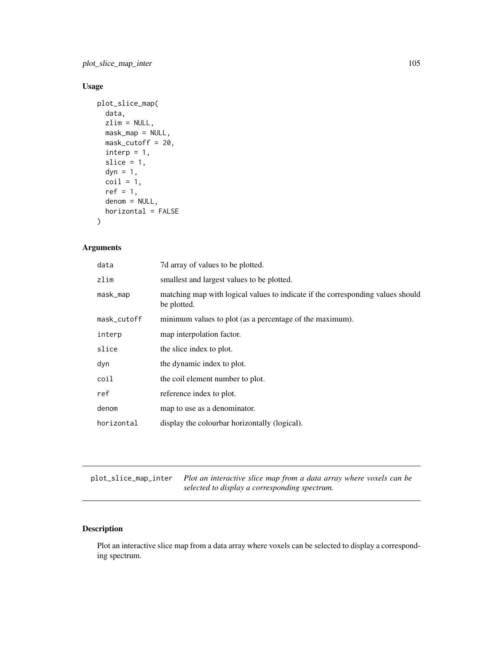plot\_slice\_map\_inter 105

# Usage

```
plot_slice_map(
  data,
  zlim = NULL,
  mask_map = NULL,
  mask_cutoff = 20,
  \text{interp} = 1,
  slice = 1,
  dyn = 1,
  \text{coil} = 1,
  ref = 1,
  denom = NULL,
  horizontal = FALSE
\mathcal{L}
```
## Arguments

| data        | 7d array of values to be plotted.                                                              |  |
|-------------|------------------------------------------------------------------------------------------------|--|
| zlim        | smallest and largest values to be plotted.                                                     |  |
| mask_map    | matching map with logical values to indicate if the corresponding values should<br>be plotted. |  |
| mask_cutoff | minimum values to plot (as a percentage of the maximum).                                       |  |
| interp      | map interpolation factor.                                                                      |  |
| slice       | the slice index to plot.                                                                       |  |
| dyn         | the dynamic index to plot.                                                                     |  |
| coil        | the coil element number to plot.                                                               |  |
| ref         | reference index to plot.                                                                       |  |
| denom       | map to use as a denominator.                                                                   |  |
| horizontal  | display the colourbar horizontally (logical).                                                  |  |

plot\_slice\_map\_inter *Plot an interactive slice map from a data array where voxels can be selected to display a corresponding spectrum.*

# Description

Plot an interactive slice map from a data array where voxels can be selected to display a corresponding spectrum.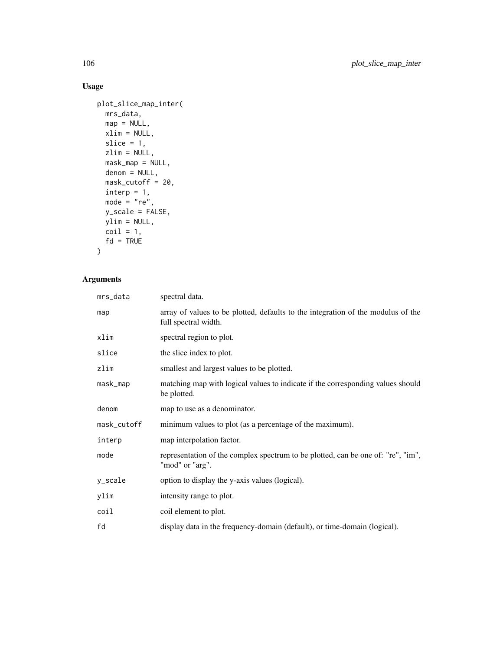# Usage

```
plot_slice_map_inter(
  mrs_data,
  map = NULL,xlim = NULL,
  slice = 1,
  zlim = NULL,
  mask_map = NULL,
  denom = NULL,
  mask_cutoff = 20,
  interp = 1,
  mode = "re",y_scale = FALSE,
  ylim = NULL,
  \text{coil} = 1,
  fd = TRUE\mathcal{L}
```

| mrs_data    | spectral data.                                                                                           |
|-------------|----------------------------------------------------------------------------------------------------------|
| map         | array of values to be plotted, defaults to the integration of the modulus of the<br>full spectral width. |
| xlim        | spectral region to plot.                                                                                 |
| slice       | the slice index to plot.                                                                                 |
| zlim        | smallest and largest values to be plotted.                                                               |
| mask_map    | matching map with logical values to indicate if the corresponding values should<br>be plotted.           |
| denom       | map to use as a denominator.                                                                             |
| mask_cutoff | minimum values to plot (as a percentage of the maximum).                                                 |
| interp      | map interpolation factor.                                                                                |
| mode        | representation of the complex spectrum to be plotted, can be one of: "re", "im",<br>"mod" or "arg".      |
| y_scale     | option to display the y-axis values (logical).                                                           |
| ylim        | intensity range to plot.                                                                                 |
| coil        | coil element to plot.                                                                                    |
| fd          | display data in the frequency-domain (default), or time-domain (logical).                                |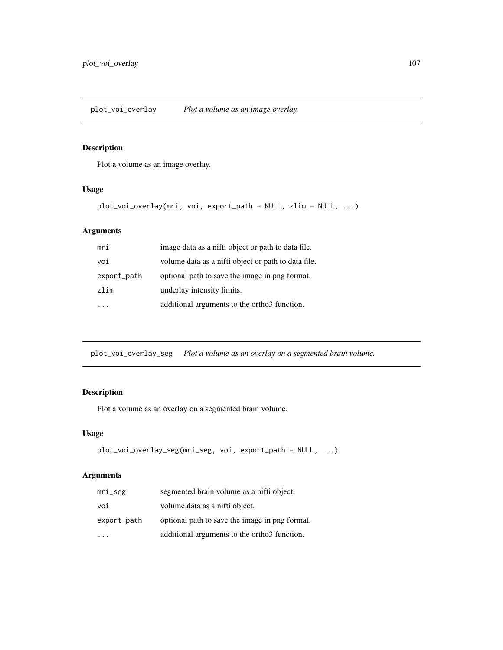Plot a volume as an image overlay.

# Usage

```
plot_voi_overlay(mri, voi, export_path = NULL, zlim = NULL, ...)
```
# Arguments

| mri         | image data as a nifti object or path to data file.  |
|-------------|-----------------------------------------------------|
| voi         | volume data as a nifti object or path to data file. |
| export_path | optional path to save the image in png format.      |
| zlim        | underlay intensity limits.                          |
|             | additional arguments to the ortho3 function.        |

plot\_voi\_overlay\_seg *Plot a volume as an overlay on a segmented brain volume.*

# Description

Plot a volume as an overlay on a segmented brain volume.

#### Usage

```
plot_voi_overlay_seg(mri_seg, voi, export_path = NULL, ...)
```

| $mri\_seg$  | segmented brain volume as a nifti object.                |
|-------------|----------------------------------------------------------|
| voi         | volume data as a nifti object.                           |
| export_path | optional path to save the image in png format.           |
|             | additional arguments to the ortho <sup>3</sup> function. |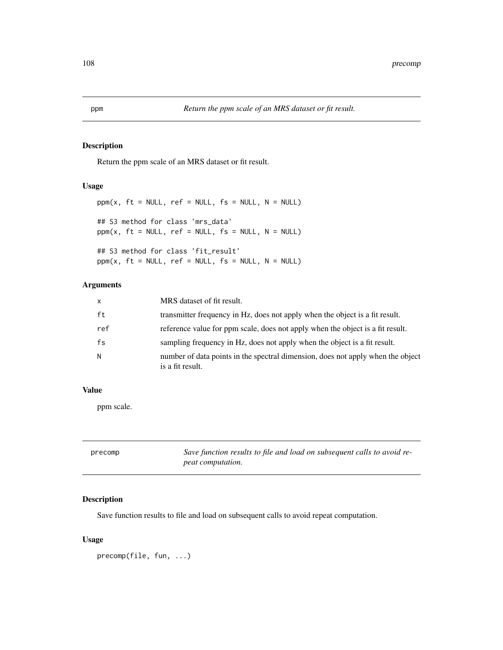Return the ppm scale of an MRS dataset or fit result.

#### Usage

```
ppm(x, ft = NULL, ref = NULL, fs = NULL, N = NULL)## S3 method for class 'mrs_data'
ppm(x, ft = NULL, ref = NULL, fs = NULL, N = NULL)## S3 method for class 'fit_result'
ppm(x, ft = NULL, ref = NULL, fs = NULL, N = NULL)
```
# Arguments

| $\mathsf{x}$ | MRS dataset of fit result.                                                                          |
|--------------|-----------------------------------------------------------------------------------------------------|
| ft           | transmitter frequency in Hz, does not apply when the object is a fit result.                        |
| ref          | reference value for ppm scale, does not apply when the object is a fit result.                      |
| fs           | sampling frequency in Hz, does not apply when the object is a fit result.                           |
| N.           | number of data points in the spectral dimension, does not apply when the object<br>is a fit result. |

#### Value

ppm scale.

| precomp | Save function results to file and load on subsequent calls to avoid re- |
|---------|-------------------------------------------------------------------------|
|         | <i>peat computation.</i>                                                |

## Description

Save function results to file and load on subsequent calls to avoid repeat computation.

#### Usage

precomp(file, fun, ...)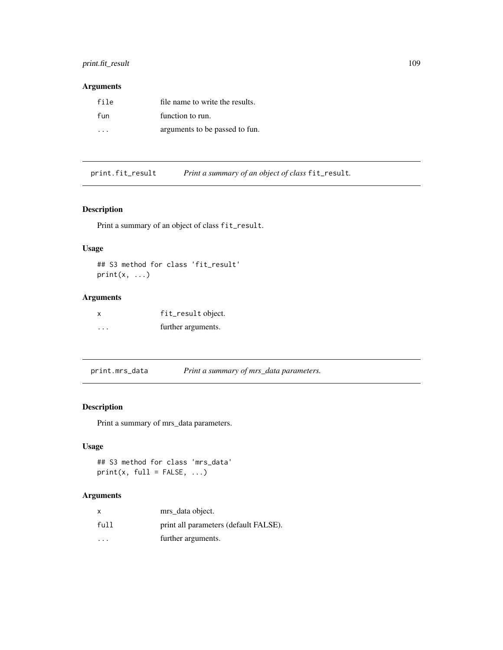### print.fit\_result 109

### Arguments

| file | file name to write the results. |
|------|---------------------------------|
| fun  | function to run.                |
| .    | arguments to be passed to fun.  |

print.fit\_result *Print a summary of an object of class* fit\_result*.*

### Description

Print a summary of an object of class fit\_result.

# Usage

```
## S3 method for class 'fit_result'
print(x, \ldots)
```
# Arguments

| X       | fit_result object. |
|---------|--------------------|
| $\cdot$ | further arguments. |

print.mrs\_data *Print a summary of mrs\_data parameters.*

# Description

Print a summary of mrs\_data parameters.

### Usage

```
## S3 method for class 'mrs_data'
print(x, full = FALSE, ...)
```
### Arguments

| X    | mrs_data object.                      |
|------|---------------------------------------|
| full | print all parameters (default FALSE). |
| .    | further arguments.                    |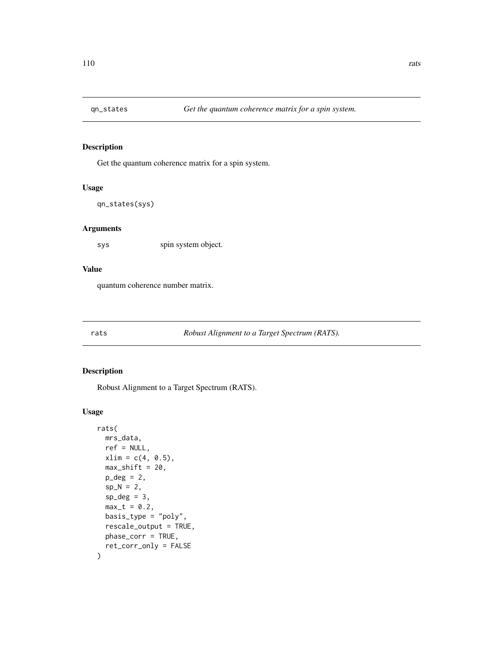Get the quantum coherence matrix for a spin system.

### Usage

qn\_states(sys)

### Arguments

sys spin system object.

### Value

quantum coherence number matrix.

rats *Robust Alignment to a Target Spectrum (RATS).*

### Description

Robust Alignment to a Target Spectrum (RATS).

#### Usage

```
rats(
 mrs_data,
 ref = NULL,xlim = c(4, 0.5),
 max\_shift = 20,p\_deg = 2,
  sp_N = 2,
  sp\_deg = 3,
 max_t = 0.2,
 basis_type = "poly",
  rescale_output = TRUE,
 phase_corr = TRUE,
  ret_corr_only = FALSE
\mathcal{E}
```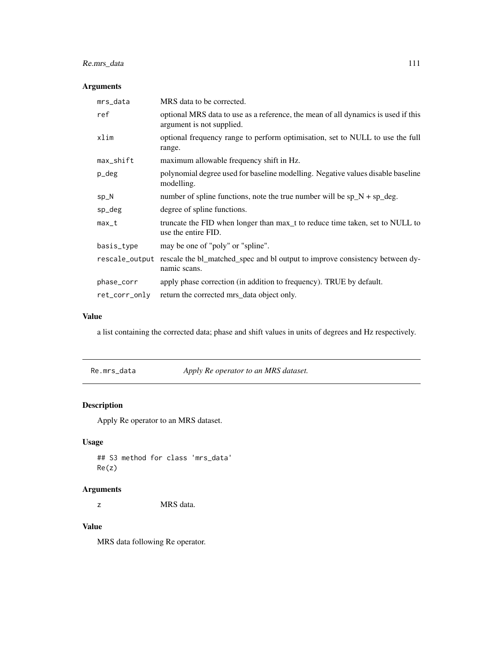# Re.mrs\_data 111

# Arguments

| mrs_data       | MRS data to be corrected.                                                                                      |
|----------------|----------------------------------------------------------------------------------------------------------------|
| ref            | optional MRS data to use as a reference, the mean of all dynamics is used if this<br>argument is not supplied. |
| xlim           | optional frequency range to perform optimisation, set to NULL to use the full<br>range.                        |
| max_shift      | maximum allowable frequency shift in Hz.                                                                       |
| p_deg          | polynomial degree used for baseline modelling. Negative values disable baseline<br>modelling.                  |
| $sp_N$         | number of spline functions, note the true number will be $sp_N + sp\_deg$ .                                    |
| sp_deg         | degree of spline functions.                                                                                    |
| $max_t$        | truncate the FID when longer than max_t to reduce time taken, set to NULL to<br>use the entire FID.            |
| basis_type     | may be one of "poly" or "spline".                                                                              |
| rescale_output | rescale the bl_matched_spec and bl output to improve consistency between dy-<br>namic scans.                   |
| phase_corr     | apply phase correction (in addition to frequency). TRUE by default.                                            |
| ret_corr_only  | return the corrected mrs_data object only.                                                                     |

# Value

a list containing the corrected data; phase and shift values in units of degrees and Hz respectively.

|  | Re.mrs_data | Apply Re operator to an MRS dataset. |  |
|--|-------------|--------------------------------------|--|
|--|-------------|--------------------------------------|--|

# Description

Apply Re operator to an MRS dataset.

# Usage

## S3 method for class 'mrs\_data' Re(z)

# Arguments

z MRS data.

### Value

MRS data following Re operator.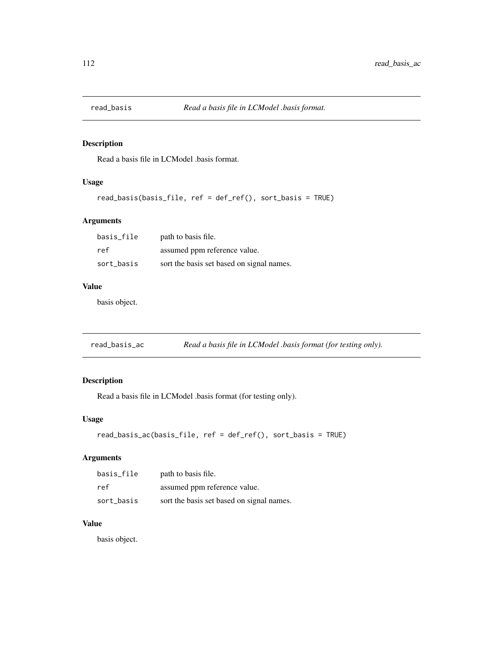Read a basis file in LCModel .basis format.

### Usage

```
read_basis(basis_file, ref = def_ref(), sort_basis = TRUE)
```
### Arguments

| basis file | path to basis file.                       |
|------------|-------------------------------------------|
| ref        | assumed ppm reference value.              |
| sort basis | sort the basis set based on signal names. |

#### Value

basis object.

| read_basis_ac | Read a basis file in LCModel .basis format (for testing only). |  |
|---------------|----------------------------------------------------------------|--|
|               |                                                                |  |

### Description

Read a basis file in LCModel .basis format (for testing only).

### Usage

```
read_basis_ac(basis_file, ref = def_ref(), sort_basis = TRUE)
```
### Arguments

| basis_file | path to basis file.                       |
|------------|-------------------------------------------|
| ref        | assumed ppm reference value.              |
| sort_basis | sort the basis set based on signal names. |

# Value

basis object.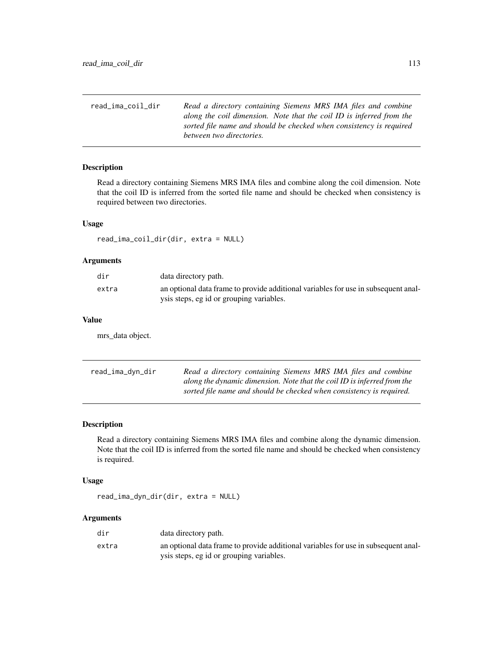| read ima coil dir | Read a directory containing Siemens MRS IMA files and combine        |
|-------------------|----------------------------------------------------------------------|
|                   | along the coil dimension. Note that the coil ID is inferred from the |
|                   | sorted file name and should be checked when consistency is required  |
|                   | between two directories.                                             |

Read a directory containing Siemens MRS IMA files and combine along the coil dimension. Note that the coil ID is inferred from the sorted file name and should be checked when consistency is required between two directories.

### Usage

read\_ima\_coil\_dir(dir, extra = NULL)

#### Arguments

| dir   | data directory path.                                                               |
|-------|------------------------------------------------------------------------------------|
| extra | an optional data frame to provide additional variables for use in subsequent anal- |
|       | ysis steps, eg id or grouping variables.                                           |

### Value

mrs\_data object.

| read_ima_dyn_dir | Read a directory containing Siemens MRS IMA files and combine           |
|------------------|-------------------------------------------------------------------------|
|                  | along the dynamic dimension. Note that the coil ID is inferred from the |
|                  | sorted file name and should be checked when consistency is required.    |

### Description

Read a directory containing Siemens MRS IMA files and combine along the dynamic dimension. Note that the coil ID is inferred from the sorted file name and should be checked when consistency is required.

#### Usage

read\_ima\_dyn\_dir(dir, extra = NULL)

### Arguments

| dir   | data directory path.                                                               |
|-------|------------------------------------------------------------------------------------|
| extra | an optional data frame to provide additional variables for use in subsequent anal- |
|       | ysis steps, eg id or grouping variables.                                           |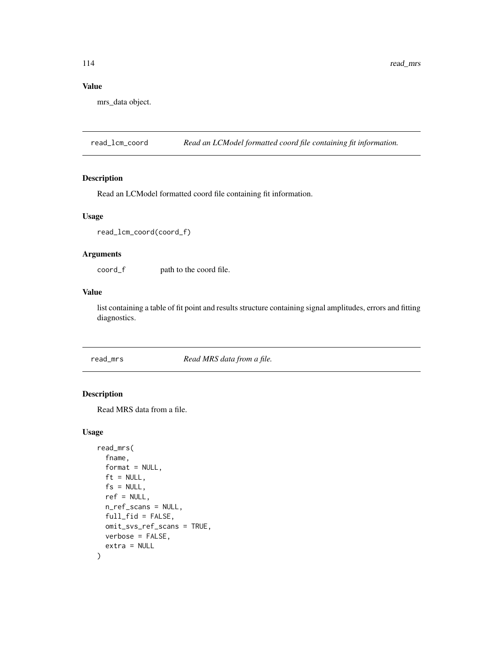### Value

mrs\_data object.

read\_lcm\_coord *Read an LCModel formatted coord file containing fit information.*

### Description

Read an LCModel formatted coord file containing fit information.

#### Usage

```
read_lcm_coord(coord_f)
```
### Arguments

coord\_f path to the coord file.

#### Value

list containing a table of fit point and results structure containing signal amplitudes, errors and fitting diagnostics.

read\_mrs *Read MRS data from a file.*

### Description

Read MRS data from a file.

### Usage

```
read_mrs(
 fname,
 format = NULL,ft = NULL,fs = NULL,ref = NULL,
 n_ref_scans = NULL,
 full_fid = FALSE,omit_svs_ref_scans = TRUE,
 verbose = FALSE,
 extra = NULL
)
```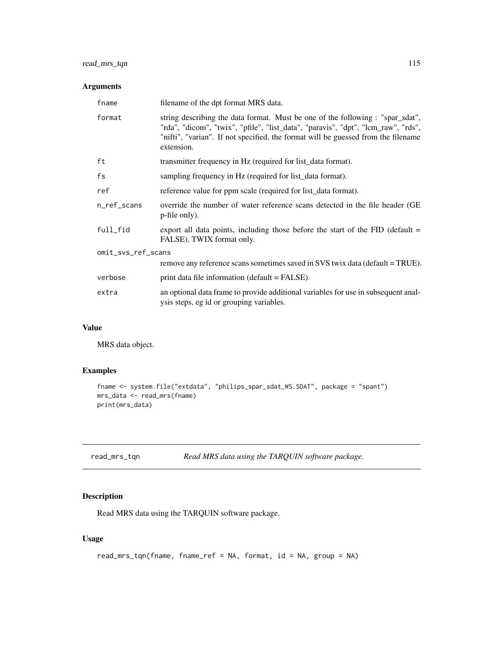# read\_mrs\_tqn 115

### Arguments

| fname              | filename of the dpt format MRS data.                                                                                                                                                                                                                                   |  |
|--------------------|------------------------------------------------------------------------------------------------------------------------------------------------------------------------------------------------------------------------------------------------------------------------|--|
| format             | string describing the data format. Must be one of the following : "spar_sdat",<br>"rda", "dicom", "twix", "pfile", "list_data", "paravis", "dpt", "lcm_raw", "rds",<br>"nifti", "varian". If not specified, the format will be guessed from the filename<br>extension. |  |
| ft                 | transmitter frequency in Hz (required for list_data format).                                                                                                                                                                                                           |  |
| fs                 | sampling frequency in Hz (required for list_data format).                                                                                                                                                                                                              |  |
| ref                | reference value for ppm scale (required for list_data format).                                                                                                                                                                                                         |  |
| n_ref_scans        | override the number of water reference scans detected in the file header (GE)<br>p-file only).                                                                                                                                                                         |  |
| full_fid           | export all data points, including those before the start of the $FID$ (default $=$<br>FALSE), TWIX format only.                                                                                                                                                        |  |
| omit_svs_ref_scans |                                                                                                                                                                                                                                                                        |  |
|                    | remove any reference scans sometimes saved in SVS twix data (default = TRUE).                                                                                                                                                                                          |  |
| verbose            | print data file information (default = FALSE).                                                                                                                                                                                                                         |  |
| extra              | an optional data frame to provide additional variables for use in subsequent anal-<br>ysis steps, eg id or grouping variables.                                                                                                                                         |  |

### Value

MRS data object.

# Examples

```
fname <- system.file("extdata", "philips_spar_sdat_WS.SDAT", package = "spant")
mrs_data <- read_mrs(fname)
print(mrs_data)
```

| read_mrs_tqn |  |  | Read MRS data using the TARQUIN software package. |
|--------------|--|--|---------------------------------------------------|
|--------------|--|--|---------------------------------------------------|

# Description

Read MRS data using the TARQUIN software package.

### Usage

```
read_mrs_tqn(fname, fname_ref = NA, format, id = NA, group = NA)
```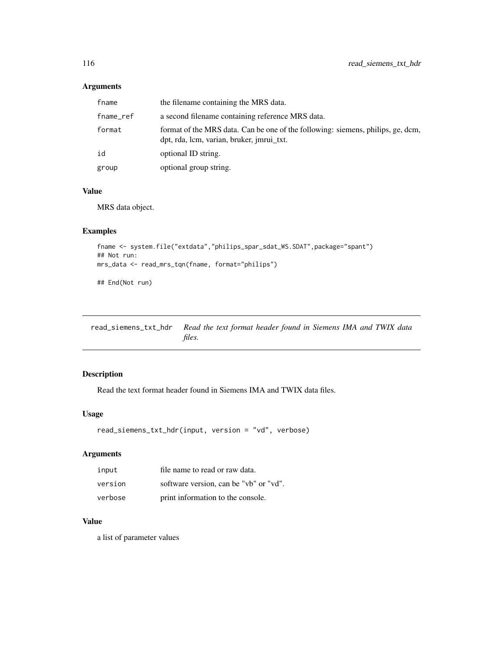### Arguments

| fname     | the filename containing the MRS data.                                                                                        |
|-----------|------------------------------------------------------------------------------------------------------------------------------|
| fname_ref | a second filename containing reference MRS data.                                                                             |
| format    | format of the MRS data. Can be one of the following: siemens, philips, ge, dcm,<br>dpt, rda, lcm, varian, bruker, jmrui_txt. |
| id        | optional ID string.                                                                                                          |
| group     | optional group string.                                                                                                       |

### Value

MRS data object.

### Examples

```
fname <- system.file("extdata","philips_spar_sdat_WS.SDAT",package="spant")
## Not run:
mrs_data <- read_mrs_tqn(fname, format="philips")
```
## End(Not run)

read\_siemens\_txt\_hdr *Read the text format header found in Siemens IMA and TWIX data files.*

### Description

Read the text format header found in Siemens IMA and TWIX data files.

#### Usage

```
read_siemens_txt_hdr(input, version = "vd", verbose)
```
# Arguments

| input   | file name to read or raw data.         |
|---------|----------------------------------------|
| version | software version, can be "vb" or "vd". |
| verbose | print information to the console.      |

# Value

a list of parameter values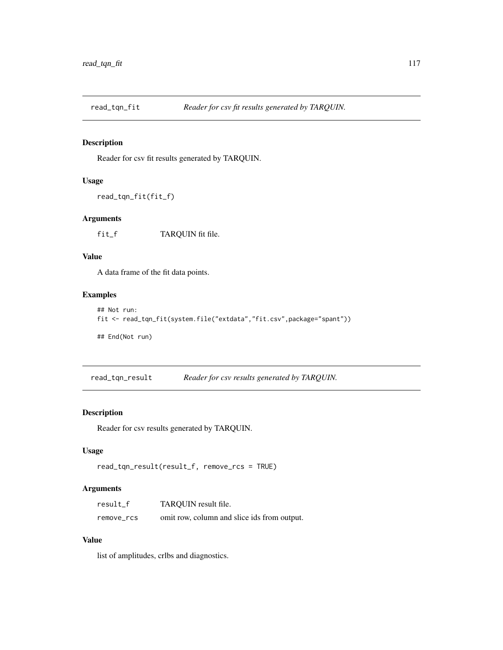Reader for csv fit results generated by TARQUIN.

# Usage

```
read_tqn_fit(fit_f)
```
### Arguments

fit\_f TARQUIN fit file.

### Value

A data frame of the fit data points.

### Examples

```
## Not run:
fit <- read_tqn_fit(system.file("extdata","fit.csv",package="spant"))
## End(Not run)
```
read\_tqn\_result *Reader for csv results generated by TARQUIN.*

### Description

Reader for csv results generated by TARQUIN.

### Usage

```
read_tqn_result(result_f, remove_rcs = TRUE)
```
### Arguments

| result_f   | TARQUIN result file.                        |
|------------|---------------------------------------------|
| remove_rcs | omit row, column and slice ids from output. |

### Value

list of amplitudes, crlbs and diagnostics.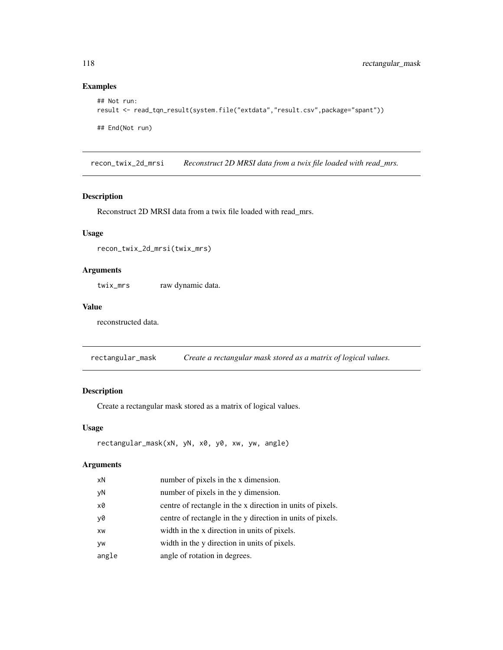### Examples

```
## Not run:
result <- read_tqn_result(system.file("extdata","result.csv",package="spant"))
## End(Not run)
```
recon\_twix\_2d\_mrsi *Reconstruct 2D MRSI data from a twix file loaded with read\_mrs.*

### Description

Reconstruct 2D MRSI data from a twix file loaded with read\_mrs.

### Usage

recon\_twix\_2d\_mrsi(twix\_mrs)

### Arguments

twix\_mrs raw dynamic data.

### Value

reconstructed data.

rectangular\_mask *Create a rectangular mask stored as a matrix of logical values.*

### Description

Create a rectangular mask stored as a matrix of logical values.

#### Usage

```
rectangular_mask(xN, yN, x0, y0, xw, yw, angle)
```
### Arguments

| xN    | number of pixels in the x dimension.                       |
|-------|------------------------------------------------------------|
| yN    | number of pixels in the y dimension.                       |
| x0    | centre of rectangle in the x direction in units of pixels. |
| y0    | centre of rectangle in the y direction in units of pixels. |
| XW    | width in the x direction in units of pixels.               |
| VW    | width in the y direction in units of pixels.               |
| angle | angle of rotation in degrees.                              |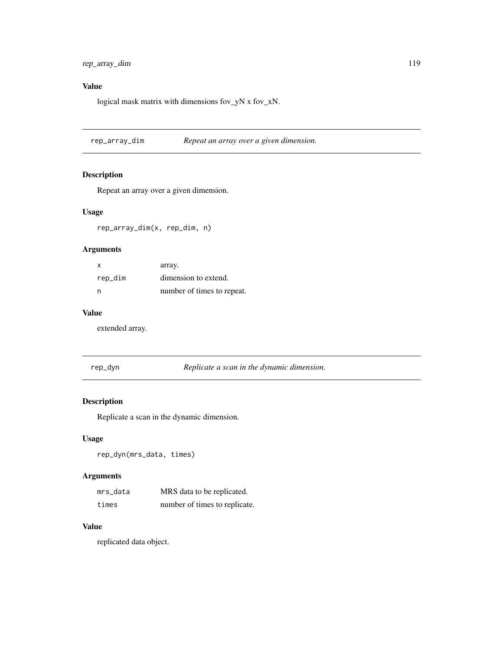### Value

logical mask matrix with dimensions fov\_yN x fov\_xN.

rep\_array\_dim *Repeat an array over a given dimension.*

### Description

Repeat an array over a given dimension.

### Usage

rep\_array\_dim(x, rep\_dim, n)

### Arguments

| x       | array.                     |
|---------|----------------------------|
| rep_dim | dimension to extend.       |
| n       | number of times to repeat. |

### Value

extended array.

| rep_ | _dvn |  |
|------|------|--|
|      |      |  |

*Replicate a scan in the dynamic dimension.* 

# Description

Replicate a scan in the dynamic dimension.

### Usage

```
rep_dyn(mrs_data, times)
```
### Arguments

| mrs data | MRS data to be replicated.    |
|----------|-------------------------------|
| times    | number of times to replicate. |

### Value

replicated data object.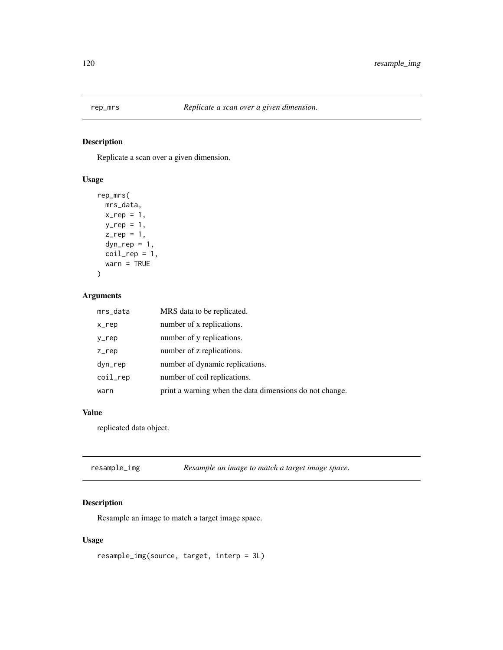Replicate a scan over a given dimension.

### Usage

```
rep_mrs(
  mrs_data,
  x_rep = 1,
  y_{-}rep = 1,
  z_{\text{rep}} = 1,
  dyn_{rep} = 1,coil_{rep} = 1,
  warn = TRUE
)
```
### Arguments

| mrs_data | MRS data to be replicated.                              |
|----------|---------------------------------------------------------|
| x_rep    | number of x replications.                               |
| y_rep    | number of y replications.                               |
| $Z$ _rep | number of z replications.                               |
| dyn_rep  | number of dynamic replications.                         |
| coil_rep | number of coil replications.                            |
| warn     | print a warning when the data dimensions do not change. |

# Value

replicated data object.

| resample_img | Resample an image to match a target image space. |
|--------------|--------------------------------------------------|
|--------------|--------------------------------------------------|

### Description

Resample an image to match a target image space.

### Usage

resample\_img(source, target, interp = 3L)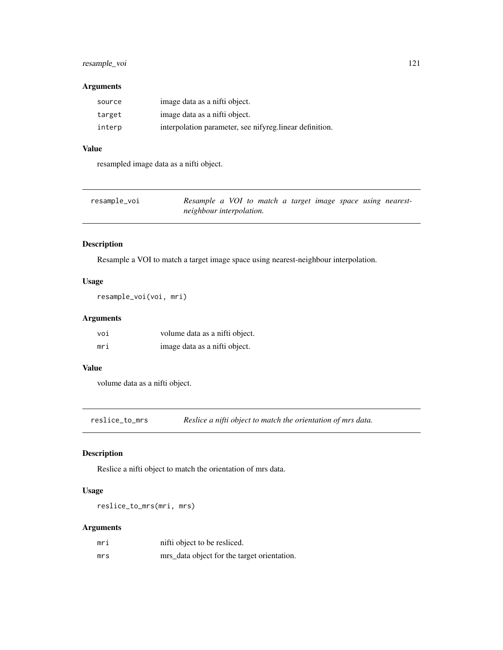### resample\_voi 121

### Arguments

| source | image data as a nifti object.                           |
|--------|---------------------------------------------------------|
| target | image data as a nifti object.                           |
| interp | interpolation parameter, see nifyreg.linear definition. |

# Value

resampled image data as a nifti object.

| resample_voi | Resample a VOI to match a target image space using nearest- |  |  |  |  |
|--------------|-------------------------------------------------------------|--|--|--|--|
|              | neighbour interpolation.                                    |  |  |  |  |

# Description

Resample a VOI to match a target image space using nearest-neighbour interpolation.

### Usage

```
resample_voi(voi, mri)
```
# Arguments

| voi | volume data as a nifti object. |
|-----|--------------------------------|
| mri | image data as a nifti object.  |

### Value

volume data as a nifti object.

reslice\_to\_mrs *Reslice a nifti object to match the orientation of mrs data.*

# Description

Reslice a nifti object to match the orientation of mrs data.

## Usage

reslice\_to\_mrs(mri, mrs)

### Arguments

| mri | nifti object to be resliced.                |
|-----|---------------------------------------------|
| mrs | mrs_data object for the target orientation. |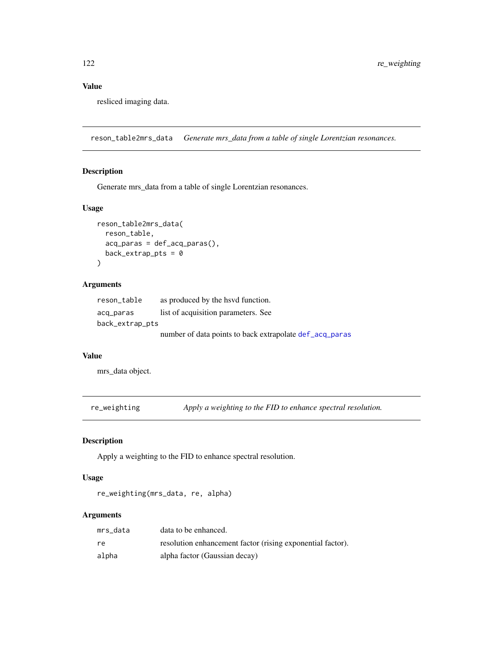# Value

resliced imaging data.

reson\_table2mrs\_data *Generate mrs\_data from a table of single Lorentzian resonances.*

### Description

Generate mrs\_data from a table of single Lorentzian resonances.

### Usage

```
reson_table2mrs_data(
  reson_table,
  acq_paras = def_acq_paras(),
  back\_extrap\_pts = 0\mathcal{L}
```
# Arguments

| reson_table     | as produced by the have function.                       |
|-----------------|---------------------------------------------------------|
| acq_paras       | list of acquisition parameters. See                     |
| back_extrap_pts |                                                         |
|                 | number of data points to back extrapolate def_acq_paras |

#### Value

mrs\_data object.

re\_weighting *Apply a weighting to the FID to enhance spectral resolution.*

### Description

Apply a weighting to the FID to enhance spectral resolution.

### Usage

re\_weighting(mrs\_data, re, alpha)

### Arguments

| mrs data | data to be enhanced.                                       |
|----------|------------------------------------------------------------|
| re       | resolution enhancement factor (rising exponential factor). |
| alpha    | alpha factor (Gaussian decay)                              |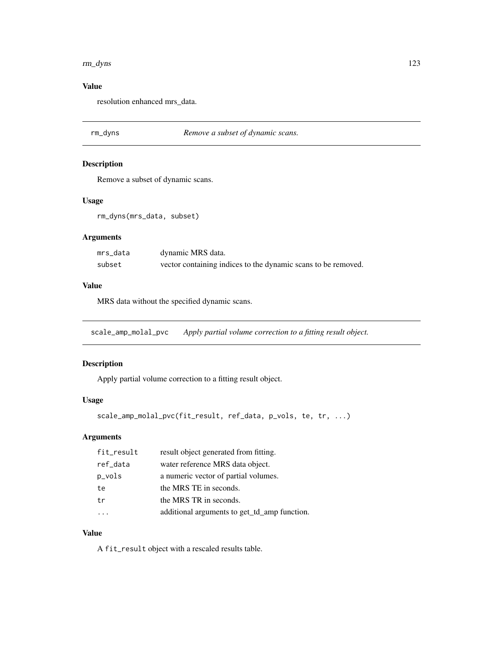#### rm\_dyns 123

# Value

resolution enhanced mrs\_data.

rm\_dyns *Remove a subset of dynamic scans.*

### Description

Remove a subset of dynamic scans.

### Usage

rm\_dyns(mrs\_data, subset)

# Arguments

| mrs data | dynamic MRS data.                                             |
|----------|---------------------------------------------------------------|
| subset   | vector containing indices to the dynamic scans to be removed. |

#### Value

MRS data without the specified dynamic scans.

scale\_amp\_molal\_pvc *Apply partial volume correction to a fitting result object.*

### Description

Apply partial volume correction to a fitting result object.

#### Usage

```
scale_amp_molal_pvc(fit_result, ref_data, p_vols, te, tr, ...)
```
### Arguments

| fit_result | result object generated from fitting.        |
|------------|----------------------------------------------|
| ref_data   | water reference MRS data object.             |
| p_vols     | a numeric vector of partial volumes.         |
| te         | the MRS TE in seconds.                       |
| tr         | the MRS TR in seconds.                       |
|            | additional arguments to get_td_amp function. |

### Value

A fit\_result object with a rescaled results table.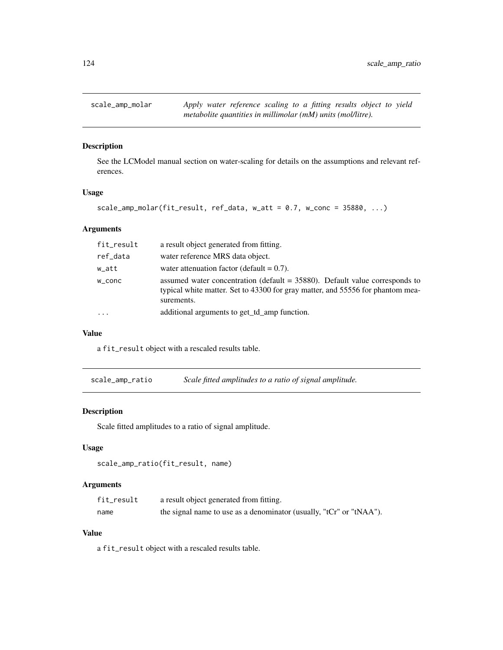See the LCModel manual section on water-scaling for details on the assumptions and relevant references.

#### Usage

```
scale\_amp\_molar(fit\_result, ref\_data, w_att = 0.7, w\_conc = 35880, ...)
```
### Arguments

| fit_result | a result object generated from fitting.                                                                                                                                        |
|------------|--------------------------------------------------------------------------------------------------------------------------------------------------------------------------------|
| ref_data   | water reference MRS data object.                                                                                                                                               |
| w_att      | water attenuation factor (default $= 0.7$ ).                                                                                                                                   |
| W_CONC     | assumed water concentration (default $= 35880$ ). Default value corresponds to<br>typical white matter. Set to 43300 for gray matter, and 55556 for phantom mea-<br>surements. |
| $\ddotsc$  | additional arguments to get_td_amp function.                                                                                                                                   |

#### Value

a fit\_result object with a rescaled results table.

scale\_amp\_ratio *Scale fitted amplitudes to a ratio of signal amplitude.*

### Description

Scale fitted amplitudes to a ratio of signal amplitude.

#### Usage

```
scale_amp_ratio(fit_result, name)
```
#### Arguments

| fit_result | a result object generated from fitting.                             |
|------------|---------------------------------------------------------------------|
| name       | the signal name to use as a denominator (usually, "tCr" or "tNAA"). |

### Value

a fit\_result object with a rescaled results table.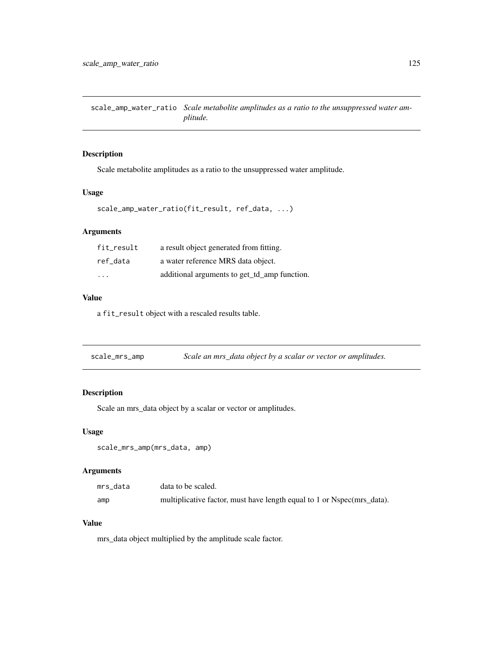scale\_amp\_water\_ratio *Scale metabolite amplitudes as a ratio to the unsuppressed water amplitude.*

### Description

Scale metabolite amplitudes as a ratio to the unsuppressed water amplitude.

#### Usage

```
scale_amp_water_ratio(fit_result, ref_data, ...)
```
### Arguments

| fit result | a result object generated from fitting.      |
|------------|----------------------------------------------|
| ref data   | a water reference MRS data object.           |
| .          | additional arguments to get_td_amp function. |

# Value

a fit\_result object with a rescaled results table.

scale\_mrs\_amp *Scale an mrs\_data object by a scalar or vector or amplitudes.*

### Description

Scale an mrs\_data object by a scalar or vector or amplitudes.

#### Usage

scale\_mrs\_amp(mrs\_data, amp)

#### Arguments

| mrs data | data to be scaled.                                                     |
|----------|------------------------------------------------------------------------|
| amp      | multiplicative factor, must have length equal to 1 or Nspec(mrs_data). |

#### Value

mrs\_data object multiplied by the amplitude scale factor.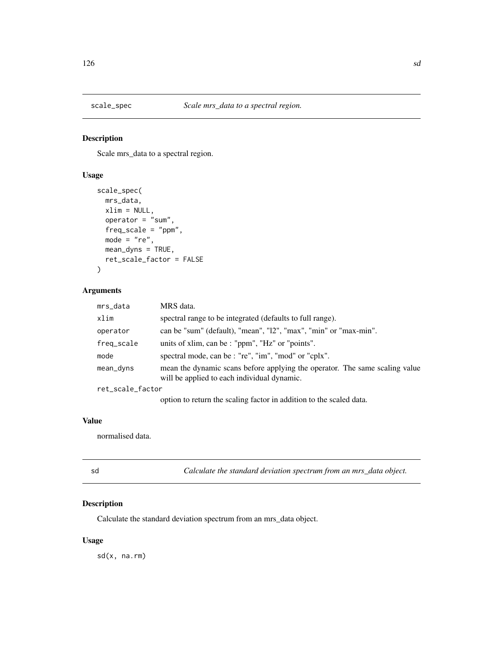Scale mrs\_data to a spectral region.

### Usage

```
scale_spec(
 mrs_data,
 xlim = NULL,
  operator = "sum",
  freq_scale = "ppm",
 mode = "re",mean_dyns = TRUE,
  ret_scale_factor = FALSE
)
```
### Arguments

| mrs_data         | MRS data.                                                                                                                  |
|------------------|----------------------------------------------------------------------------------------------------------------------------|
| xlim             | spectral range to be integrated (defaults to full range).                                                                  |
| operator         | can be "sum" (default), "mean", "12", "max", "min" or "max-min".                                                           |
| freq_scale       | units of xlim, can be : "ppm", "Hz" or "points".                                                                           |
| mode             | spectral mode, can be : "re", "im", "mod" or "cplx".                                                                       |
| mean_dyns        | mean the dynamic scans before applying the operator. The same scaling value<br>will be applied to each individual dynamic. |
| ret_scale_factor |                                                                                                                            |
|                  | option to return the scaling factor in addition to the scaled data.                                                        |

# Value

normalised data.

sd *Calculate the standard deviation spectrum from an mrs\_data object.*

### Description

Calculate the standard deviation spectrum from an mrs\_data object.

### Usage

sd(x, na.rm)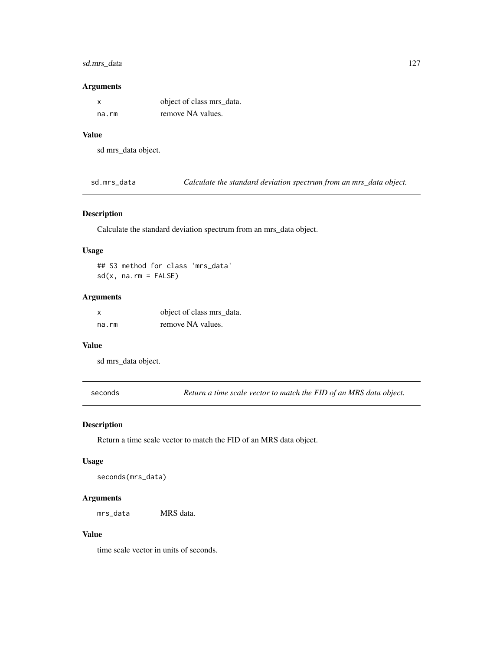### sd.mrs\_data 127

#### Arguments

|       | object of class mrs_data. |
|-------|---------------------------|
| na.rm | remove NA values.         |

# Value

sd mrs\_data object.

sd.mrs\_data *Calculate the standard deviation spectrum from an mrs\_data object.*

### Description

Calculate the standard deviation spectrum from an mrs\_data object.

#### Usage

## S3 method for class 'mrs\_data'  $sd(x, na.rm = FALSE)$ 

### Arguments

| X     | object of class mrs_data. |
|-------|---------------------------|
| na.rm | remove NA values.         |

#### Value

sd mrs\_data object.

seconds *Return a time scale vector to match the FID of an MRS data object.*

#### Description

Return a time scale vector to match the FID of an MRS data object.

#### Usage

```
seconds(mrs_data)
```
#### Arguments

mrs\_data MRS data.

### Value

time scale vector in units of seconds.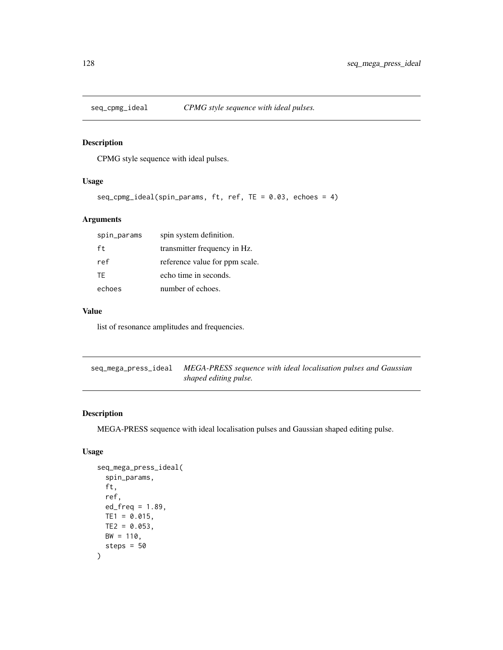CPMG style sequence with ideal pulses.

### Usage

```
seq_cpmg_ideal(spin_params, ft, ref, TE = 0.03, echoes = 4)
```
### Arguments

| spin_params | spin system definition.        |
|-------------|--------------------------------|
| ft.         | transmitter frequency in Hz.   |
| ref         | reference value for ppm scale. |
| TF.         | echo time in seconds.          |
| echoes      | number of echoes.              |

# Value

list of resonance amplitudes and frequencies.

seq\_mega\_press\_ideal *MEGA-PRESS sequence with ideal localisation pulses and Gaussian shaped editing pulse.*

#### Description

MEGA-PRESS sequence with ideal localisation pulses and Gaussian shaped editing pulse.

### Usage

```
seq_mega_press_ideal(
  spin_params,
  ft,
  ref,
  ed_freq = 1.89,
 TE1 = 0.015,
  TE2 = 0.053,
 BW = 110,steps = 50
\mathcal{E}
```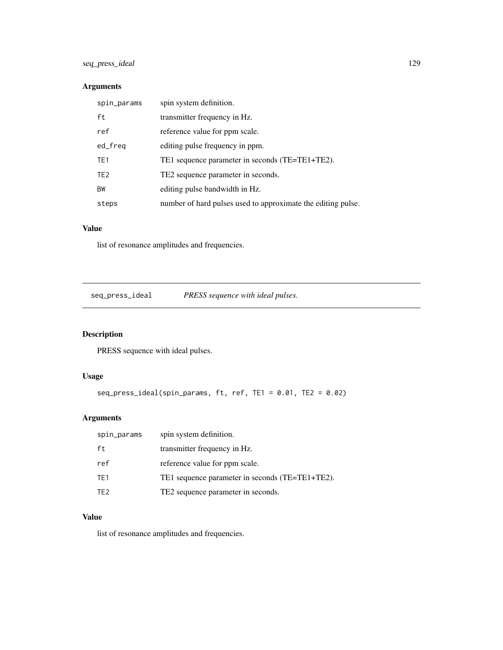### Arguments

| spin_params     | spin system definition.                                      |
|-----------------|--------------------------------------------------------------|
| ft              | transmitter frequency in Hz.                                 |
| ref             | reference value for ppm scale.                               |
| ed_freq         | editing pulse frequency in ppm.                              |
| TE <sub>1</sub> | TE1 sequence parameter in seconds (TE=TE1+TE2).              |
| TE <sub>2</sub> | TE2 sequence parameter in seconds.                           |
| <b>BW</b>       | editing pulse bandwidth in Hz.                               |
| steps           | number of hard pulses used to approximate the editing pulse. |

# Value

list of resonance amplitudes and frequencies.

seq\_press\_ideal *PRESS sequence with ideal pulses.*

# Description

PRESS sequence with ideal pulses.

# Usage

```
seq_press_ideal(spin_params, ft, ref, TE1 = 0.01, TE2 = 0.02)
```
# Arguments

| spin_params     | spin system definition.                         |
|-----------------|-------------------------------------------------|
| ft              | transmitter frequency in Hz.                    |
| ref             | reference value for ppm scale.                  |
| TE1             | TE1 sequence parameter in seconds (TE=TE1+TE2). |
| TF <sub>2</sub> | TE2 sequence parameter in seconds.              |

### Value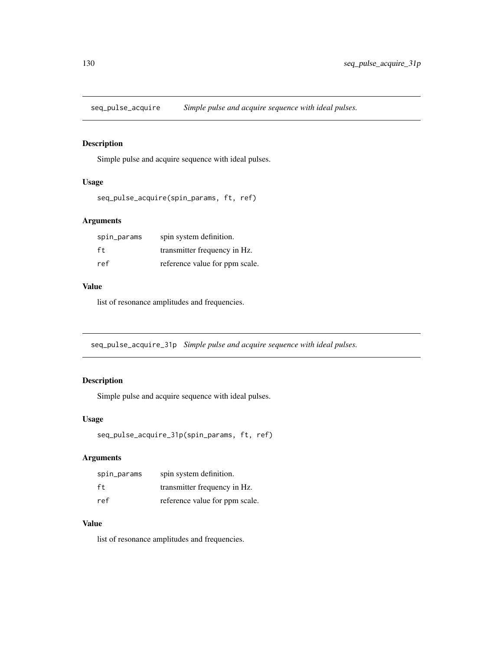seq\_pulse\_acquire *Simple pulse and acquire sequence with ideal pulses.*

### Description

Simple pulse and acquire sequence with ideal pulses.

#### Usage

```
seq_pulse_acquire(spin_params, ft, ref)
```
### Arguments

| spin_params | spin system definition.        |
|-------------|--------------------------------|
| f t         | transmitter frequency in Hz.   |
| ref         | reference value for ppm scale. |

#### Value

list of resonance amplitudes and frequencies.

seq\_pulse\_acquire\_31p *Simple pulse and acquire sequence with ideal pulses.*

### Description

Simple pulse and acquire sequence with ideal pulses.

## Usage

```
seq_pulse_acquire_31p(spin_params, ft, ref)
```
### Arguments

| spin_params | spin system definition.        |
|-------------|--------------------------------|
| ft.         | transmitter frequency in Hz.   |
| ref         | reference value for ppm scale. |

# Value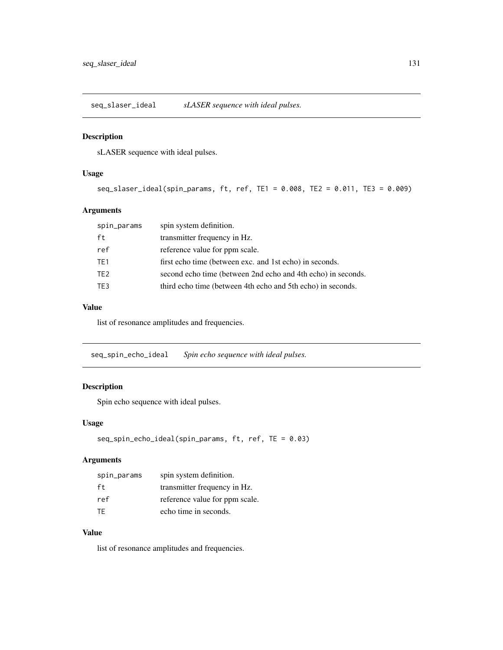seq\_slaser\_ideal *sLASER sequence with ideal pulses.*

### Description

sLASER sequence with ideal pulses.

#### Usage

seq\_slaser\_ideal(spin\_params, ft, ref, TE1 = 0.008, TE2 = 0.011, TE3 = 0.009)

### Arguments

| spin_params     | spin system definition.                                      |
|-----------------|--------------------------------------------------------------|
| ft              | transmitter frequency in Hz.                                 |
| ref             | reference value for ppm scale.                               |
| TE1             | first echo time (between exc. and 1st echo) in seconds.      |
| TE <sub>2</sub> | second echo time (between 2nd echo and 4th echo) in seconds. |
| TE3             | third echo time (between 4th echo and 5th echo) in seconds.  |

#### Value

list of resonance amplitudes and frequencies.

seq\_spin\_echo\_ideal *Spin echo sequence with ideal pulses.*

# Description

Spin echo sequence with ideal pulses.

### Usage

```
seq_spin_echo_ideal(spin_params, ft, ref, TE = 0.03)
```
### Arguments

| spin_params | spin system definition.        |
|-------------|--------------------------------|
| ft          | transmitter frequency in Hz.   |
| ref         | reference value for ppm scale. |
| TF.         | echo time in seconds.          |

### Value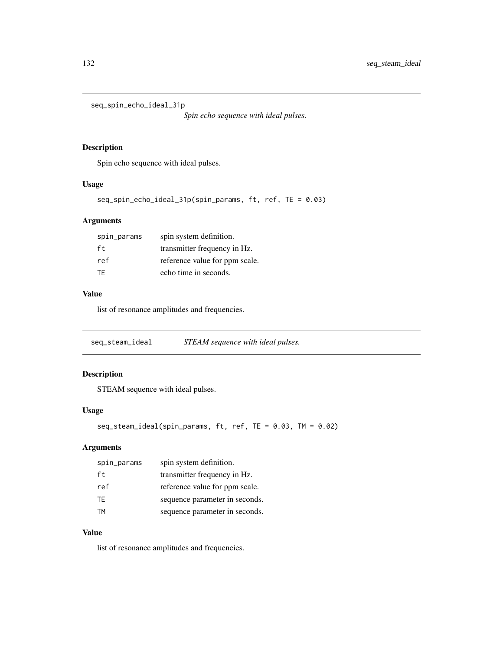```
seq_spin_echo_ideal_31p
```
*Spin echo sequence with ideal pulses.*

### Description

Spin echo sequence with ideal pulses.

### Usage

```
seq_spin_echo_ideal_31p(spin_params, ft, ref, TE = 0.03)
```
# Arguments

| spin_params | spin system definition.        |
|-------------|--------------------------------|
| ft          | transmitter frequency in Hz.   |
| ref         | reference value for ppm scale. |
| TF.         | echo time in seconds.          |

### Value

list of resonance amplitudes and frequencies.

seq\_steam\_ideal *STEAM sequence with ideal pulses.*

### Description

STEAM sequence with ideal pulses.

### Usage

```
seq_steam_ideal(spin_params, ft, ref, TE = 0.03, TM = 0.02)
```
# Arguments

| spin_params | spin system definition.        |
|-------------|--------------------------------|
| ft.         | transmitter frequency in Hz.   |
| ref         | reference value for ppm scale. |
| TF.         | sequence parameter in seconds. |
| TМ          | sequence parameter in seconds. |

### Value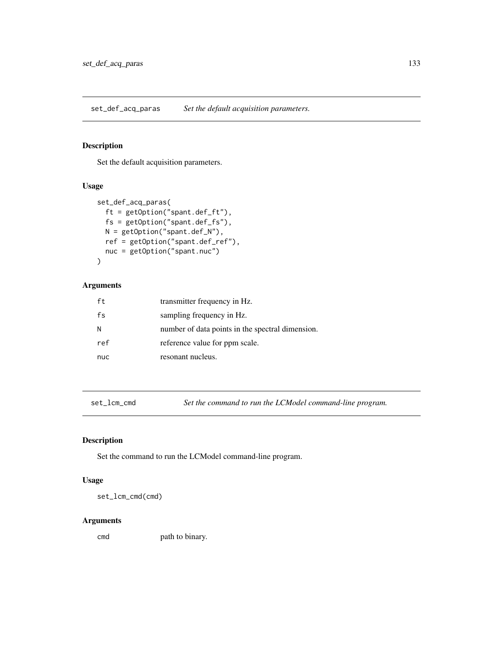set\_def\_acq\_paras *Set the default acquisition parameters.*

### Description

Set the default acquisition parameters.

### Usage

```
set_def_acq_paras(
 ft = getOption("spant.def_ft"),
 fs = getOption("spant.def_fs"),
 N = getOption("spant.def_N"),
 ref = getOption("spant.def_ref"),
 nuc = getOption("spant.nuc")
)
```
### Arguments

| ft  | transmitter frequency in Hz.                     |
|-----|--------------------------------------------------|
| fs  | sampling frequency in Hz.                        |
| N   | number of data points in the spectral dimension. |
| ref | reference value for ppm scale.                   |
| nuc | resonant nucleus.                                |

set\_lcm\_cmd *Set the command to run the LCModel command-line program.*

### Description

Set the command to run the LCModel command-line program.

#### Usage

set\_lcm\_cmd(cmd)

#### Arguments

cmd path to binary.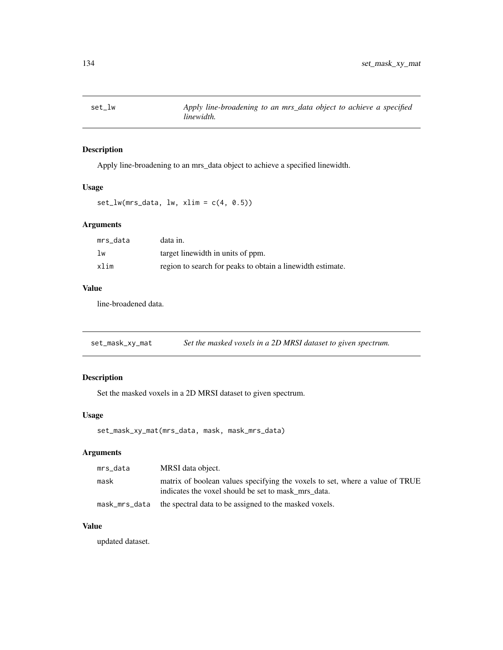Apply line-broadening to an mrs\_data object to achieve a specified linewidth.

#### Usage

```
set_lw(mrs_data, lw, xlim = c(4, 0.5))
```
### Arguments

| mrs data | data in.                                                   |
|----------|------------------------------------------------------------|
| lw       | target linewidth in units of ppm.                          |
| xlim     | region to search for peaks to obtain a linewidth estimate. |

### Value

line-broadened data.

set\_mask\_xy\_mat *Set the masked voxels in a 2D MRSI dataset to given spectrum.*

### Description

Set the masked voxels in a 2D MRSI dataset to given spectrum.

### Usage

set\_mask\_xy\_mat(mrs\_data, mask, mask\_mrs\_data)

# Arguments

| mrs_data      | MRSI data object.                                                                                                                   |
|---------------|-------------------------------------------------------------------------------------------------------------------------------------|
| mask          | matrix of boolean values specifying the voxels to set, where a value of TRUE<br>indicates the voxel should be set to mask mrs data. |
| mask_mrs_data | the spectral data to be assigned to the masked voxels.                                                                              |

### Value

updated dataset.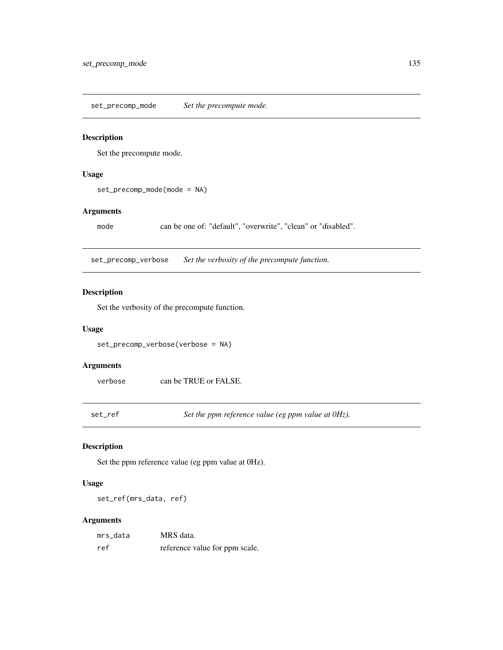set\_precomp\_mode *Set the precompute mode.*

#### Description

Set the precompute mode.

#### Usage

set\_precomp\_mode(mode = NA)

### Arguments

mode can be one of: "default", "overwrite", "clean" or "disabled".

set\_precomp\_verbose *Set the verbosity of the precompute function.*

#### Description

Set the verbosity of the precompute function.

### Usage

set\_precomp\_verbose(verbose = NA)

# Arguments

verbose can be TRUE or FALSE.

set\_ref *Set the ppm reference value (eg ppm value at 0Hz).*

### Description

Set the ppm reference value (eg ppm value at 0Hz).

### Usage

set\_ref(mrs\_data, ref)

#### Arguments

| mrs data | MRS data.                      |
|----------|--------------------------------|
| ref      | reference value for ppm scale. |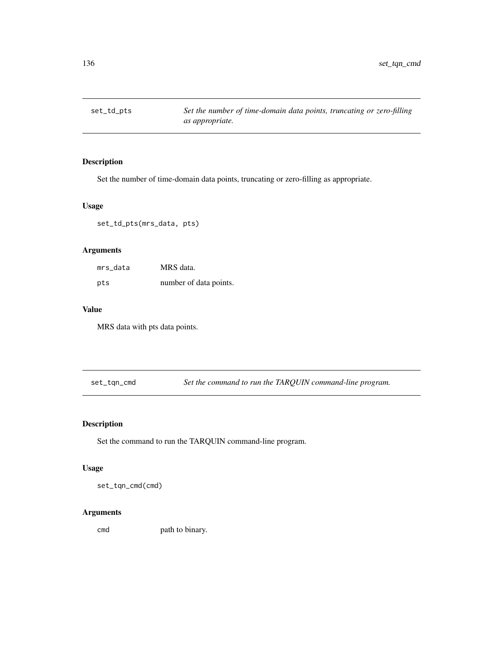Set the number of time-domain data points, truncating or zero-filling as appropriate.

### Usage

set\_td\_pts(mrs\_data, pts)

### Arguments

| mrs data | MRS data.              |
|----------|------------------------|
| pts      | number of data points. |

#### Value

MRS data with pts data points.

set\_tqn\_cmd *Set the command to run the TARQUIN command-line program.*

### Description

Set the command to run the TARQUIN command-line program.

#### Usage

set\_tqn\_cmd(cmd)

### Arguments

cmd path to binary.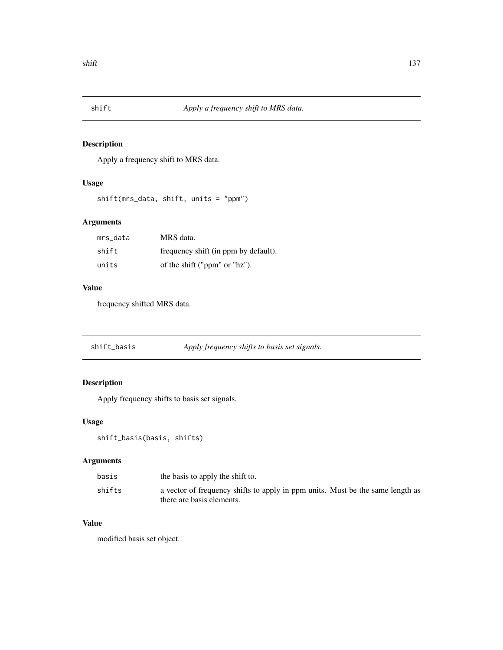Apply a frequency shift to MRS data.

# Usage

```
shift(mrs_data, shift, units = "ppm")
```
# Arguments

| mrs data | MRS data.                            |
|----------|--------------------------------------|
| shift    | frequency shift (in ppm by default). |
| units    | of the shift ("ppm" or "hz").        |

### Value

frequency shifted MRS data.

| shift_basis | Apply frequency shifts to basis set signals. |  |
|-------------|----------------------------------------------|--|
|-------------|----------------------------------------------|--|

# Description

Apply frequency shifts to basis set signals.

# Usage

```
shift_basis(basis, shifts)
```
# Arguments

| basis  | the basis to apply the shift to.                                                                            |
|--------|-------------------------------------------------------------------------------------------------------------|
| shifts | a vector of frequency shifts to apply in ppm units. Must be the same length as<br>there are basis elements. |

# Value

modified basis set object.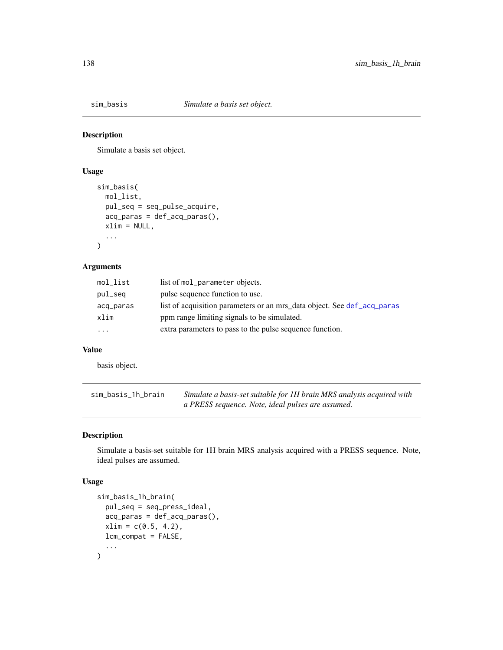Simulate a basis set object.

### Usage

```
sim_basis(
 mol_list,
 pul_seq = seq_pulse_acquire,
  acq_paras = def_acq_paras(),
 xlim = NULL,
  ...
)
```
### Arguments

| mol_list  | list of mol_parameter objects.                                          |
|-----------|-------------------------------------------------------------------------|
| pul_seq   | pulse sequence function to use.                                         |
| acq_paras | list of acquisition parameters or an mrs_data object. See def_acq_paras |
| xlim      | ppm range limiting signals to be simulated.                             |
| $\cdots$  | extra parameters to pass to the pulse sequence function.                |

#### Value

basis object.

| sim_basis_1h_brain | Simulate a basis-set suitable for 1H brain MRS analysis acquired with |
|--------------------|-----------------------------------------------------------------------|
|                    | a PRESS sequence. Note, ideal pulses are assumed.                     |

### Description

Simulate a basis-set suitable for 1H brain MRS analysis acquired with a PRESS sequence. Note, ideal pulses are assumed.

#### Usage

```
sim_basis_1h_brain(
  pul_seq = seq_press_ideal,
  acq_paras = def_acq_paras(),
  xlim = c(0.5, 4.2),
  lcm_compat = FALSE,
  ...
\mathcal{L}
```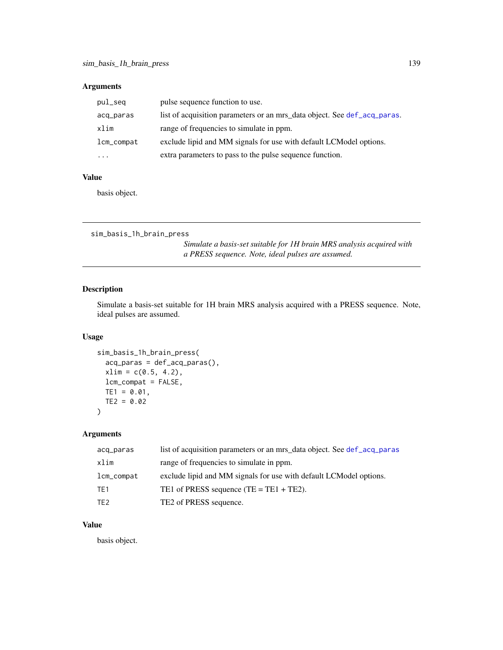### Arguments

| pul_seq    | pulse sequence function to use.                                          |
|------------|--------------------------------------------------------------------------|
| acq_paras  | list of acquisition parameters or an mrs_data object. See def_acq_paras. |
| xlim       | range of frequencies to simulate in ppm.                                 |
| lcm_compat | exclude lipid and MM signals for use with default LCModel options.       |
| $\cdots$   | extra parameters to pass to the pulse sequence function.                 |

### Value

basis object.

```
sim_basis_1h_brain_press
```
*Simulate a basis-set suitable for 1H brain MRS analysis acquired with a PRESS sequence. Note, ideal pulses are assumed.*

# Description

Simulate a basis-set suitable for 1H brain MRS analysis acquired with a PRESS sequence. Note, ideal pulses are assumed.

### Usage

```
sim_basis_1h_brain_press(
 acq_paras = def_acq_paras(),
 xlim = c(0.5, 4.2),
 lcm_compat = FALSE,
 TE1 = 0.01,TE2 = 0.02)
```
### Arguments

| acq_paras       | list of acquisition parameters or an mrs data object. See def acq paras |
|-----------------|-------------------------------------------------------------------------|
| xlim            | range of frequencies to simulate in ppm.                                |
| lcm_compat      | exclude lipid and MM signals for use with default LCM odel options.     |
| TE1             | TE1 of PRESS sequence $(TE = TE1 + TE2)$ .                              |
| TE <sub>2</sub> | TE2 of PRESS sequence.                                                  |

# Value

basis object.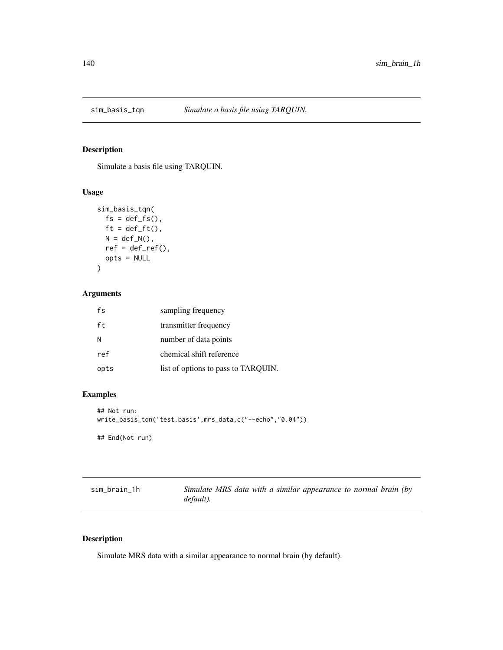Simulate a basis file using TARQUIN.

### Usage

```
sim_basis_tqn(
  fs = def_fs(),ft = def_fft(),N = def_N(),
  ref = def_ref(),opts = NULL
\mathcal{L}
```
### Arguments

| fs   | sampling frequency                  |
|------|-------------------------------------|
| ft   | transmitter frequency               |
| N    | number of data points               |
| ref  | chemical shift reference            |
| opts | list of options to pass to TARQUIN. |

### Examples

```
## Not run:
write_basis_tqn('test.basis',mrs_data,c("--echo","0.04"))
## End(Not run)
```

| sim_brain_1h | Simulate MRS data with a similar appearance to normal brain (by |  |  |  |  |
|--------------|-----------------------------------------------------------------|--|--|--|--|
|              | default).                                                       |  |  |  |  |

### Description

Simulate MRS data with a similar appearance to normal brain (by default).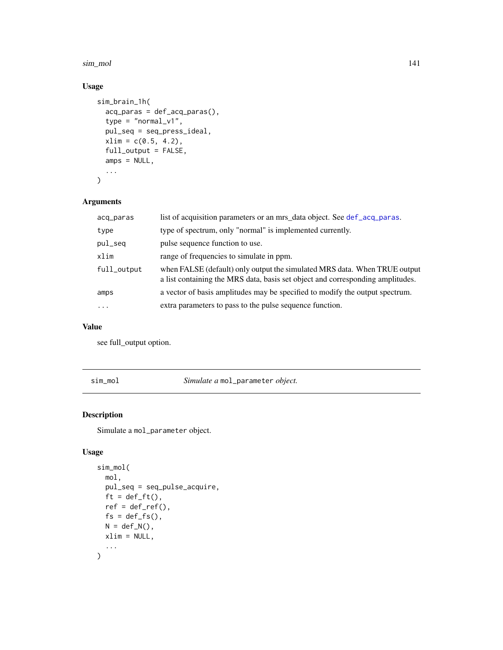#### sim\_mol 141

# Usage

```
sim_brain_1h(
 acq_paras = def_acq_paras(),
  type = "normal_v1",
 pul_seq = seq_press_ideal,
 xlim = c(0.5, 4.2),full_output = FALSE,
 amps = NULL,...
)
```
### Arguments

| acq_paras   | list of acquisition parameters or an mrs_data object. See def_acq_paras.                                                                                    |
|-------------|-------------------------------------------------------------------------------------------------------------------------------------------------------------|
| type        | type of spectrum, only "normal" is implemented currently.                                                                                                   |
| pul_seq     | pulse sequence function to use.                                                                                                                             |
| xlim        | range of frequencies to simulate in ppm.                                                                                                                    |
| full_output | when FALSE (default) only output the simulated MRS data. When TRUE output<br>a list containing the MRS data, basis set object and corresponding amplitudes. |
| amps        | a vector of basis amplitudes may be specified to modify the output spectrum.                                                                                |
| $\ddotsc$   | extra parameters to pass to the pulse sequence function.                                                                                                    |

#### Value

see full\_output option.

sim\_mol *Simulate a* mol\_parameter *object.*

### Description

Simulate a mol\_parameter object.

# Usage

```
sim_mol(
 mol,
 pul_seq = seq_pulse_acquire,
 ft = def_f(t),ref = def_ref(),fs = def_fs(),N = def_N(),
 xlim = NULL,
  ...
\mathcal{L}
```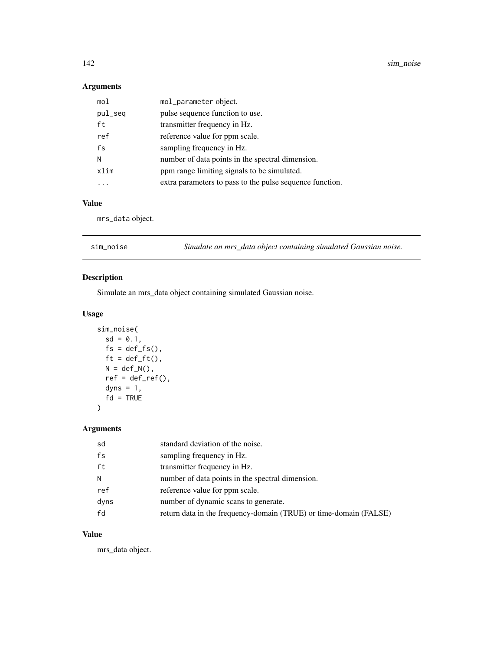142 sim\_noise sim\_noise

### Arguments

| mol     | mol_parameter object.                                    |
|---------|----------------------------------------------------------|
| pul_seq | pulse sequence function to use.                          |
| ft      | transmitter frequency in Hz.                             |
| ref     | reference value for ppm scale.                           |
| fs      | sampling frequency in Hz.                                |
| N       | number of data points in the spectral dimension.         |
| xlim    | ppm range limiting signals to be simulated.              |
|         | extra parameters to pass to the pulse sequence function. |

# Value

mrs\_data object.

| sim_noise | Simulate an mrs_data object containing simulated Gaussian noise. |
|-----------|------------------------------------------------------------------|
|           |                                                                  |

### Description

Simulate an mrs\_data object containing simulated Gaussian noise.

# Usage

```
sim_noise(
 sd = 0.1,
 fs = def_fsf(s),
 ft = def_fft(),N = def_N(),
 ref = def_ref(),dyns = 1,
  fd = TRUE)
```
# Arguments

| sd   | standard deviation of the noise.                                  |
|------|-------------------------------------------------------------------|
| fs   | sampling frequency in Hz.                                         |
| ft   | transmitter frequency in Hz.                                      |
| N    | number of data points in the spectral dimension.                  |
| ref  | reference value for ppm scale.                                    |
| dyns | number of dynamic scans to generate.                              |
| fd   | return data in the frequency-domain (TRUE) or time-domain (FALSE) |

# Value

mrs\_data object.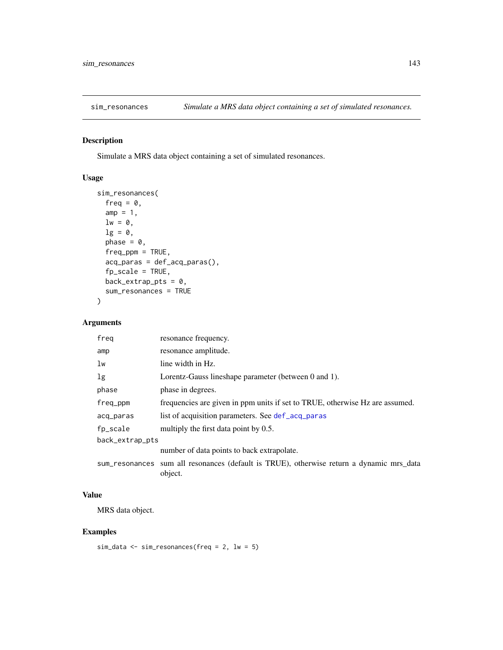Simulate a MRS data object containing a set of simulated resonances.

### Usage

```
sim_resonances(
  freq = 0,
  amp = 1,
 lw = 0,lg = 0,
  phase = 0,
  freq\_ppm = TRUE,acq_paras = def_acq_paras(),
  fp_scale = TRUE,
 back_extrap_pts = 0,
  sum_resonances = TRUE
)
```
#### Arguments

| freg            | resonance frequency.                                                                                |
|-----------------|-----------------------------------------------------------------------------------------------------|
| amp             | resonance amplitude.                                                                                |
| lw              | line width in Hz.                                                                                   |
| lg              | Lorentz-Gauss lineshape parameter (between 0 and 1).                                                |
| phase           | phase in degrees.                                                                                   |
| freq_ppm        | frequencies are given in ppm units if set to TRUE, otherwise Hz are assumed.                        |
| acq_paras       | list of acquisition parameters. See def_acq_paras                                                   |
| fp_scale        | multiply the first data point by 0.5.                                                               |
| back_extrap_pts |                                                                                                     |
|                 | number of data points to back extrapolate.                                                          |
|                 | sum_resonances sum all resonances (default is TRUE), otherwise return a dynamic mrs_data<br>object. |

### Value

MRS data object.

### Examples

```
sim_data <- sim_resonances(freq = 2, lw = 5)
```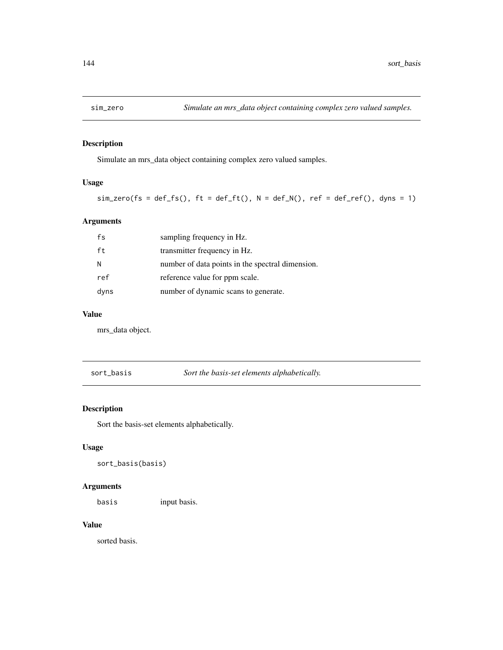Simulate an mrs\_data object containing complex zero valued samples.

### Usage

 $sim\_zero(fs = def_f s(), ft = def_f t(), N = def_N(), ref = def_f ref(), dyns = 1)$ 

# Arguments

| fs   | sampling frequency in Hz.                        |
|------|--------------------------------------------------|
| ft   | transmitter frequency in Hz.                     |
| N    | number of data points in the spectral dimension. |
| ref  | reference value for ppm scale.                   |
| dyns | number of dynamic scans to generate.             |

### Value

mrs\_data object.

sort\_basis *Sort the basis-set elements alphabetically.*

# Description

Sort the basis-set elements alphabetically.

#### Usage

sort\_basis(basis)

### Arguments

basis input basis.

#### Value

sorted basis.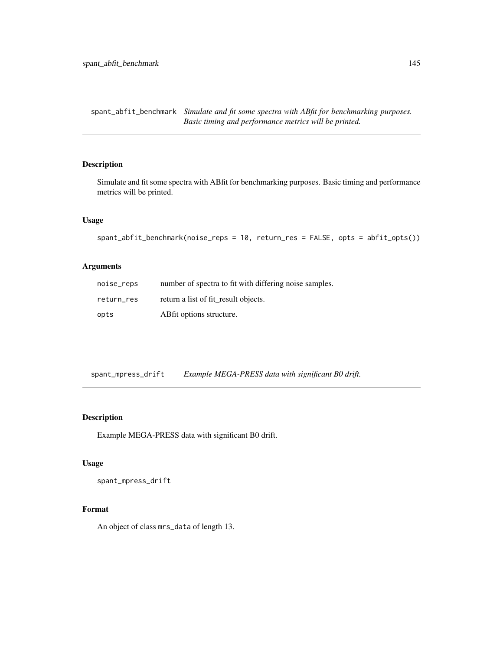<span id="page-144-0"></span>spant\_abfit\_benchmark *Simulate and fit some spectra with ABfit for benchmarking purposes. Basic timing and performance metrics will be printed.*

# Description

Simulate and fit some spectra with ABfit for benchmarking purposes. Basic timing and performance metrics will be printed.

#### Usage

```
spant_abfit_benchmark(noise_reps = 10, return_res = FALSE, opts = abfit_opts())
```
#### Arguments

| noise_reps | number of spectra to fit with differing noise samples. |
|------------|--------------------------------------------------------|
| return res | return a list of fit result objects.                   |
| opts       | ABfit options structure.                               |

spant\_mpress\_drift *Example MEGA-PRESS data with significant B0 drift.*

# Description

Example MEGA-PRESS data with significant B0 drift.

#### Usage

spant\_mpress\_drift

#### Format

An object of class mrs\_data of length 13.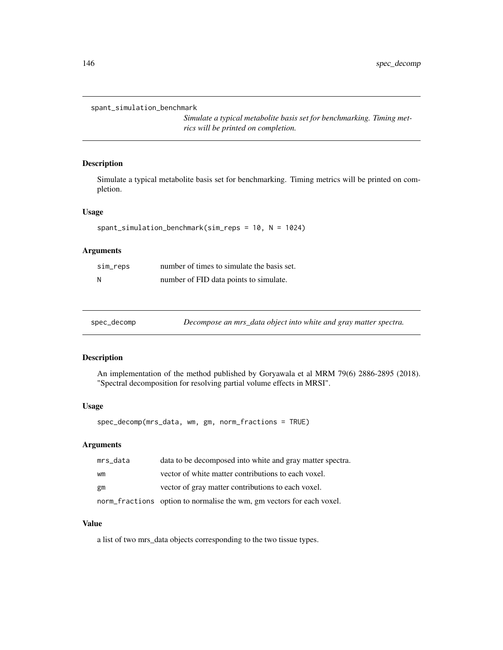```
spant_simulation_benchmark
```
*Simulate a typical metabolite basis set for benchmarking. Timing metrics will be printed on completion.*

#### Description

Simulate a typical metabolite basis set for benchmarking. Timing metrics will be printed on completion.

# Usage

```
spant_simulation_benchmark(sim_reps = 10, N = 1024)
```
#### Arguments

| sim_reps | number of times to simulate the basis set. |
|----------|--------------------------------------------|
| N        | number of FID data points to simulate.     |

| spec_decomp |
|-------------|
|             |

Decompose an mrs\_data object into white and gray matter spectra.

#### Description

An implementation of the method published by Goryawala et al MRM 79(6) 2886-2895 (2018). "Spectral decomposition for resolving partial volume effects in MRSI".

#### Usage

spec\_decomp(mrs\_data, wm, gm, norm\_fractions = TRUE)

#### Arguments

| mrs_data | data to be decomposed into white and gray matter spectra.             |
|----------|-----------------------------------------------------------------------|
| wm       | vector of white matter contributions to each voxel.                   |
| gm       | vector of gray matter contributions to each voxel.                    |
|          | norm_fractions option to normalise the wm, gm vectors for each voxel. |

# Value

a list of two mrs\_data objects corresponding to the two tissue types.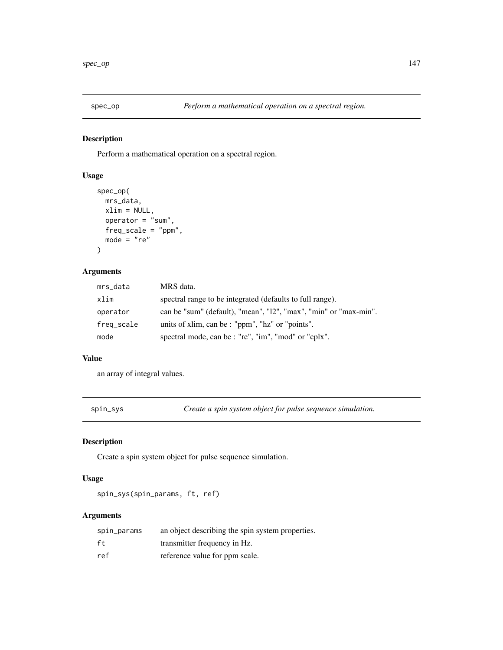<span id="page-146-0"></span>

Perform a mathematical operation on a spectral region.

# Usage

```
spec_op(
 mrs_data,
 xlim = NULL,operator = "sum",freq_scale = "ppm",
 mode = "re")
```
# Arguments

| mrs_data   | MRS data.                                                        |
|------------|------------------------------------------------------------------|
| xlim       | spectral range to be integrated (defaults to full range).        |
| operator   | can be "sum" (default), "mean", "12", "max", "min" or "max-min". |
| freq_scale | units of xlim, can be : "ppm", "hz" or "points".                 |
| mode       | spectral mode, can be : "re", "im", "mod" or "cplx".             |

#### Value

an array of integral values.

spin\_sys *Create a spin system object for pulse sequence simulation.*

# Description

Create a spin system object for pulse sequence simulation.

#### Usage

spin\_sys(spin\_params, ft, ref)

| spin_params | an object describing the spin system properties. |
|-------------|--------------------------------------------------|
| ft          | transmitter frequency in Hz.                     |
| ref         | reference value for ppm scale.                   |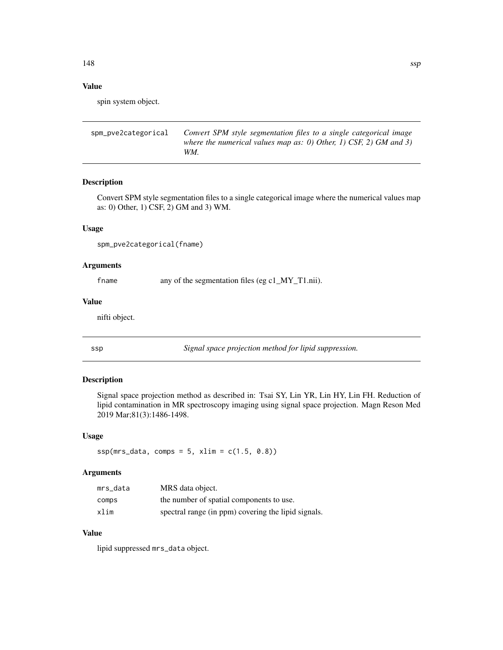# Value

spin system object.

```
spm_pve2categorical Convert SPM style segmentation files to a single categorical image
                         where the numerical values map as: 0) Other, 1) CSF, 2) GM and 3)
                         WM.
```
# Description

Convert SPM style segmentation files to a single categorical image where the numerical values map as: 0) Other, 1) CSF, 2) GM and 3) WM.

#### Usage

spm\_pve2categorical(fname)

#### Arguments

fname any of the segmentation files (eg c1\_MY\_T1.nii).

#### Value

nifti object.

ssp *Signal space projection method for lipid suppression.*

## Description

Signal space projection method as described in: Tsai SY, Lin YR, Lin HY, Lin FH. Reduction of lipid contamination in MR spectroscopy imaging using signal space projection. Magn Reson Med 2019 Mar;81(3):1486-1498.

#### Usage

```
ssp(mrs_data, comps = 5, xlim = c(1.5, 0.8))
```
#### Arguments

| mrs data | MRS data object.                                    |
|----------|-----------------------------------------------------|
| comps    | the number of spatial components to use.            |
| xlim     | spectral range (in ppm) covering the lipid signals. |

# Value

lipid suppressed mrs\_data object.

<span id="page-147-0"></span>148 ssp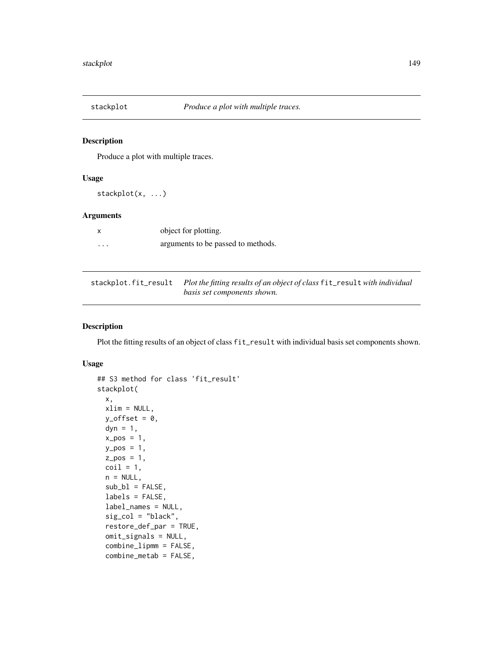<span id="page-148-0"></span>

Produce a plot with multiple traces.

#### Usage

stackplot(x, ...)

# Arguments

|   | object for plotting.               |
|---|------------------------------------|
| . | arguments to be passed to methods. |

| stackplot.fit_result Plot the fitting results of an object of class fit_result with individual |
|------------------------------------------------------------------------------------------------|
| basis set components shown.                                                                    |

#### Description

Plot the fitting results of an object of class fit\_result with individual basis set components shown.

#### Usage

```
## S3 method for class 'fit_result'
stackplot(
 x,
 xlim = NULL,
 y_{\text{offset}} = 0,
 dyn = 1,
 x_{-}pos = 1,
 y_pos = 1,
 z_{-}pos = 1,
 \text{coil} = 1,
 n = NULL,sub_b1 = FALSE,labels = FALSE,
  label_names = NULL,
  sig\_col = "black",restore_def_par = TRUE,
 omit_signals = NULL,
  combine_lipmm = FALSE,
  combine_metab = FALSE,
```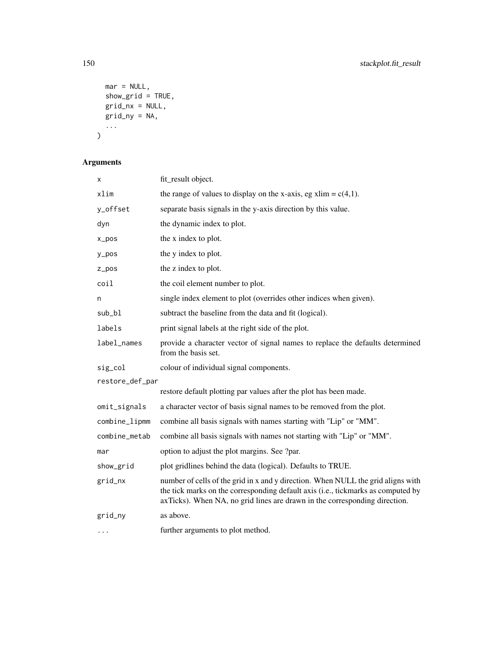```
mar = NULL,show_grid = TRUE,
 grid_nx = NULL,grid_ny = NA,
 ...
)
```

| х               | fit_result object.                                                                                                                                                                                                                                 |
|-----------------|----------------------------------------------------------------------------------------------------------------------------------------------------------------------------------------------------------------------------------------------------|
| xlim            | the range of values to display on the x-axis, eg xlim = $c(4,1)$ .                                                                                                                                                                                 |
| y_offset        | separate basis signals in the y-axis direction by this value.                                                                                                                                                                                      |
| dyn             | the dynamic index to plot.                                                                                                                                                                                                                         |
| $x_{pos}$       | the x index to plot.                                                                                                                                                                                                                               |
| y_pos           | the y index to plot.                                                                                                                                                                                                                               |
| $Z_ppos$        | the z index to plot.                                                                                                                                                                                                                               |
| coil            | the coil element number to plot.                                                                                                                                                                                                                   |
| n               | single index element to plot (overrides other indices when given).                                                                                                                                                                                 |
| sub_bl          | subtract the baseline from the data and fit (logical).                                                                                                                                                                                             |
| labels          | print signal labels at the right side of the plot.                                                                                                                                                                                                 |
| label_names     | provide a character vector of signal names to replace the defaults determined<br>from the basis set.                                                                                                                                               |
| sig_col         | colour of individual signal components.                                                                                                                                                                                                            |
| restore_def_par |                                                                                                                                                                                                                                                    |
|                 | restore default plotting par values after the plot has been made.                                                                                                                                                                                  |
| omit_signals    | a character vector of basis signal names to be removed from the plot.                                                                                                                                                                              |
| combine_lipmm   | combine all basis signals with names starting with "Lip" or "MM".                                                                                                                                                                                  |
| combine_metab   | combine all basis signals with names not starting with "Lip" or "MM".                                                                                                                                                                              |
| mar             | option to adjust the plot margins. See ?par.                                                                                                                                                                                                       |
| show_grid       | plot gridlines behind the data (logical). Defaults to TRUE.                                                                                                                                                                                        |
| grid_nx         | number of cells of the grid in x and y direction. When NULL the grid aligns with<br>the tick marks on the corresponding default axis (i.e., tickmarks as computed by<br>axTicks). When NA, no grid lines are drawn in the corresponding direction. |
| grid_ny         | as above.                                                                                                                                                                                                                                          |
| $\cdots$        | further arguments to plot method.                                                                                                                                                                                                                  |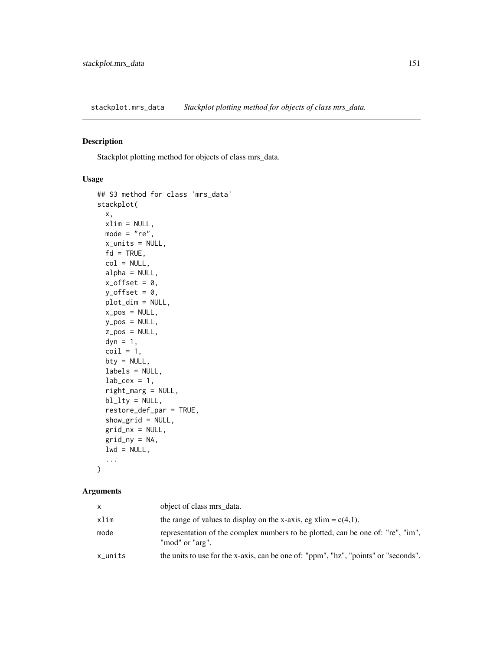<span id="page-150-0"></span>stackplot.mrs\_data *Stackplot plotting method for objects of class mrs\_data.*

# Description

Stackplot plotting method for objects of class mrs\_data.

# Usage

```
## S3 method for class 'mrs_data'
stackplot(
 x,
 xlim = NULL,
 mode = "re",
 x_units = NULL,
  fd = TRUE,col = NULL,alpha = NULL,
  x_{\text{offset}} = 0,
 y_{\text{offset}} = 0,
 plot_dim = NULL,
  x_pos = NULL,
 y_pos = NULL,
  z_pos = NULL,
  dyn = 1,
  \text{coil} = 1,
 bty = NULL,labels = NULL,
  lab\_cex = 1,
  right_marg = NULL,
 bl_lty = NULL,restore_def_par = TRUE,
  show_grid = NULL,
  grid_nx = NULL,grid_ny = NA,
  lwd = NULL,...
)
```

| $\mathsf{x}$ | object of class mrs data.                                                                          |
|--------------|----------------------------------------------------------------------------------------------------|
| xlim         | the range of values to display on the x-axis, eg xlim = $c(4,1)$ .                                 |
| mode         | representation of the complex numbers to be plotted, can be one of: "re", "im",<br>"mod" or "arg". |
| x_units      | the units to use for the x-axis, can be one of: "ppm", "hz", "points" or "seconds".                |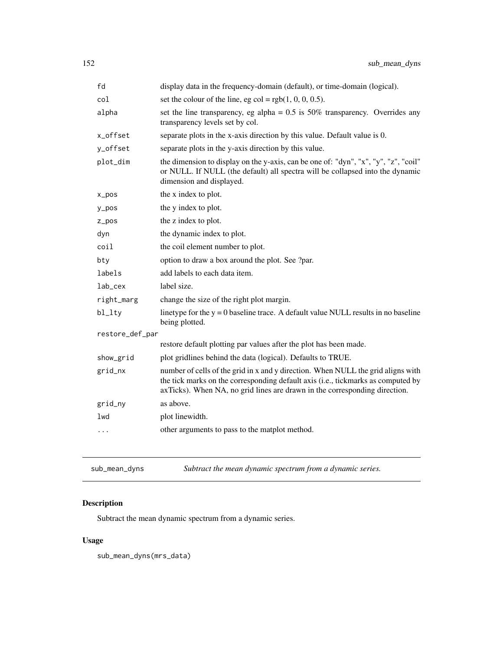<span id="page-151-0"></span>

| fd               | display data in the frequency-domain (default), or time-domain (logical).                                                                                                                                                                          |
|------------------|----------------------------------------------------------------------------------------------------------------------------------------------------------------------------------------------------------------------------------------------------|
| col              | set the colour of the line, eg col = $rgb(1, 0, 0, 0.5)$ .                                                                                                                                                                                         |
| alpha            | set the line transparency, eg alpha = $0.5$ is $50\%$ transparency. Overrides any<br>transparency levels set by col.                                                                                                                               |
| x_offset         | separate plots in the x-axis direction by this value. Default value is 0.                                                                                                                                                                          |
| y_offset         | separate plots in the y-axis direction by this value.                                                                                                                                                                                              |
| plot_dim         | the dimension to display on the y-axis, can be one of: "dyn", "x", "y", "z", "coil"<br>or NULL. If NULL (the default) all spectra will be collapsed into the dynamic<br>dimension and displayed.                                                   |
| $x_{\text{pos}}$ | the x index to plot.                                                                                                                                                                                                                               |
| y_pos            | the y index to plot.                                                                                                                                                                                                                               |
| $Z_ppos$         | the z index to plot.                                                                                                                                                                                                                               |
| dyn              | the dynamic index to plot.                                                                                                                                                                                                                         |
| coil             | the coil element number to plot.                                                                                                                                                                                                                   |
| bty              | option to draw a box around the plot. See ?par.                                                                                                                                                                                                    |
| labels           | add labels to each data item.                                                                                                                                                                                                                      |
| lab_cex          | label size.                                                                                                                                                                                                                                        |
| right_marg       | change the size of the right plot margin.                                                                                                                                                                                                          |
| bl_lty           | linetype for the $y = 0$ baseline trace. A default value NULL results in no baseline<br>being plotted.                                                                                                                                             |
| restore_def_par  |                                                                                                                                                                                                                                                    |
|                  | restore default plotting par values after the plot has been made.                                                                                                                                                                                  |
| show_grid        | plot gridlines behind the data (logical). Defaults to TRUE.                                                                                                                                                                                        |
| grid_nx          | number of cells of the grid in x and y direction. When NULL the grid aligns with<br>the tick marks on the corresponding default axis (i.e., tickmarks as computed by<br>axTicks). When NA, no grid lines are drawn in the corresponding direction. |
| grid_ny          | as above.                                                                                                                                                                                                                                          |
| lwd              | plot linewidth.                                                                                                                                                                                                                                    |
| $\cdots$         | other arguments to pass to the matplot method.                                                                                                                                                                                                     |
|                  |                                                                                                                                                                                                                                                    |

sub\_mean\_dyns *Subtract the mean dynamic spectrum from a dynamic series.*

# Description

Subtract the mean dynamic spectrum from a dynamic series.

# Usage

sub\_mean\_dyns(mrs\_data)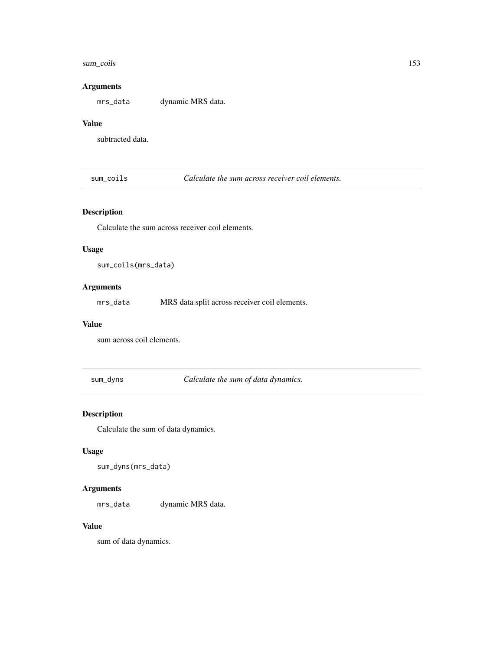#### <span id="page-152-0"></span>sum\_coils 153

#### Arguments

mrs\_data dynamic MRS data.

#### Value

subtracted data.

sum\_coils *Calculate the sum across receiver coil elements.*

# Description

Calculate the sum across receiver coil elements.

#### Usage

sum\_coils(mrs\_data)

# Arguments

mrs\_data MRS data split across receiver coil elements.

#### Value

sum across coil elements.

sum\_dyns *Calculate the sum of data dynamics.*

# Description

Calculate the sum of data dynamics.

# Usage

sum\_dyns(mrs\_data)

#### Arguments

mrs\_data dynamic MRS data.

#### Value

sum of data dynamics.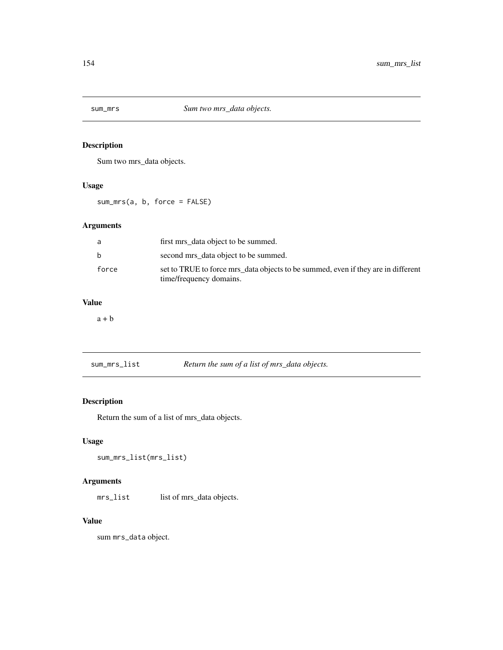<span id="page-153-0"></span>

Sum two mrs\_data objects.

# Usage

sum\_mrs(a, b, force = FALSE)

# Arguments

| a.           | first mrs data object to be summed.                                                                          |
|--------------|--------------------------------------------------------------------------------------------------------------|
| <sub>h</sub> | second mrs data object to be summed.                                                                         |
| force        | set to TRUE to force mrs_data objects to be summed, even if they are in different<br>time/frequency domains. |

# Value

 $a + b$ 

sum\_mrs\_list *Return the sum of a list of mrs\_data objects.*

# Description

Return the sum of a list of mrs\_data objects.

# Usage

```
sum_mrs_list(mrs_list)
```
# Arguments

mrs\_list list of mrs\_data objects.

# Value

sum mrs\_data object.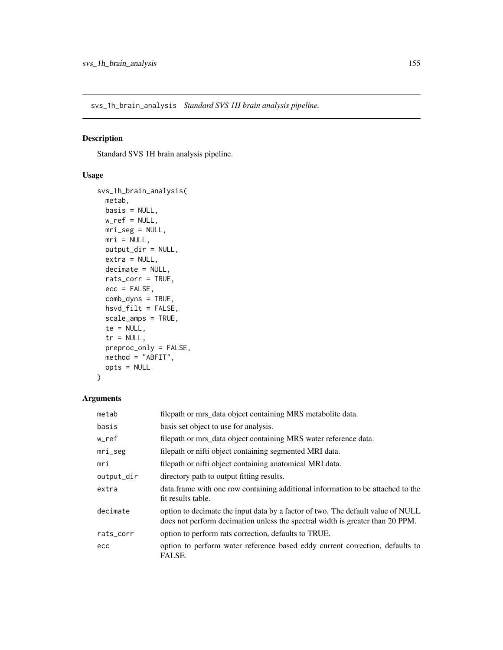<span id="page-154-0"></span>svs\_1h\_brain\_analysis *Standard SVS 1H brain analysis pipeline.*

#### Description

Standard SVS 1H brain analysis pipeline.

# Usage

```
svs_1h_brain_analysis(
 metab,
 basis = NULL,
 w_ref = NULL,mri_seg = NULL,
 mri = NULL,output_dir = NULL,
 extra = NULL,
 decimate = NULL,
 rats_corr = TRUE,
 ecc = FALSE,
 comb_dyns = TRUE,
 hsvd_filt = FALSE,
 scale_amps = TRUE,
 te = NULL,
  tr = NULL,preproc_only = FALSE,
 method = "ABFIT",
 opts = NULL
)
```

| metab      | filepath or mrs_data object containing MRS metabolite data.                                                                                                      |
|------------|------------------------------------------------------------------------------------------------------------------------------------------------------------------|
| basis      | basis set object to use for analysis.                                                                                                                            |
| w_ref      | filepath or mrs_data object containing MRS water reference data.                                                                                                 |
| $mri\_seg$ | filepath or nifti object containing segmented MRI data.                                                                                                          |
| mri        | filepath or nifti object containing anatomical MRI data.                                                                                                         |
| output_dir | directory path to output fitting results.                                                                                                                        |
| extra      | data. frame with one row containing additional information to be attached to the<br>fit results table.                                                           |
| decimate   | option to decimate the input data by a factor of two. The default value of NULL<br>does not perform decimation unless the spectral width is greater than 20 PPM. |
| rats_corr  | option to perform rats correction, defaults to TRUE.                                                                                                             |
| ecc        | option to perform water reference based eddy current correction, defaults to<br>FALSE.                                                                           |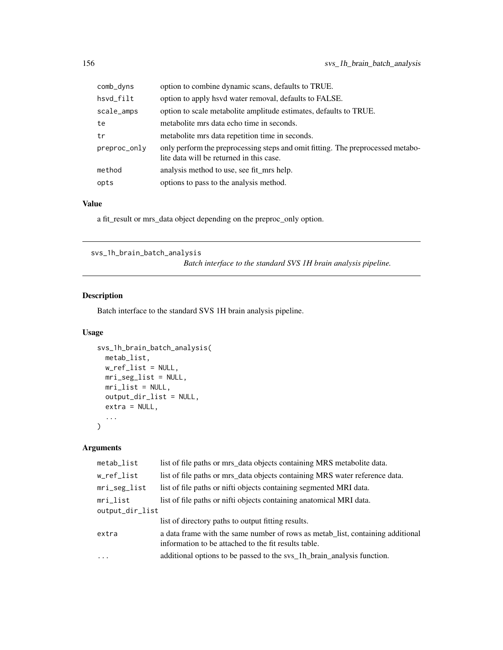<span id="page-155-0"></span>

| comb_dyns    | option to combine dynamic scans, defaults to TRUE.                                                                          |
|--------------|-----------------------------------------------------------------------------------------------------------------------------|
| hsvd_filt    | option to apply hsvd water removal, defaults to FALSE.                                                                      |
| scale_amps   | option to scale metabolite amplitude estimates, defaults to TRUE.                                                           |
| te           | metabolite mrs data echo time in seconds.                                                                                   |
| tr           | metabolite mrs data repetition time in seconds.                                                                             |
| preproc_only | only perform the preprocessing steps and omit fitting. The preprocessed metabo-<br>lite data will be returned in this case. |
| method       | analysis method to use, see fit_mrs help.                                                                                   |
| opts         | options to pass to the analysis method.                                                                                     |

# Value

a fit\_result or mrs\_data object depending on the preproc\_only option.

```
svs_1h_brain_batch_analysis
```
*Batch interface to the standard SVS 1H brain analysis pipeline.*

# Description

Batch interface to the standard SVS 1H brain analysis pipeline.

# Usage

```
svs_1h_brain_batch_analysis(
 metab_list,
 w_ref_list = NULL,
 mri_seg_list = NULL,
 mri_list = NULL,
 output_dir_list = NULL,
 extra = NULL,
  ...
\mathcal{L}
```

| metab_list      | list of file paths or mrs_data objects containing MRS metabolite data.                                                                 |
|-----------------|----------------------------------------------------------------------------------------------------------------------------------------|
| w_ref_list      | list of file paths or mrs_data objects containing MRS water reference data.                                                            |
| mri_seg_list    | list of file paths or nifti objects containing segmented MRI data.                                                                     |
| $mri$ list      | list of file paths or nifti objects containing anatomical MRI data.                                                                    |
| output_dir_list |                                                                                                                                        |
|                 | list of directory paths to output fitting results.                                                                                     |
| extra           | a data frame with the same number of rows as metab list, containing additional<br>information to be attached to the fit results table. |
| $\ddots$        | additional options to be passed to the sys_1h_brain_analysis function.                                                                 |
|                 |                                                                                                                                        |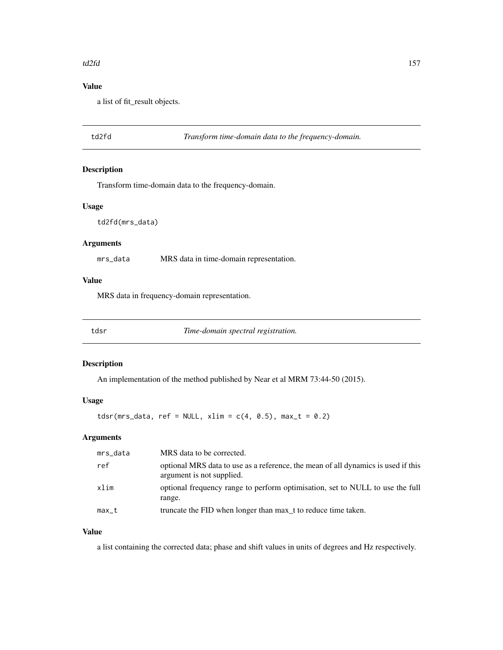#### <span id="page-156-0"></span> $t d2fd$  157

# Value

a list of fit\_result objects.

td2fd *Transform time-domain data to the frequency-domain.*

#### Description

Transform time-domain data to the frequency-domain.

# Usage

td2fd(mrs\_data)

# Arguments

mrs\_data MRS data in time-domain representation.

# Value

MRS data in frequency-domain representation.

tdsr *Time-domain spectral registration.*

#### Description

An implementation of the method published by Near et al MRM 73:44-50 (2015).

#### Usage

tdsr(mrs\_data, ref = NULL, xlim =  $c(4, 0.5)$ , max\_t = 0.2)

# Arguments

| mrs_data | MRS data to be corrected.                                                                                      |
|----------|----------------------------------------------------------------------------------------------------------------|
| ref      | optional MRS data to use as a reference, the mean of all dynamics is used if this<br>argument is not supplied. |
| xlim     | optional frequency range to perform optimisation, set to NULL to use the full<br>range.                        |
| max_t    | truncate the FID when longer than max t to reduce time taken.                                                  |

## Value

a list containing the corrected data; phase and shift values in units of degrees and Hz respectively.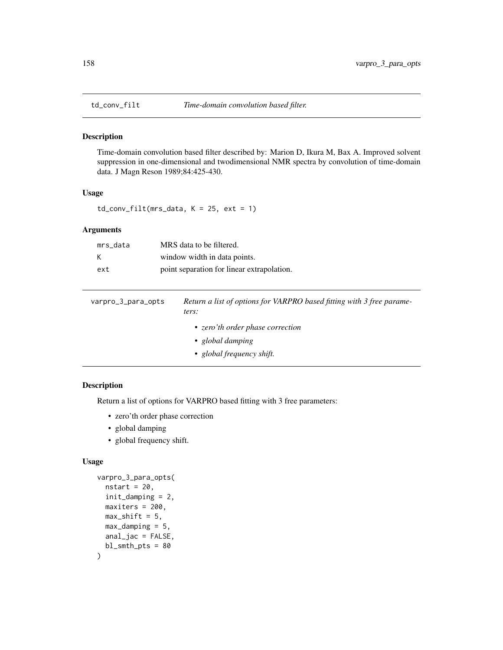<span id="page-157-0"></span>

Time-domain convolution based filter described by: Marion D, Ikura M, Bax A. Improved solvent suppression in one-dimensional and twodimensional NMR spectra by convolution of time-domain data. J Magn Reson 1989;84:425-430.

#### Usage

 $td_{conv_{i}} = 1$ td\_conv\_filt(mrs\_data, K = 25, ext = 1)

# Arguments

| mrs data | MRS data to be filtered.                   |
|----------|--------------------------------------------|
| к        | window width in data points.               |
| ext      | point separation for linear extrapolation. |

| varpro_3_para_opts | Return a list of options for VARPRO based fitting with 3 free parame-<br>ters:    |
|--------------------|-----------------------------------------------------------------------------------|
|                    | • zero'th order phase correction<br>• global damping<br>• global frequency shift. |

# Description

Return a list of options for VARPRO based fitting with 3 free parameters:

- zero'th order phase correction
- global damping
- global frequency shift.

#### Usage

```
varpro_3_para_opts(
  nstart = 20,
  init_damping = 2,
 maxiters = 200,
 max\_shift = 5,
 max\_damping = 5,
  anal_jac = FALSE,
  bl\_smth\_pts = 80)
```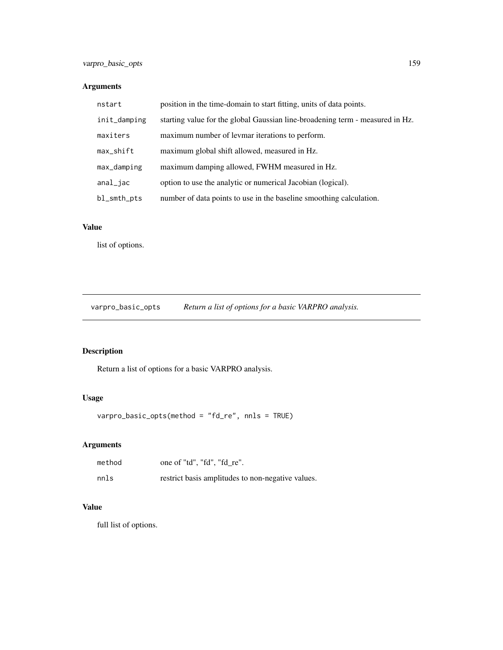# <span id="page-158-0"></span>Arguments

| nstart       | position in the time-domain to start fitting, units of data points.           |  |
|--------------|-------------------------------------------------------------------------------|--|
| init_damping | starting value for the global Gaussian line-broadening term - measured in Hz. |  |
| maxiters     | maximum number of levmar iterations to perform.                               |  |
| max_shift    | maximum global shift allowed, measured in Hz.                                 |  |
| max_damping  | maximum damping allowed, FWHM measured in Hz.                                 |  |
| anal_jac     | option to use the analytic or numerical Jacobian (logical).                   |  |
| bl_smth_pts  | number of data points to use in the baseline smoothing calculation.           |  |

# Value

list of options.

varpro\_basic\_opts *Return a list of options for a basic VARPRO analysis.*

# Description

Return a list of options for a basic VARPRO analysis.

# Usage

varpro\_basic\_opts(method = "fd\_re", nnls = TRUE)

# Arguments

| method | one of "td", "fd", "fd re".                       |
|--------|---------------------------------------------------|
| nnls   | restrict basis amplitudes to non-negative values. |

# Value

full list of options.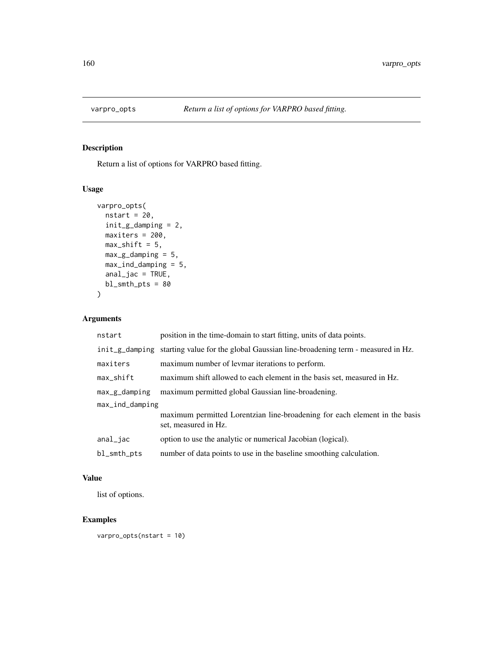<span id="page-159-0"></span>

Return a list of options for VARPRO based fitting.

# Usage

```
varpro_opts(
  nstart = 20,
  init_g_damping = 2,
  maxiters = 200,
  max\_shift = 5,
  max_g_d-damping = 5,
  max_ind_damping = 5,
  anal_jac = TRUE,bl\_smth\_pts = 80\mathcal{L}
```
# Arguments

| nstart          | position in the time-domain to start fitting, units of data points.                                |  |
|-----------------|----------------------------------------------------------------------------------------------------|--|
|                 | init_g_damping starting value for the global Gaussian line-broadening term - measured in Hz.       |  |
| maxiters        | maximum number of levmar iterations to perform.                                                    |  |
| $max$ _shift    | maximum shift allowed to each element in the basis set, measured in Hz.                            |  |
| $max_g_d$       | maximum permitted global Gaussian line-broadening.                                                 |  |
| max_ind_damping |                                                                                                    |  |
|                 | maximum permitted Lorentzian line-broadening for each element in the basis<br>set, measured in Hz. |  |
| anal_jac        | option to use the analytic or numerical Jacobian (logical).                                        |  |
| bl_smth_pts     | number of data points to use in the baseline smoothing calculation.                                |  |

#### Value

list of options.

# Examples

varpro\_opts(nstart = 10)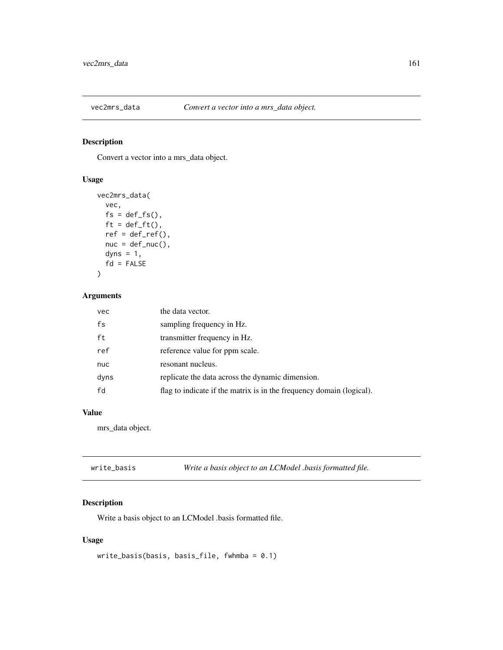<span id="page-160-0"></span>

Convert a vector into a mrs\_data object.

# Usage

```
vec2mrs_data(
 vec,
 fs = def_fs(),
  ft = def_fft(),
  ref = def_ref(),nuc = def_nuc(),
 dyns = 1,
  fd = FALSE)
```
# Arguments

| vec  | the data vector.                                                     |
|------|----------------------------------------------------------------------|
| fs   | sampling frequency in Hz.                                            |
| ft   | transmitter frequency in Hz.                                         |
| ref  | reference value for ppm scale.                                       |
| nuc  | resonant nucleus.                                                    |
| dyns | replicate the data across the dynamic dimension.                     |
| fd   | flag to indicate if the matrix is in the frequency domain (logical). |

# Value

mrs\_data object.

| write_basis | Write a basis object to an LCModel .basis formatted file. |
|-------------|-----------------------------------------------------------|
|-------------|-----------------------------------------------------------|

# Description

Write a basis object to an LCModel .basis formatted file.

# Usage

```
write_basis(basis, basis_file, fwhmba = 0.1)
```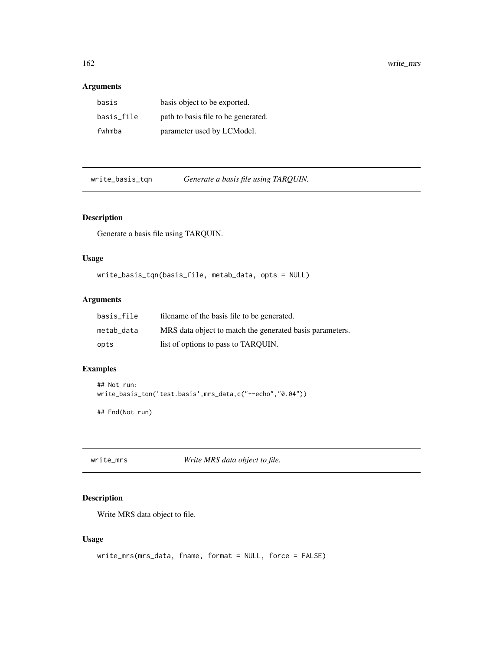#### <span id="page-161-0"></span>Arguments

| basis      | basis object to be exported.        |
|------------|-------------------------------------|
| basis_file | path to basis file to be generated. |
| fwhmba     | parameter used by LCModel.          |

write\_basis\_tqn *Generate a basis file using TARQUIN.*

# Description

Generate a basis file using TARQUIN.

#### Usage

write\_basis\_tqn(basis\_file, metab\_data, opts = NULL)

#### Arguments

| basis file | filename of the basis file to be generated.              |
|------------|----------------------------------------------------------|
| metab data | MRS data object to match the generated basis parameters. |
| opts       | list of options to pass to TARQUIN.                      |

# Examples

```
## Not run:
write_basis_tqn('test.basis',mrs_data,c("--echo","0.04"))
```
## End(Not run)

write\_mrs *Write MRS data object to file.*

# Description

Write MRS data object to file.

# Usage

```
write_mrs(mrs_data, fname, format = NULL, force = FALSE)
```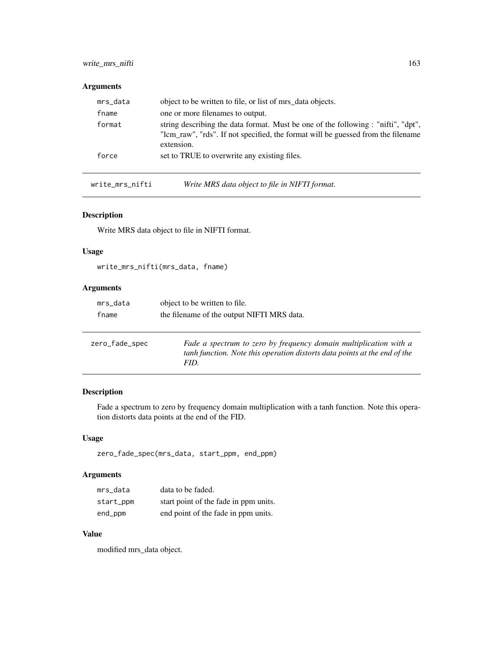# <span id="page-162-0"></span>write\_mrs\_nifti 163

#### Arguments

| mrs_data | object to be written to file, or list of mrs_data objects.                                                                                                                          |
|----------|-------------------------------------------------------------------------------------------------------------------------------------------------------------------------------------|
| fname    | one or more filenames to output.                                                                                                                                                    |
| format   | string describing the data format. Must be one of the following : "nifti", "dpt",<br>"lcm_raw", "rds". If not specified, the format will be guessed from the filename<br>extension. |
| force    | set to TRUE to overwrite any existing files.                                                                                                                                        |

write\_mrs\_nifti *Write MRS data object to file in NIFTI format.*

# Description

Write MRS data object to file in NIFTI format.

#### Usage

write\_mrs\_nifti(mrs\_data, fname)

#### Arguments

| mrs_data       | object to be written to file.                                                                                                                  |  |
|----------------|------------------------------------------------------------------------------------------------------------------------------------------------|--|
| fname          | the filename of the output NIFTI MRS data.                                                                                                     |  |
|                |                                                                                                                                                |  |
| zero_fade_spec | Fade a spectrum to zero by frequency domain multiplication with a<br>tanh function. Note this operation distorts data points at the end of the |  |

# Description

Fade a spectrum to zero by frequency domain multiplication with a tanh function. Note this operation distorts data points at the end of the FID.

#### Usage

```
zero_fade_spec(mrs_data, start_ppm, end_ppm)
```
*FID.*

# Arguments

| mrs data  | data to be faded.                     |
|-----------|---------------------------------------|
| start_ppm | start point of the fade in ppm units. |
| end_ppm   | end point of the fade in ppm units.   |

# Value

modified mrs\_data object.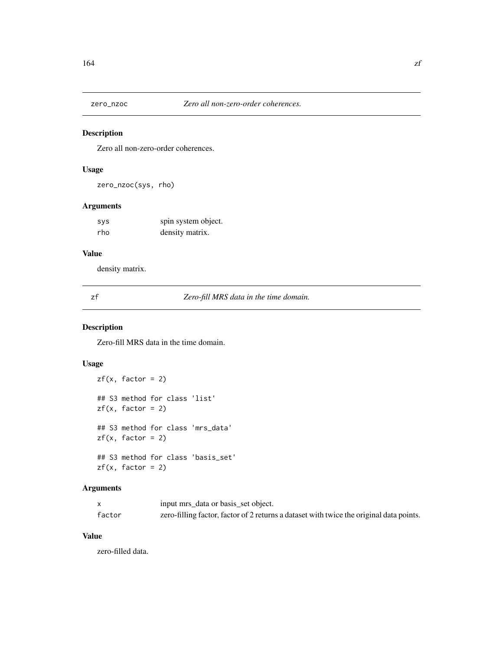<span id="page-163-0"></span>

Zero all non-zero-order coherences.

# Usage

zero\_nzoc(sys, rho)

# Arguments

| <b>SVS</b> | spin system object. |
|------------|---------------------|
| rho        | density matrix.     |

# Value

density matrix.

zf *Zero-fill MRS data in the time domain.*

# Description

Zero-fill MRS data in the time domain.

# Usage

```
zf(x, factor = 2)## S3 method for class 'list'
zf(x, factor = 2)## S3 method for class 'mrs_data'
zf(x, factor = 2)## S3 method for class 'basis_set'
zf(x, factor = 2)
```
#### Arguments

|        | input mrs_data or basis_set object.                                                     |
|--------|-----------------------------------------------------------------------------------------|
| factor | zero-filling factor, factor of 2 returns a dataset with twice the original data points. |

# Value

zero-filled data.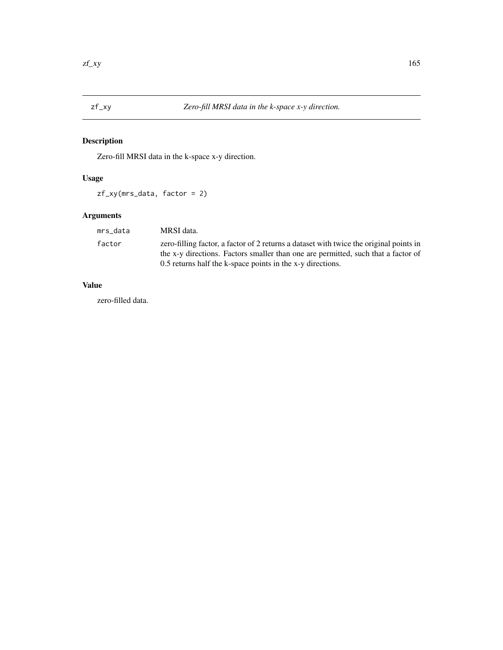<span id="page-164-0"></span>Zero-fill MRSI data in the k-space x-y direction.

# Usage

zf\_xy(mrs\_data, factor = 2)

# Arguments

| mrs data | MRSI data.                                                                                                                                                                  |
|----------|-----------------------------------------------------------------------------------------------------------------------------------------------------------------------------|
| factor   | zero-filling factor, a factor of 2 returns a dataset with twice the original points in<br>the x-y directions. Factors smaller than one are permitted, such that a factor of |
|          | 0.5 returns half the k-space points in the x-y directions.                                                                                                                  |

# Value

zero-filled data.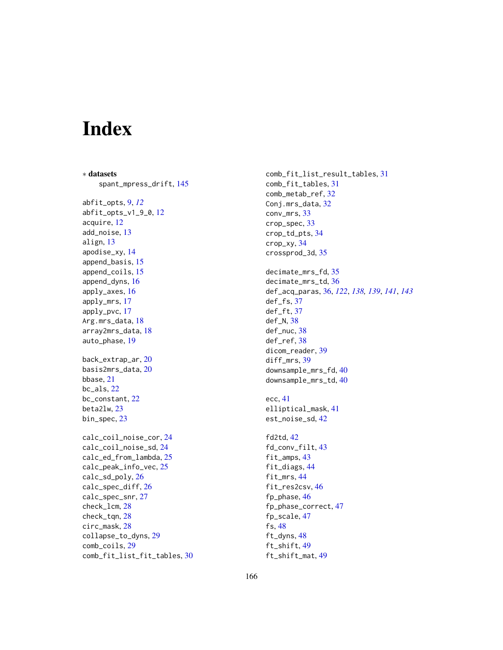# Index

∗ datasets spant\_mpress\_drift, [145](#page-144-0) abfit\_opts, [9,](#page-8-0) *[12](#page-11-0)* abfit\_opts\_v1\_9\_0, [12](#page-11-0) acquire, [12](#page-11-0) add\_noise, [13](#page-12-0) align, [13](#page-12-0) apodise\_xy, [14](#page-13-0) append\_basis, [15](#page-14-0) append\_coils, [15](#page-14-0) append\_dyns, [16](#page-15-0) apply\_axes, [16](#page-15-0) apply\_mrs, [17](#page-16-0) apply\_pvc, [17](#page-16-0) Arg.mrs\_data, [18](#page-17-0) array2mrs\_data, [18](#page-17-0) auto\_phase, [19](#page-18-0) back\_extrap\_ar, [20](#page-19-0) basis2mrs\_data, [20](#page-19-0) bbase, [21](#page-20-0) bc\_als, [22](#page-21-0) bc\_constant, [22](#page-21-0) beta2lw, [23](#page-22-0) bin\_spec, [23](#page-22-0) calc\_coil\_noise\_cor, [24](#page-23-0) calc\_coil\_noise\_sd, [24](#page-23-0) calc\_ed\_from\_lambda, [25](#page-24-0) calc\_peak\_info\_vec, [25](#page-24-0) calc\_sd\_poly, [26](#page-25-0) calc\_spec\_diff, [26](#page-25-0) calc\_spec\_snr, [27](#page-26-0) check\_lcm, [28](#page-27-0) check\_tqn, [28](#page-27-0) circ\_mask, [28](#page-27-0) collapse\_to\_dyns, [29](#page-28-0) comb\_coils, [29](#page-28-0) comb\_fit\_list\_fit\_tables, [30](#page-29-0) comb\_fit\_list\_result\_tables, [31](#page-30-0) comb\_fit\_tables, [31](#page-30-0) comb\_metab\_ref, [32](#page-31-0) Conj.mrs\_data, [32](#page-31-0) conv\_mrs, [33](#page-32-0) crop\_spec, [33](#page-32-0) crop\_td\_pts, [34](#page-33-0) crop\_xy, [34](#page-33-0) crossprod\_3d, [35](#page-34-0) decimate\_mrs\_fd, [35](#page-34-0) decimate\_mrs\_td, [36](#page-35-0) def\_acq\_paras, [36,](#page-35-0) *[122](#page-121-0)*, *[138,](#page-137-0) [139](#page-138-0)*, *[141](#page-140-0)*, *[143](#page-142-0)* def\_fs, [37](#page-36-0) def\_ft, [37](#page-36-0) def\_N, [38](#page-37-0) def\_nuc, [38](#page-37-0) def\_ref, [38](#page-37-0) dicom\_reader, [39](#page-38-0) diff\_mrs, [39](#page-38-0) downsample\_mrs\_fd, [40](#page-39-0) downsample\_mrs\_td, [40](#page-39-0) ecc, [41](#page-40-0) elliptical\_mask, [41](#page-40-0) est\_noise\_sd, [42](#page-41-0) fd2td, [42](#page-41-0) fd\_conv\_filt, [43](#page-42-0) fit\_amps, [43](#page-42-0) fit\_diags, [44](#page-43-0) fit\_mrs, [44](#page-43-0) fit\_res2csv, [46](#page-45-0) fp\_phase, [46](#page-45-0) fp\_phase\_correct, [47](#page-46-0) fp\_scale, [47](#page-46-0) fs, [48](#page-47-0) ft\_dyns, [48](#page-47-0) ft\_shift, [49](#page-48-0) ft\_shift\_mat, [49](#page-48-0)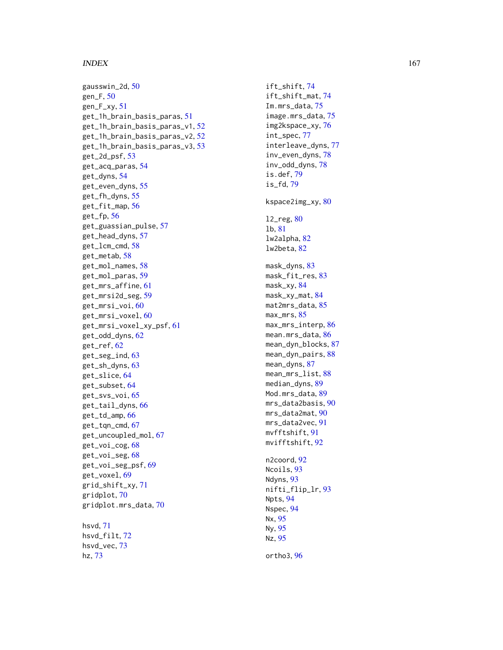#### INDEX  $167$

gausswin\_2d, <mark>[50](#page-49-0)</mark> gen\_F , [50](#page-49-0) gen\_F\_xy , [51](#page-50-0) get\_1h\_brain\_basis\_paras , [51](#page-50-0) get\_1h\_brain\_basis\_paras\_v1 , [52](#page-51-0) get\_1h\_brain\_basis\_paras\_v2 , [52](#page-51-0) get\_1h\_brain\_basis\_paras\_v3 , [53](#page-52-0) get\_2d\_psf , [53](#page-52-0) get\_acq\_paras , [54](#page-53-0) get\_dyns , [54](#page-53-0) get\_even\_dyns , [55](#page-54-0) get\_fh\_dyns , [55](#page-54-0) get\_fit\_map , [56](#page-55-0) get\_fp , [56](#page-55-0) get\_guassian\_pulse , [57](#page-56-0) get\_head\_dyns , [57](#page-56-0) get\_lcm\_cmd , [58](#page-57-0) get\_metab , [58](#page-57-0) get\_mol\_names , [58](#page-57-0) get\_mol\_paras , [59](#page-58-0) get\_mrs\_affine , [61](#page-60-0) get\_mrsi2d\_seg , [59](#page-58-0) get\_mrsi\_voi,<mark>[60](#page-59-0)</mark> get\_mrsi\_voxel , [60](#page-59-0) get\_mrsi\_voxel\_xy\_psf , [61](#page-60-0) get\_odd\_dyns , [62](#page-61-0) get\_ref , [62](#page-61-0) get\_seg\_ind, [63](#page-62-0) get\_sh\_dyns , [63](#page-62-0) get\_slice , [64](#page-63-0) get\_subset , [64](#page-63-0) get\_svs\_voi , [65](#page-64-0) get\_tail\_dyns , [66](#page-65-0) get\_td\_amp , [66](#page-65-0) get\_tqn\_cmd , [67](#page-66-0) get\_uncoupled\_mol , [67](#page-66-0) get\_voi\_cog , [68](#page-67-0) get\_voi\_seg,6<mark>8</mark> get\_voi\_seg\_psf , [69](#page-68-0) get\_voxel , [69](#page-68-0) grid\_shift\_xy , [71](#page-70-0) gridplot , [70](#page-69-0) gridplot.mrs\_data , [70](#page-69-0) hsvd , [71](#page-70-0) hsvd\_filt , [72](#page-71-0) hsvd\_vec , [73](#page-72-0) hz , [73](#page-72-0)

ift\_shift , [74](#page-73-0) ift\_shift\_mat , [74](#page-73-0) Im.mrs\_data, [75](#page-74-0) image.mrs\_data , [75](#page-74-0) img2kspace\_xy , [76](#page-75-0) int\_spec , [77](#page-76-0) interleave\_dyns , [77](#page-76-0) inv\_even\_dyns , [78](#page-77-0) inv\_odd\_dyns , [78](#page-77-0) is.def , [79](#page-78-0) is\_fd , [79](#page-78-0) kspace2img\_xy, <mark>8</mark>0 l2\_reg , [80](#page-79-0) lb , [81](#page-80-0) lw2alpha , [82](#page-81-0) lw2beta , [82](#page-81-0) mask\_dyns, [83](#page-82-0) mask\_fit\_res,<mark>[83](#page-82-0)</mark> mask\_xy, <mark>8</mark>4 mask\_xy\_mat, [84](#page-83-0) mat2mrs\_data, <mark>[85](#page-84-0)</mark> max\_mrs, <mark>[85](#page-84-0)</mark> max\_mrs\_interp, <mark>[86](#page-85-0)</mark> mean.mrs\_data, <mark>[86](#page-85-0)</mark> mean\_dyn\_blocks, [87](#page-86-0) mean\_dyn\_pairs, [88](#page-87-0) mean\_dyns , [87](#page-86-0) mean\_mrs\_list,<mark>[88](#page-87-0)</mark> median\_dyns , [89](#page-88-0) Mod.mrs\_data,<mark>[89](#page-88-0)</mark> mrs\_data2basis,<mark>9</mark>0 mrs\_data2mat,<mark>[90](#page-89-0)</mark> mrs\_data2vec , [91](#page-90-0) mvfftshift , [91](#page-90-0) mvifftshift , [92](#page-91-0) n2coord, <mark>[92](#page-91-0)</mark> Ncoils, [93](#page-92-0) Ndyns, [93](#page-92-0) nifti\_flip\_lr , [93](#page-92-0) Npts , [94](#page-93-0) Nspec , [94](#page-93-0) Nx , [95](#page-94-0) Ny , [95](#page-94-0) Nz , [95](#page-94-0)

ortho3 , [96](#page-95-0)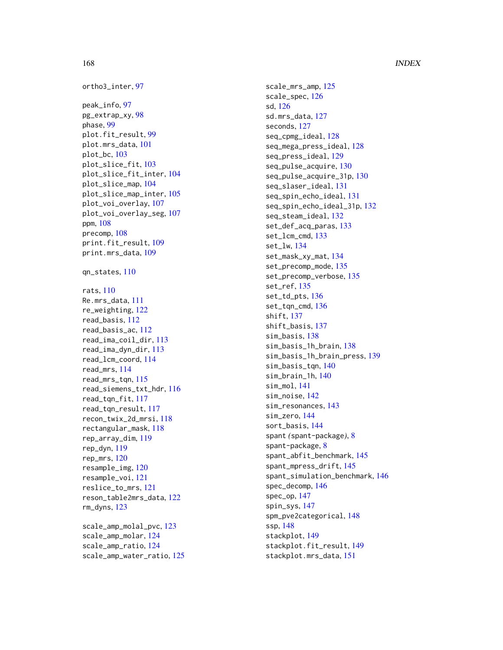```
ortho3_inter
, 97
peak_info
, 97
pg_extrap_xy
, 98
phase
, 99
plot.fit_result
, 99
plot.mrs_data
, 101
plot_bc
, 103
plot_slice_fit
, 103
plot_slice_fit_inter
, 104
plot_slice_map
, 104
plot_slice_map_inter
, 105
plot_voi_overlay
, 107
plot_voi_overlay_seg
, 107
ppm
, 108
precomp
, 108
print.fit_result
, 109
print.mrs_data
, 109
qn_states
, 110
rats
, 110
Re.mrs_data
, 111
re_weighting
, 122
read_basis
, 112
read_basis_ac
, 112
read_ima_coil_dir
, 113
read_ima_dyn_dir
, 113
read_lcm_coord
, 114
read_mrs
, 114
read_mrs_tqn
, 115
read_siemens_txt_hdr
, 116
read_tqn_fit
, 117
read_tqn_result
, 117
recon_twix_2d_mrsi
, 118
rectangular_mask
, 118
rep_array_dim
, 119
rep_dyn
, 119
rep_mrs
, 120
resample_img
, 120
resample_voi
, 121
reslice_to_mrs
, 121
reson_table2mrs_data
, 122
rm_dyns
, 123
scale_amp_molal_pvc
, 123
scale_amp_molar
, 124
scale_amp_ratio
, 124
```
scale\_amp\_water\_ratio , [125](#page-124-0)

scale\_mrs\_amp , [125](#page-124-0) scale\_spec , [126](#page-125-0) sd , [126](#page-125-0) sd.mrs\_data , [127](#page-126-0) seconds , [127](#page-126-0) seq\_cpmg\_ideal , [128](#page-127-0) seq\_mega\_press\_ideal , [128](#page-127-0) seq\_press\_ideal , [129](#page-128-0) seq\_pulse\_acquire , [130](#page-129-0) seq\_pulse\_acquire\_31p , [130](#page-129-0) seq\_slaser\_ideal , [131](#page-130-0) seq\_spin\_echo\_ideal , [131](#page-130-0) seq\_spin\_echo\_ideal\_31p , [132](#page-131-0) seq\_steam\_ideal , [132](#page-131-0) set\_def\_acq\_paras , [133](#page-132-0) set\_lcm\_cmd , [133](#page-132-0) set\_lw , [134](#page-133-0) set\_mask\_xy\_mat , [134](#page-133-0) set\_precomp\_mode , [135](#page-134-0) set\_precomp\_verbose , [135](#page-134-0) set\_ref , [135](#page-134-0) set\_td\_pts , [136](#page-135-0) set\_tqn\_cmd, [136](#page-135-0) shift , [137](#page-136-0) shift\_basis , [137](#page-136-0) sim\_basis , [138](#page-137-0) sim\_basis\_1h\_brain , [138](#page-137-0) sim\_basis\_1h\_brain\_press , [139](#page-138-0) sim\_basis\_tqn , [140](#page-139-0) sim\_brain\_1h , [140](#page-139-0) sim\_mol , [141](#page-140-0) sim\_noise , [142](#page-141-0) sim\_resonances , [143](#page-142-0) sim\_zero , [144](#page-143-0) sort\_basis , [144](#page-143-0) spant *(*spant-package *)* , [8](#page-7-0) spant-package , [8](#page-7-0) spant\_abfit\_benchmark , [145](#page-144-0) spant\_mpress\_drift , [145](#page-144-0) spant\_simulation\_benchmark , [146](#page-145-0) spec\_decomp , [146](#page-145-0) spec\_op , [147](#page-146-0) spin\_sys , [147](#page-146-0) spm\_pve2categorical , [148](#page-147-0) ssp , [148](#page-147-0) stackplot , [149](#page-148-0) stackplot.fit\_result, [149](#page-148-0) stackplot.mrs\_data , [151](#page-150-0)